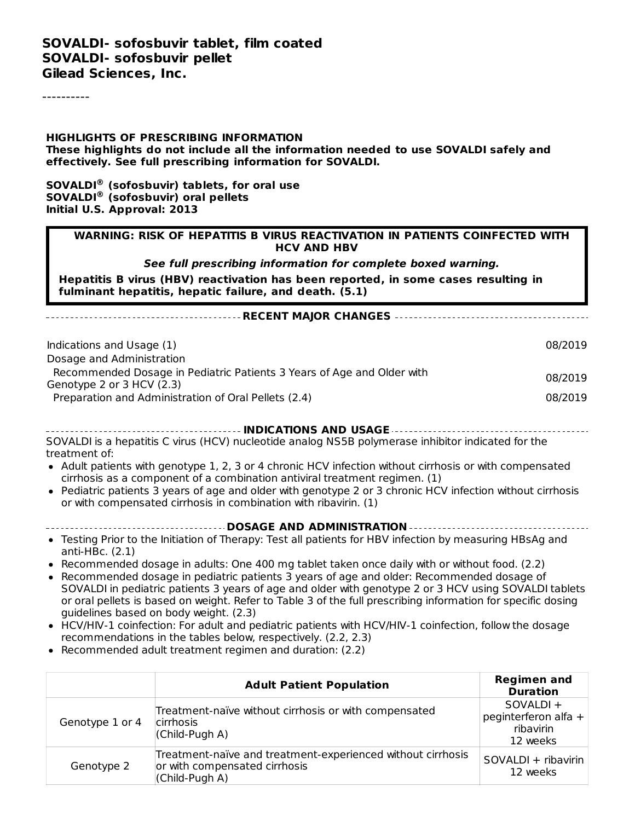----------

**HIGHLIGHTS OF PRESCRIBING INFORMATION These highlights do not include all the information needed to use SOVALDI safely and effectively. See full prescribing information for SOVALDI.**

**SOVALDI (sofosbuvir) tablets, for oral use ® SOVALDI (sofosbuvir) oral pellets ®Initial U.S. Approval: 2013**

#### **WARNING: RISK OF HEPATITIS B VIRUS REACTIVATION IN PATIENTS COINFECTED WITH HCV AND HBV**

**See full prescribing information for complete boxed warning.**

**Hepatitis B virus (HBV) reactivation has been reported, in some cases resulting in fulminant hepatitis, hepatic failure, and death. (5.1)**

| Indications and Usage (1)                                              | 08/2019 |
|------------------------------------------------------------------------|---------|
| Dosage and Administration                                              |         |
| Recommended Dosage in Pediatric Patients 3 Years of Age and Older with | 08/2019 |
| Genotype 2 or 3 HCV (2.3)                                              |         |
| Preparation and Administration of Oral Pellets (2.4)                   | 08/2019 |

**RECENT MAJOR CHANGES**

**INDICATIONS AND USAGE** SOVALDI is a hepatitis C virus (HCV) nucleotide analog NS5B polymerase inhibitor indicated for the treatment of:

- Adult patients with genotype 1, 2, 3 or 4 chronic HCV infection without cirrhosis or with compensated cirrhosis as a component of a combination antiviral treatment regimen. (1)
- Pediatric patients 3 years of age and older with genotype 2 or 3 chronic HCV infection without cirrhosis or with compensated cirrhosis in combination with ribavirin. (1)
- **DOSAGE AND ADMINISTRATION**
- Testing Prior to the Initiation of Therapy: Test all patients for HBV infection by measuring HBsAg and anti-HBc. (2.1)
- Recommended dosage in adults: One 400 mg tablet taken once daily with or without food. (2.2)
- Recommended dosage in pediatric patients 3 years of age and older: Recommended dosage of SOVALDI in pediatric patients 3 years of age and older with genotype 2 or 3 HCV using SOVALDI tablets or oral pellets is based on weight. Refer to Table 3 of the full prescribing information for specific dosing guidelines based on body weight. (2.3)
- HCV/HIV-1 coinfection: For adult and pediatric patients with HCV/HIV-1 coinfection, follow the dosage recommendations in the tables below, respectively. (2.2, 2.3)
- Recommended adult treatment regimen and duration: (2.2)

|                 | <b>Adult Patient Population</b>                                                                                | <b>Regimen and</b><br><b>Duration</b>                      |
|-----------------|----------------------------------------------------------------------------------------------------------------|------------------------------------------------------------|
| Genotype 1 or 4 | Treatment-naïve without cirrhosis or with compensated<br>cirrhosis<br>(Child-Pugh A)                           | SOVALDI +<br>peginterferon alfa +<br>ribavirin<br>12 weeks |
| Genotype 2      | Treatment-naïve and treatment-experienced without cirrhosis<br>or with compensated cirrhosis<br>(Child-Pugh A) | SOVALDI + ribavirin<br>12 weeks                            |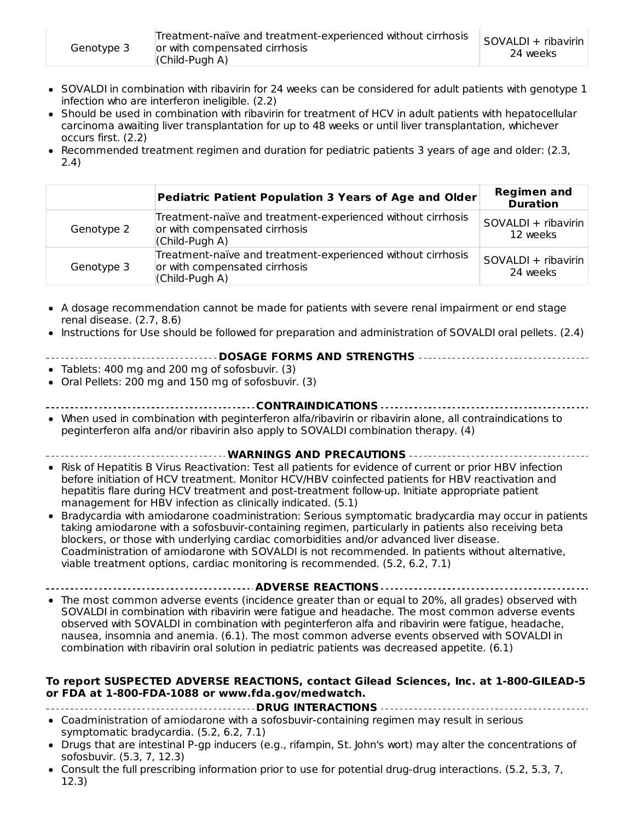- SOVALDI in combination with ribavirin for 24 weeks can be considered for adult patients with genotype 1 infection who are interferon ineligible. (2.2)
- Should be used in combination with ribavirin for treatment of HCV in adult patients with hepatocellular carcinoma awaiting liver transplantation for up to 48 weeks or until liver transplantation, whichever occurs first. (2.2)
- Recommended treatment regimen and duration for pediatric patients 3 years of age and older: (2.3, 2.4)

|            | Pediatric Patient Population 3 Years of Age and Older                                                          | <b>Regimen and</b><br><b>Duration</b> |
|------------|----------------------------------------------------------------------------------------------------------------|---------------------------------------|
| Genotype 2 | Treatment-naïve and treatment-experienced without cirrhosis<br>or with compensated cirrhosis<br>(Child-Pugh A) | SOVALDI + ribavirin<br>12 weeks       |
| Genotype 3 | Treatment-naïve and treatment-experienced without cirrhosis<br>or with compensated cirrhosis<br>(Child-Pugh A) | SOVALDI + ribavirin<br>24 weeks       |

- A dosage recommendation cannot be made for patients with severe renal impairment or end stage  $\bullet$ renal disease. (2.7, 8.6)
- Instructions for Use should be followed for preparation and administration of SOVALDI oral pellets. (2.4)

#### **DOSAGE FORMS AND STRENGTHS**

- Tablets: 400 mg and 200 mg of sofosbuvir. (3)
- Oral Pellets: 200 mg and 150 mg of sofosbuvir. (3)
- **CONTRAINDICATIONS**
- When used in combination with peginterferon alfa/ribavirin or ribavirin alone, all contraindications to peginterferon alfa and/or ribavirin also apply to SOVALDI combination therapy. (4)
- **WARNINGS AND PRECAUTIONS**
- Risk of Hepatitis B Virus Reactivation: Test all patients for evidence of current or prior HBV infection before initiation of HCV treatment. Monitor HCV/HBV coinfected patients for HBV reactivation and hepatitis flare during HCV treatment and post-treatment follow-up. Initiate appropriate patient management for HBV infection as clinically indicated. (5.1)
- Bradycardia with amiodarone coadministration: Serious symptomatic bradycardia may occur in patients taking amiodarone with a sofosbuvir-containing regimen, particularly in patients also receiving beta blockers, or those with underlying cardiac comorbidities and/or advanced liver disease. Coadministration of amiodarone with SOVALDI is not recommended. In patients without alternative, viable treatment options, cardiac monitoring is recommended. (5.2, 6.2, 7.1)

**ADVERSE REACTIONS**

The most common adverse events (incidence greater than or equal to 20%, all grades) observed with SOVALDI in combination with ribavirin were fatigue and headache. The most common adverse events observed with SOVALDI in combination with peginterferon alfa and ribavirin were fatigue, headache, nausea, insomnia and anemia. (6.1). The most common adverse events observed with SOVALDI in combination with ribavirin oral solution in pediatric patients was decreased appetite. (6.1)

#### **To report SUSPECTED ADVERSE REACTIONS, contact Gilead Sciences, Inc. at 1-800-GILEAD-5 or FDA at 1-800-FDA-1088 or www.fda.gov/medwatch.**

- **DRUG INTERACTIONS**
- Coadministration of amiodarone with a sofosbuvir-containing regimen may result in serious symptomatic bradycardia. (5.2, 6.2, 7.1)
- Drugs that are intestinal P-gp inducers (e.g., rifampin, St. John's wort) may alter the concentrations of  $\bullet$ sofosbuvir. (5.3, 7, 12.3)
- Consult the full prescribing information prior to use for potential drug-drug interactions. (5.2, 5.3, 7, 12.3)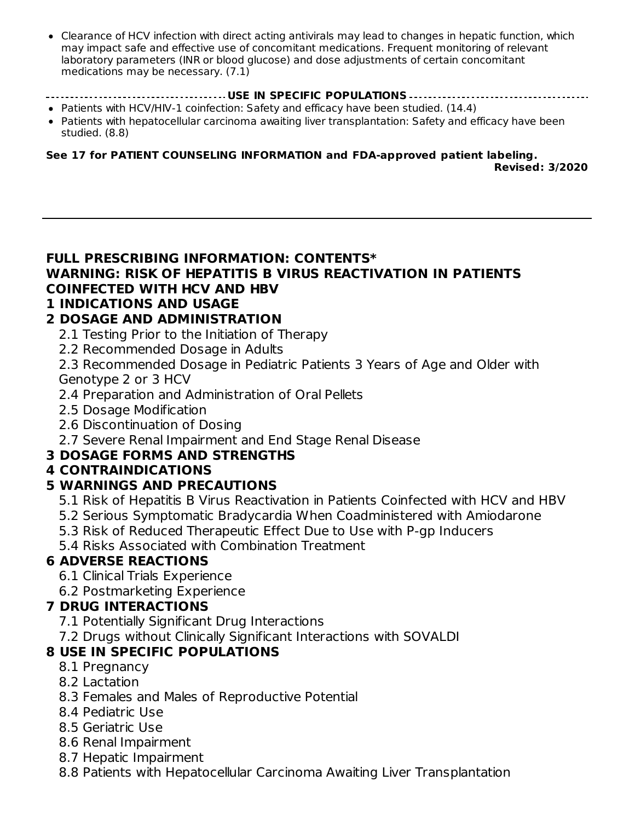Clearance of HCV infection with direct acting antivirals may lead to changes in hepatic function, which may impact safe and effective use of concomitant medications. Frequent monitoring of relevant laboratory parameters (INR or blood glucose) and dose adjustments of certain concomitant medications may be necessary. (7.1)

#### **USE IN SPECIFIC POPULATIONS**

- Patients with HCV/HIV-1 coinfection: Safety and efficacy have been studied. (14.4)
- Patients with hepatocellular carcinoma awaiting liver transplantation: Safety and efficacy have been studied. (8.8)

**See 17 for PATIENT COUNSELING INFORMATION and FDA-approved patient labeling. Revised: 3/2020**

#### **FULL PRESCRIBING INFORMATION: CONTENTS\* WARNING: RISK OF HEPATITIS B VIRUS REACTIVATION IN PATIENTS COINFECTED WITH HCV AND HBV**

### **1 INDICATIONS AND USAGE**

### **2 DOSAGE AND ADMINISTRATION**

- 2.1 Testing Prior to the Initiation of Therapy
- 2.2 Recommended Dosage in Adults

2.3 Recommended Dosage in Pediatric Patients 3 Years of Age and Older with Genotype 2 or 3 HCV

- 2.4 Preparation and Administration of Oral Pellets
- 2.5 Dosage Modification
- 2.6 Discontinuation of Dosing
- 2.7 Severe Renal Impairment and End Stage Renal Disease

### **3 DOSAGE FORMS AND STRENGTHS**

### **4 CONTRAINDICATIONS**

### **5 WARNINGS AND PRECAUTIONS**

- 5.1 Risk of Hepatitis B Virus Reactivation in Patients Coinfected with HCV and HBV
- 5.2 Serious Symptomatic Bradycardia When Coadministered with Amiodarone
- 5.3 Risk of Reduced Therapeutic Effect Due to Use with P-gp Inducers

5.4 Risks Associated with Combination Treatment

### **6 ADVERSE REACTIONS**

- 6.1 Clinical Trials Experience
- 6.2 Postmarketing Experience

### **7 DRUG INTERACTIONS**

- 7.1 Potentially Significant Drug Interactions
- 7.2 Drugs without Clinically Significant Interactions with SOVALDI

## **8 USE IN SPECIFIC POPULATIONS**

- 8.1 Pregnancy
- 8.2 Lactation
- 8.3 Females and Males of Reproductive Potential
- 8.4 Pediatric Use
- 8.5 Geriatric Use
- 8.6 Renal Impairment
- 8.7 Hepatic Impairment
- 8.8 Patients with Hepatocellular Carcinoma Awaiting Liver Transplantation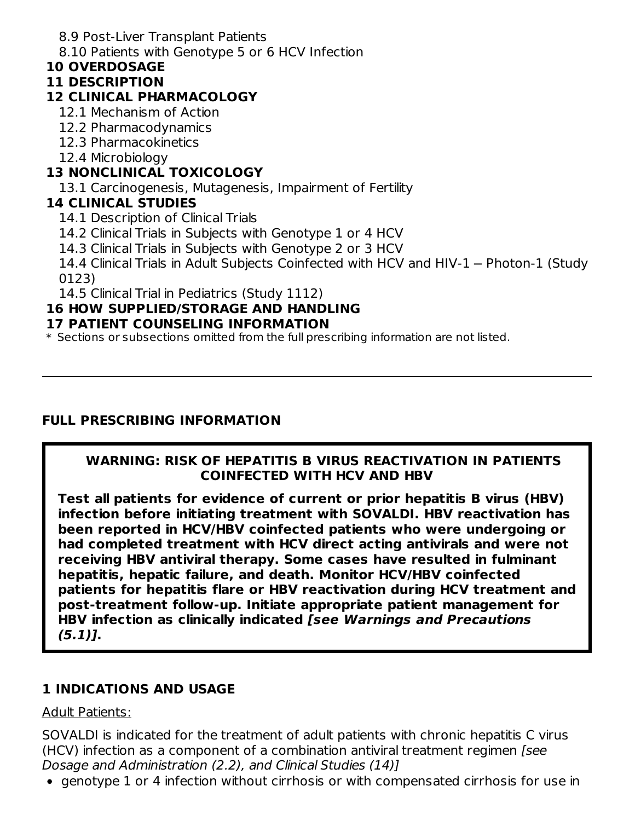8.9 Post-Liver Transplant Patients

8.10 Patients with Genotype 5 or 6 HCV Infection

### **10 OVERDOSAGE**

### **11 DESCRIPTION**

### **12 CLINICAL PHARMACOLOGY**

- 12.1 Mechanism of Action
- 12.2 Pharmacodynamics
- 12.3 Pharmacokinetics
- 12.4 Microbiology

## **13 NONCLINICAL TOXICOLOGY**

13.1 Carcinogenesis, Mutagenesis, Impairment of Fertility

## **14 CLINICAL STUDIES**

- 14.1 Description of Clinical Trials
- 14.2 Clinical Trials in Subjects with Genotype 1 or 4 HCV
- 14.3 Clinical Trials in Subjects with Genotype 2 or 3 HCV

14.4 Clinical Trials in Adult Subjects Coinfected with HCV and HIV-1 - Photon-1 (Study 0123)

14.5 Clinical Trial in Pediatrics (Study 1112)

## **16 HOW SUPPLIED/STORAGE AND HANDLING**

#### **17 PATIENT COUNSELING INFORMATION**

\* Sections or subsections omitted from the full prescribing information are not listed.

## **FULL PRESCRIBING INFORMATION**

### **WARNING: RISK OF HEPATITIS B VIRUS REACTIVATION IN PATIENTS COINFECTED WITH HCV AND HBV**

**Test all patients for evidence of current or prior hepatitis B virus (HBV) infection before initiating treatment with SOVALDI. HBV reactivation has been reported in HCV/HBV coinfected patients who were undergoing or had completed treatment with HCV direct acting antivirals and were not receiving HBV antiviral therapy. Some cases have resulted in fulminant hepatitis, hepatic failure, and death. Monitor HCV/HBV coinfected patients for hepatitis flare or HBV reactivation during HCV treatment and post-treatment follow-up. Initiate appropriate patient management for HBV infection as clinically indicated [see Warnings and Precautions (5.1)].**

## **1 INDICATIONS AND USAGE**

### Adult Patients:

SOVALDI is indicated for the treatment of adult patients with chronic hepatitis C virus (HCV) infection as a component of a combination antiviral treatment regimen [see Dosage and Administration (2.2), and Clinical Studies (14)]

genotype 1 or 4 infection without cirrhosis or with compensated cirrhosis for use in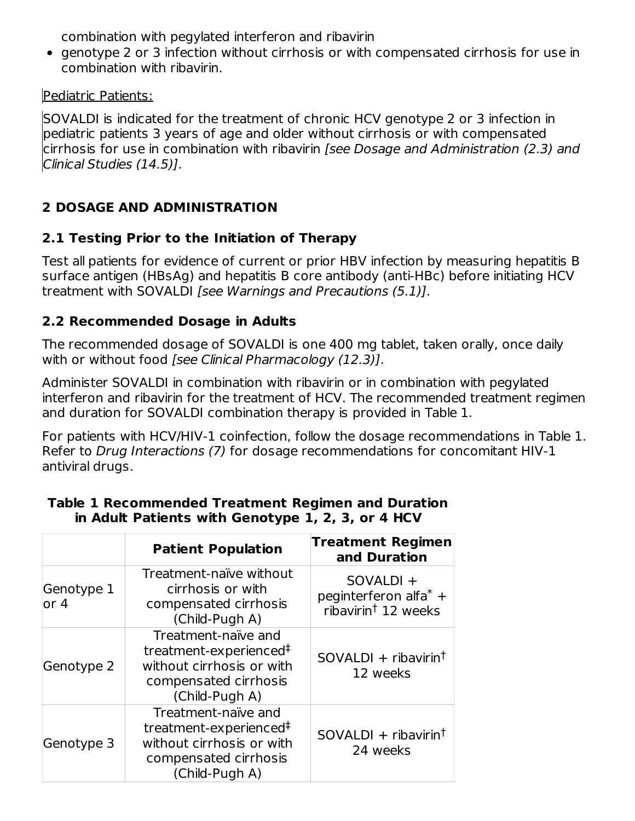combination with pegylated interferon and ribavirin

• genotype 2 or 3 infection without cirrhosis or with compensated cirrhosis for use in combination with ribavirin.

Pediatric Patients:

SOVALDI is indicated for the treatment of chronic HCV genotype 2 or 3 infection in pediatric patients 3 years of age and older without cirrhosis or with compensated cirrhosis for use in combination with ribavirin [see Dosage and Administration (2.3) and Clinical Studies (14.5)].

# **2 DOSAGE AND ADMINISTRATION**

# **2.1 Testing Prior to the Initiation of Therapy**

Test all patients for evidence of current or prior HBV infection by measuring hepatitis B surface antigen (HBsAg) and hepatitis B core antibody (anti-HBc) before initiating HCV treatment with SOVALDI [see Warnings and Precautions (5.1)].

# **2.2 Recommended Dosage in Adults**

The recommended dosage of SOVALDI is one 400 mg tablet, taken orally, once daily with or without food [see Clinical Pharmacology (12.3)].

Administer SOVALDI in combination with ribavirin or in combination with pegylated interferon and ribavirin for the treatment of HCV. The recommended treatment regimen and duration for SOVALDI combination therapy is provided in Table 1.

For patients with HCV/HIV-1 coinfection, follow the dosage recommendations in Table 1. Refer to Drug Interactions (7) for dosage recommendations for concomitant HIV-1 antiviral drugs.

|                     | <b>Patient Population</b>                                                                                                         | <b>Treatment Regimen</b><br>and Duration                                 |
|---------------------|-----------------------------------------------------------------------------------------------------------------------------------|--------------------------------------------------------------------------|
| Genotype 1<br>lor 4 | Treatment-naïve without<br>cirrhosis or with<br>compensated cirrhosis<br>(Child-Pugh A)                                           | SOVALDI +<br>peginterferon alfa $*$ +<br>ribavirin <sup>†</sup> 12 weeks |
| Genotype 2          | Treatment-naïve and<br>treatment-experienced <sup>‡</sup><br>without cirrhosis or with<br>compensated cirrhosis<br>(Child-Pugh A) | $SOVALDI + ribavirin†$<br>12 weeks                                       |
| Genotype 3          | Treatment-naïve and<br>treatment-experienced <sup>#</sup><br>without cirrhosis or with<br>compensated cirrhosis<br>(Child-Pugh A) | $SOVALDI + ribavirin†$<br>24 weeks                                       |

## **Table 1 Recommended Treatment Regimen and Duration in Adult Patients with Genotype 1, 2, 3, or 4 HCV**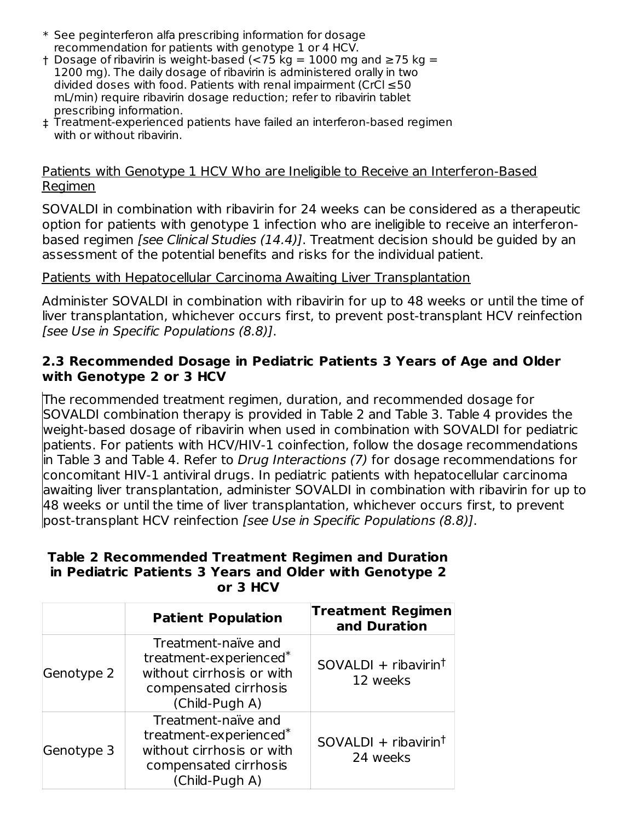- \* See peginterferon alfa prescribing information for dosage recommendation for patients with genotype 1 or 4 HCV.
- † Dosage of ribavirin is weight-based (<75 kg = 1000 mg and ≥75 kg = 1200 mg). The daily dosage of ribavirin is administered orally in two divided doses with food. Patients with renal impairment (CrCl  $\leq$  50 mL/min) require ribavirin dosage reduction; refer to ribavirin tablet prescribing information.
- ‡ Treatment-experienced patients have failed an interferon-based regimen with or without ribavirin.

#### Patients with Genotype 1 HCV Who are Ineligible to Receive an Interferon-Based Regimen

SOVALDI in combination with ribavirin for 24 weeks can be considered as a therapeutic option for patients with genotype 1 infection who are ineligible to receive an interferonbased regimen *[see Clinical Studies (14.4)]*. Treatment decision should be guided by an assessment of the potential benefits and risks for the individual patient.

#### Patients with Hepatocellular Carcinoma Awaiting Liver Transplantation

Administer SOVALDI in combination with ribavirin for up to 48 weeks or until the time of liver transplantation, whichever occurs first, to prevent post-transplant HCV reinfection [see Use in Specific Populations (8.8)].

#### **2.3 Recommended Dosage in Pediatric Patients 3 Years of Age and Older with Genotype 2 or 3 HCV**

The recommended treatment regimen, duration, and recommended dosage for SOVALDI combination therapy is provided in Table 2 and Table 3. Table 4 provides the weight-based dosage of ribavirin when used in combination with SOVALDI for pediatric patients. For patients with HCV/HIV-1 coinfection, follow the dosage recommendations in Table 3 and Table 4. Refer to Drug Interactions (7) for dosage recommendations for concomitant HIV-1 antiviral drugs. In pediatric patients with hepatocellular carcinoma awaiting liver transplantation, administer SOVALDI in combination with ribavirin for up to 48 weeks or until the time of liver transplantation, whichever occurs first, to prevent post-transplant HCV reinfection [see Use in Specific Populations (8.8)].

#### **Table 2 Recommended Treatment Regimen and Duration in Pediatric Patients 3 Years and Older with Genotype 2 or 3 HCV**

|            | <b>Patient Population</b>                                                                                                         | <b>Treatment Regimen</b><br>and Duration |
|------------|-----------------------------------------------------------------------------------------------------------------------------------|------------------------------------------|
| Genotype 2 | Treatment-naïve and<br>treatment-experienced <sup>*</sup><br>without cirrhosis or with<br>compensated cirrhosis<br>(Child-Pugh A) | $SOVALDI + ribavirin†$<br>12 weeks       |
| Genotype 3 | Treatment-naïve and<br>treatment-experienced <sup>*</sup><br>without cirrhosis or with<br>compensated cirrhosis<br>(Child-Pugh A) | $SOVALDI + ribavirin†$<br>24 weeks       |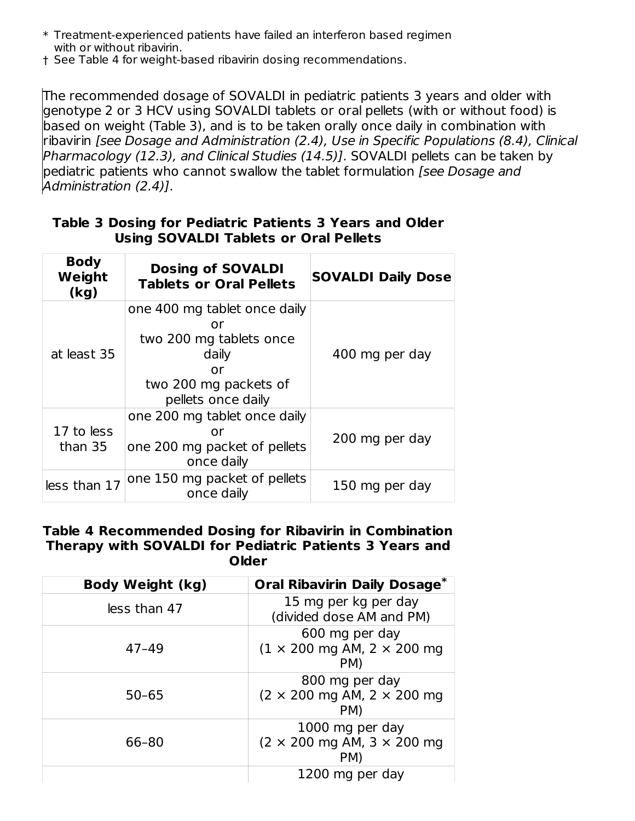$\ast$  Treatment-experienced patients have failed an interferon based regimen with or without ribavirin.

† See Table 4 for weight-based ribavirin dosing recommendations.

The recommended dosage of SOVALDI in pediatric patients 3 years and older with genotype 2 or 3 HCV using SOVALDI tablets or oral pellets (with or without food) is based on weight (Table 3), and is to be taken orally once daily in combination with ribavirin [see Dosage and Administration (2.4), Use in Specific Populations (8.4), Clinical Pharmacology (12.3), and Clinical Studies (14.5)]. SOVALDI pellets can be taken by pediatric patients who cannot swallow the tablet formulation *[see Dosage and* Administration (2.4)].

|  |                                              |  | Table 3 Dosing for Pediatric Patients 3 Years and Older |
|--|----------------------------------------------|--|---------------------------------------------------------|
|  | <b>Using SOVALDI Tablets or Oral Pellets</b> |  |                                                         |

| <b>Body</b><br>Weight<br>(kg) | <b>Dosing of SOVALDI</b><br><b>Tablets or Oral Pellets</b>                                                                  | <b>SOVALDI Daily Dose</b> |
|-------------------------------|-----------------------------------------------------------------------------------------------------------------------------|---------------------------|
| at least 35                   | one 400 mg tablet once daily<br>or<br>two 200 mg tablets once<br>daily<br>or<br>two 200 mg packets of<br>pellets once daily | 400 mg per day            |
| 17 to less<br>than 35         | one 200 mg tablet once daily<br>or<br>one 200 mg packet of pellets<br>once daily                                            | 200 mg per day            |
| less than 17                  | one 150 mg packet of pellets<br>once daily                                                                                  | 150 mg per day            |

#### **Table 4 Recommended Dosing for Ribavirin in Combination Therapy with SOVALDI for Pediatric Patients 3 Years and Older**

| Body Weight (kg) | <b>Oral Ribavirin Daily Dosage*</b>                                               |
|------------------|-----------------------------------------------------------------------------------|
| less than 47     | 15 mg per kg per day<br>(divided dose AM and PM)                                  |
| $47 - 49$        | 600 mg per day<br>$(1 \times 200 \text{ mg AM}, 2 \times 200 \text{ mg})$<br>PM)  |
| $50 - 65$        | 800 mg per day<br>$(2 \times 200 \text{ mg AM}, 2 \times 200 \text{ mg})$<br>PM)  |
| 66-80            | 1000 mg per day<br>$(2 \times 200 \text{ mg AM}, 3 \times 200 \text{ mg})$<br>PM) |
|                  | 1200 mg per day                                                                   |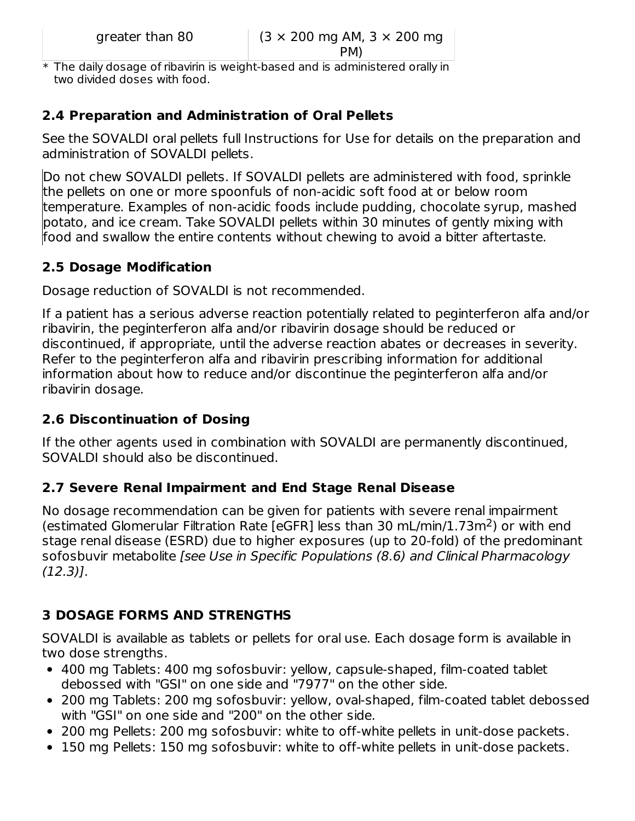PM)

\* The daily dosage of ribavirin is weight-based and is administered orally in two divided doses with food.

## **2.4 Preparation and Administration of Oral Pellets**

See the SOVALDI oral pellets full Instructions for Use for details on the preparation and administration of SOVALDI pellets.

Do not chew SOVALDI pellets. If SOVALDI pellets are administered with food, sprinkle the pellets on one or more spoonfuls of non-acidic soft food at or below room temperature. Examples of non-acidic foods include pudding, chocolate syrup, mashed potato, and ice cream. Take SOVALDI pellets within 30 minutes of gently mixing with food and swallow the entire contents without chewing to avoid a bitter aftertaste.

## **2.5 Dosage Modification**

Dosage reduction of SOVALDI is not recommended.

If a patient has a serious adverse reaction potentially related to peginterferon alfa and/or ribavirin, the peginterferon alfa and/or ribavirin dosage should be reduced or discontinued, if appropriate, until the adverse reaction abates or decreases in severity. Refer to the peginterferon alfa and ribavirin prescribing information for additional information about how to reduce and/or discontinue the peginterferon alfa and/or ribavirin dosage.

## **2.6 Discontinuation of Dosing**

If the other agents used in combination with SOVALDI are permanently discontinued, SOVALDI should also be discontinued.

## **2.7 Severe Renal Impairment and End Stage Renal Disease**

No dosage recommendation can be given for patients with severe renal impairment (estimated Glomerular Filtration Rate [eGFR] less than 30 mL/min/1.73m<sup>2</sup>) or with end stage renal disease (ESRD) due to higher exposures (up to 20-fold) of the predominant sofosbuvir metabolite [see Use in Specific Populations (8.6) and Clinical Pharmacology (12.3)].

## **3 DOSAGE FORMS AND STRENGTHS**

SOVALDI is available as tablets or pellets for oral use. Each dosage form is available in two dose strengths.

- 400 mg Tablets: 400 mg sofosbuvir: yellow, capsule-shaped, film-coated tablet debossed with "GSI" on one side and "7977" on the other side.
- 200 mg Tablets: 200 mg sofosbuvir: yellow, oval-shaped, film-coated tablet debossed with "GSI" on one side and "200" on the other side.
- 200 mg Pellets: 200 mg sofosbuvir: white to off-white pellets in unit-dose packets.
- 150 mg Pellets: 150 mg sofosbuvir: white to off-white pellets in unit-dose packets.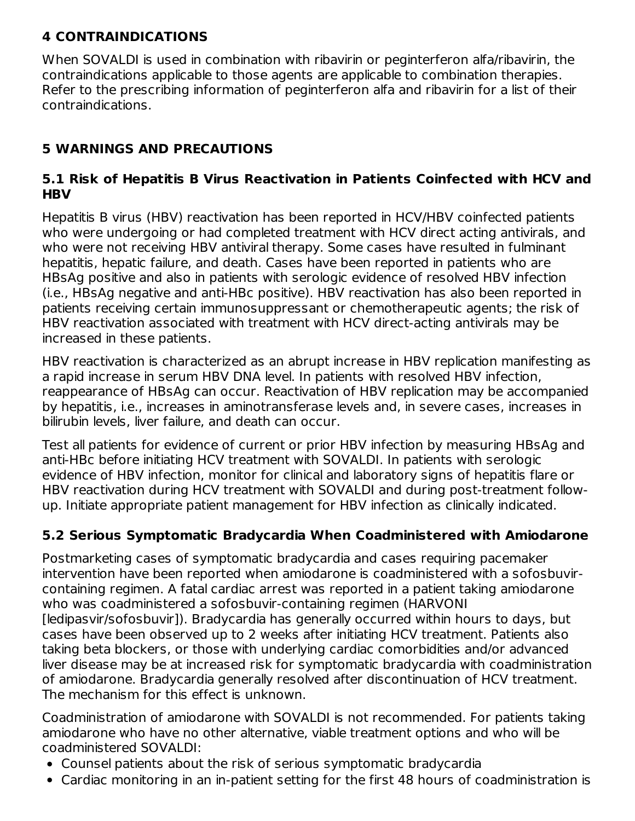## **4 CONTRAINDICATIONS**

When SOVALDI is used in combination with ribavirin or peginterferon alfa/ribavirin, the contraindications applicable to those agents are applicable to combination therapies. Refer to the prescribing information of peginterferon alfa and ribavirin for a list of their contraindications.

## **5 WARNINGS AND PRECAUTIONS**

### **5.1 Risk of Hepatitis B Virus Reactivation in Patients Coinfected with HCV and HBV**

Hepatitis B virus (HBV) reactivation has been reported in HCV/HBV coinfected patients who were undergoing or had completed treatment with HCV direct acting antivirals, and who were not receiving HBV antiviral therapy. Some cases have resulted in fulminant hepatitis, hepatic failure, and death. Cases have been reported in patients who are HBsAg positive and also in patients with serologic evidence of resolved HBV infection (i.e., HBsAg negative and anti-HBc positive). HBV reactivation has also been reported in patients receiving certain immunosuppressant or chemotherapeutic agents; the risk of HBV reactivation associated with treatment with HCV direct-acting antivirals may be increased in these patients.

HBV reactivation is characterized as an abrupt increase in HBV replication manifesting as a rapid increase in serum HBV DNA level. In patients with resolved HBV infection, reappearance of HBsAg can occur. Reactivation of HBV replication may be accompanied by hepatitis, i.e., increases in aminotransferase levels and, in severe cases, increases in bilirubin levels, liver failure, and death can occur.

Test all patients for evidence of current or prior HBV infection by measuring HBsAg and anti-HBc before initiating HCV treatment with SOVALDI. In patients with serologic evidence of HBV infection, monitor for clinical and laboratory signs of hepatitis flare or HBV reactivation during HCV treatment with SOVALDI and during post-treatment followup. Initiate appropriate patient management for HBV infection as clinically indicated.

## **5.2 Serious Symptomatic Bradycardia When Coadministered with Amiodarone**

Postmarketing cases of symptomatic bradycardia and cases requiring pacemaker intervention have been reported when amiodarone is coadministered with a sofosbuvircontaining regimen. A fatal cardiac arrest was reported in a patient taking amiodarone who was coadministered a sofosbuvir-containing regimen (HARVONI [ledipasvir/sofosbuvir]). Bradycardia has generally occurred within hours to days, but cases have been observed up to 2 weeks after initiating HCV treatment. Patients also taking beta blockers, or those with underlying cardiac comorbidities and/or advanced liver disease may be at increased risk for symptomatic bradycardia with coadministration of amiodarone. Bradycardia generally resolved after discontinuation of HCV treatment. The mechanism for this effect is unknown.

Coadministration of amiodarone with SOVALDI is not recommended. For patients taking amiodarone who have no other alternative, viable treatment options and who will be coadministered SOVALDI:

- Counsel patients about the risk of serious symptomatic bradycardia
- Cardiac monitoring in an in-patient setting for the first 48 hours of coadministration is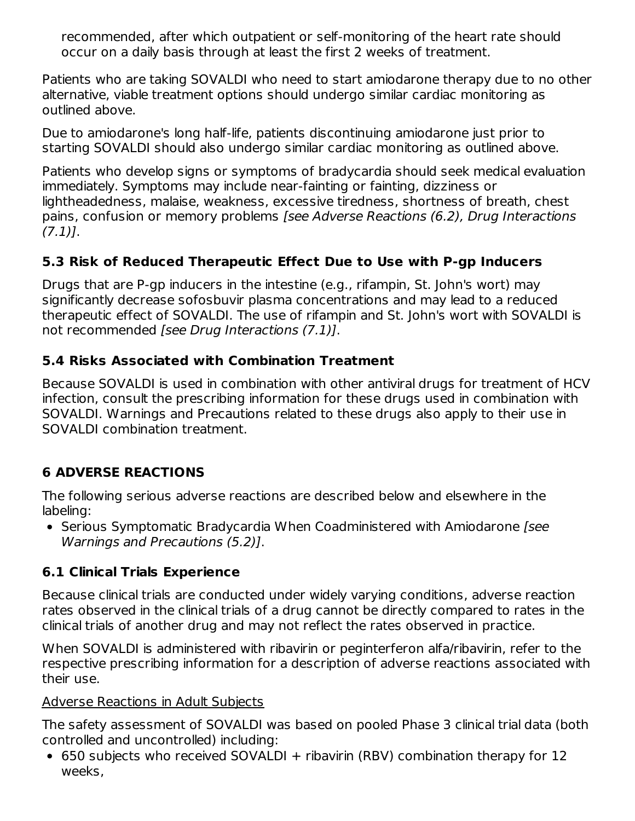recommended, after which outpatient or self-monitoring of the heart rate should occur on a daily basis through at least the first 2 weeks of treatment.

Patients who are taking SOVALDI who need to start amiodarone therapy due to no other alternative, viable treatment options should undergo similar cardiac monitoring as outlined above.

Due to amiodarone's long half-life, patients discontinuing amiodarone just prior to starting SOVALDI should also undergo similar cardiac monitoring as outlined above.

Patients who develop signs or symptoms of bradycardia should seek medical evaluation immediately. Symptoms may include near-fainting or fainting, dizziness or lightheadedness, malaise, weakness, excessive tiredness, shortness of breath, chest pains, confusion or memory problems [see Adverse Reactions (6.2), Drug Interactions  $(7.1)$ ].

## **5.3 Risk of Reduced Therapeutic Effect Due to Use with P-gp Inducers**

Drugs that are P-gp inducers in the intestine (e.g., rifampin, St. John's wort) may significantly decrease sofosbuvir plasma concentrations and may lead to a reduced therapeutic effect of SOVALDI. The use of rifampin and St. John's wort with SOVALDI is not recommended [see Drug Interactions (7.1)].

## **5.4 Risks Associated with Combination Treatment**

Because SOVALDI is used in combination with other antiviral drugs for treatment of HCV infection, consult the prescribing information for these drugs used in combination with SOVALDI. Warnings and Precautions related to these drugs also apply to their use in SOVALDI combination treatment.

# **6 ADVERSE REACTIONS**

The following serious adverse reactions are described below and elsewhere in the labeling:

• Serious Symptomatic Bradycardia When Coadministered with Amiodarone [see Warnings and Precautions (5.2)].

## **6.1 Clinical Trials Experience**

Because clinical trials are conducted under widely varying conditions, adverse reaction rates observed in the clinical trials of a drug cannot be directly compared to rates in the clinical trials of another drug and may not reflect the rates observed in practice.

When SOVALDI is administered with ribavirin or peginterferon alfa/ribavirin, refer to the respective prescribing information for a description of adverse reactions associated with their use.

### Adverse Reactions in Adult Subjects

The safety assessment of SOVALDI was based on pooled Phase 3 clinical trial data (both controlled and uncontrolled) including:

• 650 subjects who received SOVALDI + ribavirin (RBV) combination therapy for 12 weeks,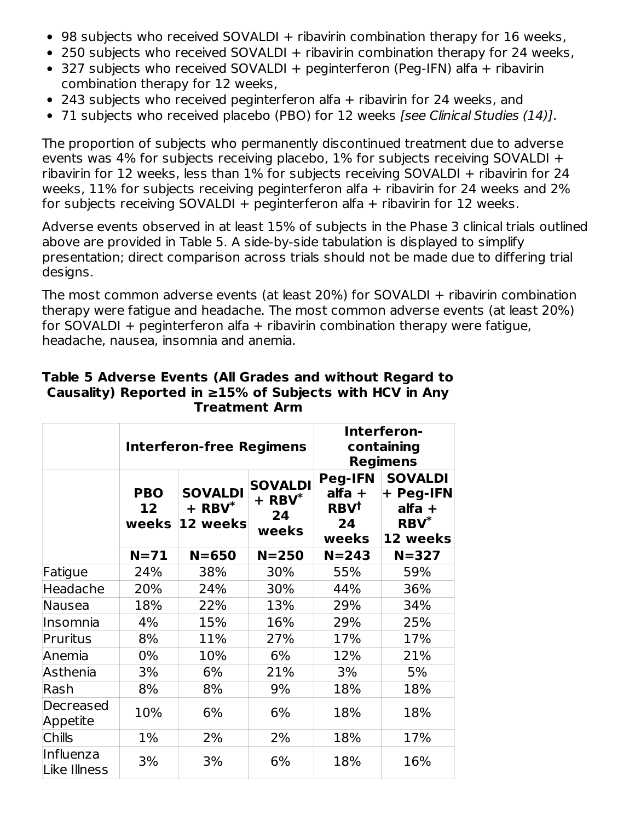- 98 subjects who received SOVALDI + ribavirin combination therapy for 16 weeks,
- 250 subjects who received SOVALDI + ribavirin combination therapy for 24 weeks,
- $\bullet$  327 subjects who received SOVALDI + peginterferon (Peg-IFN) alfa + ribavirin combination therapy for 12 weeks,
- 243 subjects who received peginterferon alfa + ribavirin for 24 weeks, and
- 71 subjects who received placebo (PBO) for 12 weeks [see Clinical Studies (14)].

The proportion of subjects who permanently discontinued treatment due to adverse events was 4% for subjects receiving placebo, 1% for subjects receiving SOVALDI + ribavirin for 12 weeks, less than 1% for subjects receiving SOVALDI + ribavirin for 24 weeks, 11% for subjects receiving peginterferon alfa  $+$  ribavirin for 24 weeks and 2% for subjects receiving SOVALDI + peginterferon alfa + ribavirin for 12 weeks.

Adverse events observed in at least 15% of subjects in the Phase 3 clinical trials outlined above are provided in Table 5. A side-by-side tabulation is displayed to simplify presentation; direct comparison across trials should not be made due to differing trial designs.

The most common adverse events (at least 20%) for SOVALDI + ribavirin combination therapy were fatigue and headache. The most common adverse events (at least 20%) for SOVALDI + peginterferon alfa + ribavirin combination therapy were fatigue, headache, nausea, insomnia and anemia.

|                           |                                        | <b>Interferon-free Regimens</b>           | Interferon-<br>containing<br><b>Regimens</b>          |                                                                   |                                                                |
|---------------------------|----------------------------------------|-------------------------------------------|-------------------------------------------------------|-------------------------------------------------------------------|----------------------------------------------------------------|
|                           | <b>PBO</b><br>12 <sup>1</sup><br>weeks | <b>SOVALDI</b><br>$+$ RBV $*$<br>12 weeks | <b>SOVALDI</b><br>$+$ RBV <sup>*</sup><br>24<br>weeks | <b>Peg-IFN</b><br>alfa +<br><b>RBV<sup>t</sup></b><br>24<br>weeks | <b>SOVALDI</b><br>+ Peg-IFN<br>$alfa +$<br>$RBV^*$<br>12 weeks |
|                           | $N=71$                                 | $N = 650$                                 | $N = 250$                                             | $N = 243$                                                         | $N = 327$                                                      |
| Fatigue                   | 24%                                    | 38%                                       | 30%                                                   | 55%                                                               | 59%                                                            |
| Headache                  | 20%                                    | 24%                                       | 30%                                                   | 44%                                                               | 36%                                                            |
| <b>Nausea</b>             | 18%                                    | 22%                                       | 13%                                                   | 29%                                                               | 34%                                                            |
| Insomnia                  | 4%                                     | 15%                                       | 16%                                                   | 29%                                                               | 25%                                                            |
| Pruritus                  | 8%                                     | 11%                                       | 27%                                                   | 17%                                                               | 17%                                                            |
| Anemia                    | 0%                                     | 10%                                       | 6%                                                    | 12%                                                               | 21%                                                            |
| Asthenia                  | 3%                                     | 6%                                        | 21%                                                   | 3%                                                                | 5%                                                             |
| Rash                      | 8%                                     | 8%                                        | 9%                                                    | 18%                                                               | 18%                                                            |
| Decreased<br>Appetite     | 10%                                    | 6%                                        | 6%                                                    | 18%                                                               | 18%                                                            |
| <b>Chills</b>             | $1\%$                                  | 2%                                        | 2%                                                    | 18%                                                               | 17%                                                            |
| Influenza<br>Like Illness | 3%                                     | 3%                                        | 6%                                                    | 18%                                                               | 16%                                                            |

#### **Table 5 Adverse Events (All Grades and without Regard to Causality) Reported in ≥15% of Subjects with HCV in Any Treatment Arm**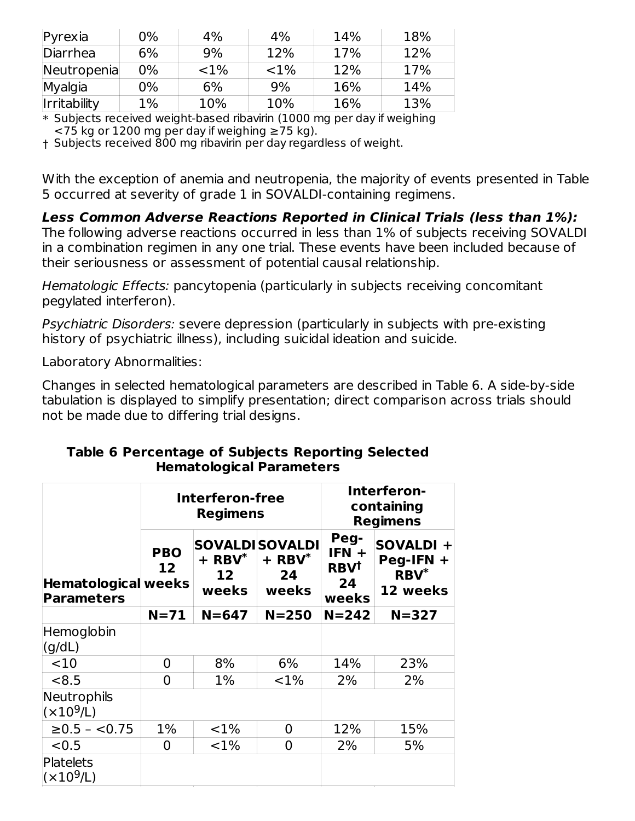| $P$ yrexia          | 0%    | 4%       | 4%       | 14% | 18% |
|---------------------|-------|----------|----------|-----|-----|
| Diarrhea            | 6%    | 9%       | 12%      | 17% | 12% |
| Neutropenia         | 0%    | ${<}1\%$ | ${<}1\%$ | 12% | 17% |
| Myalgia             | 0%    | 6%       | 9%       | 16% | 14% |
| <b>Irritability</b> | $1\%$ | 10%      | 10%      | 16% | 13% |

\* Subjects received weight-based ribavirin (1000 mg per day if weighing

 $<$ 75 kg or 1200 mg per day if weighing  $\geq$ 75 kg).

† Subjects received 800 mg ribavirin per day regardless of weight.

With the exception of anemia and neutropenia, the majority of events presented in Table 5 occurred at severity of grade 1 in SOVALDI-containing regimens.

**Less Common Adverse Reactions Reported in Clinical Trials (less than 1%):**

The following adverse reactions occurred in less than 1% of subjects receiving SOVALDI in a combination regimen in any one trial. These events have been included because of their seriousness or assessment of potential causal relationship.

Hematologic Effects: pancytopenia (particularly in subjects receiving concomitant pegylated interferon).

Psychiatric Disorders: severe depression (particularly in subjects with pre-existing history of psychiatric illness), including suicidal ideation and suicide.

Laboratory Abnormalities:

Changes in selected hematological parameters are described in Table 6. A side-by-side tabulation is displayed to simplify presentation; direct comparison across trials should not be made due to differing trial designs.

|                                          |                               | Interferon-free<br><b>Regimens</b> |                                                              | Interferon-<br>containing<br><b>Regimens</b>             |                                                 |  |
|------------------------------------------|-------------------------------|------------------------------------|--------------------------------------------------------------|----------------------------------------------------------|-------------------------------------------------|--|
| Hematological weeks<br><b>Parameters</b> | <b>PBO</b><br>12 <sub>2</sub> | $+$ RBV $*$<br>12<br>weeks         | <b>SOVALDISOVALDI</b><br>$+$ RBV <sup>*</sup><br>24<br>weeks | Peg-<br>$IFN +$<br><b>RBV<sup>t</sup></b><br>24<br>weeks | SOVALDI +<br>$Peg-IFN +$<br>$RBV^*$<br>12 weeks |  |
|                                          | $N=71$                        | $N = 647$                          | $N = 250$                                                    | $N = 242$                                                | $N = 327$                                       |  |
| Hemoglobin<br>(q/dL)                     |                               |                                    |                                                              |                                                          |                                                 |  |
| <10                                      | 0                             | 8%                                 | 6%                                                           | 14%                                                      | 23%                                             |  |
| < 8.5                                    | 0                             | $1\%$                              | ${<}1\%$                                                     | 2%                                                       | 2%                                              |  |
| Neutrophils<br>(x10 <sup>9</sup> /L)     |                               |                                    |                                                              |                                                          |                                                 |  |
| $≥0.5 - <0.75$                           | $1\%$                         | ${<}1\%$                           | 0                                                            | 12%                                                      | 15%                                             |  |
| < 0.5                                    | 0                             | ${<}1\%$                           | 0                                                            | 2%                                                       | 5%                                              |  |
| Platelets<br>(x10 <sup>9</sup> /L)       |                               |                                    |                                                              |                                                          |                                                 |  |

#### **Table 6 Percentage of Subjects Reporting Selected Hematological Parameters**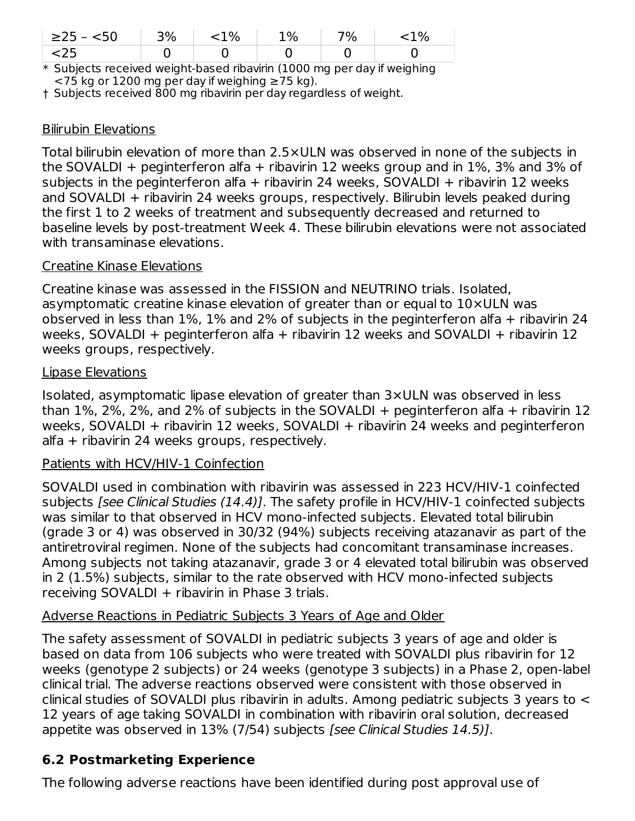| $\geq$ 25 -<br><50 | 30/ | 1% | 1% | 7% | $\%$   |
|--------------------|-----|----|----|----|--------|
| -2J                |     |    |    |    |        |
|                    | .   | .  | .  |    | .<br>. |

\* Subjects received weight-based ribavirin (1000 mg per day if weighing  $<$ 75 kg or 1200 mg per day if weighing  $\geq$ 75 kg).

† Subjects received 800 mg ribavirin per day regardless of weight.

### Bilirubin Elevations

Total bilirubin elevation of more than 2.5×ULN was observed in none of the subjects in the SOVALDI + peginterferon alfa + ribavirin 12 weeks group and in 1%, 3% and 3% of subjects in the peginterferon alfa + ribavirin 24 weeks, SOVALDI + ribavirin 12 weeks and SOVALDI + ribavirin 24 weeks groups, respectively. Bilirubin levels peaked during the first 1 to 2 weeks of treatment and subsequently decreased and returned to baseline levels by post-treatment Week 4. These bilirubin elevations were not associated with transaminase elevations.

#### Creatine Kinase Elevations

Creatine kinase was assessed in the FISSION and NEUTRINO trials. Isolated, asymptomatic creatine kinase elevation of greater than or equal to 10×ULN was observed in less than  $1\%$ ,  $1\%$  and  $2\%$  of subjects in the peginterferon alfa + ribavirin 24 weeks, SOVALDI + peginterferon alfa + ribavirin 12 weeks and SOVALDI + ribavirin 12 weeks groups, respectively.

#### Lipase Elevations

Isolated, asymptomatic lipase elevation of greater than 3×ULN was observed in less than  $1\%$ ,  $2\%$ ,  $2\%$ , and  $2\%$  of subjects in the SOVALDI + peginterferon alfa + ribavirin 12 weeks, SOVALDI + ribavirin 12 weeks, SOVALDI + ribavirin 24 weeks and peginterferon alfa + ribavirin 24 weeks groups, respectively.

#### Patients with HCV/HIV-1 Coinfection

SOVALDI used in combination with ribavirin was assessed in 223 HCV/HIV-1 coinfected subjects *[see Clinical Studies (14.4)]*. The safety profile in HCV/HIV-1 coinfected subjects was similar to that observed in HCV mono-infected subjects. Elevated total bilirubin (grade 3 or 4) was observed in 30/32 (94%) subjects receiving atazanavir as part of the antiretroviral regimen. None of the subjects had concomitant transaminase increases. Among subjects not taking atazanavir, grade 3 or 4 elevated total bilirubin was observed in 2 (1.5%) subjects, similar to the rate observed with HCV mono-infected subjects receiving SOVALDI + ribavirin in Phase 3 trials.

### Adverse Reactions in Pediatric Subjects 3 Years of Age and Older

The safety assessment of SOVALDI in pediatric subjects 3 years of age and older is based on data from 106 subjects who were treated with SOVALDI plus ribavirin for 12 weeks (genotype 2 subjects) or 24 weeks (genotype 3 subjects) in a Phase 2, open-label clinical trial. The adverse reactions observed were consistent with those observed in clinical studies of SOVALDI plus ribavirin in adults. Among pediatric subjects 3 years to < 12 years of age taking SOVALDI in combination with ribavirin oral solution, decreased appetite was observed in 13% (7/54) subjects [see Clinical Studies 14.5)].

## **6.2 Postmarketing Experience**

The following adverse reactions have been identified during post approval use of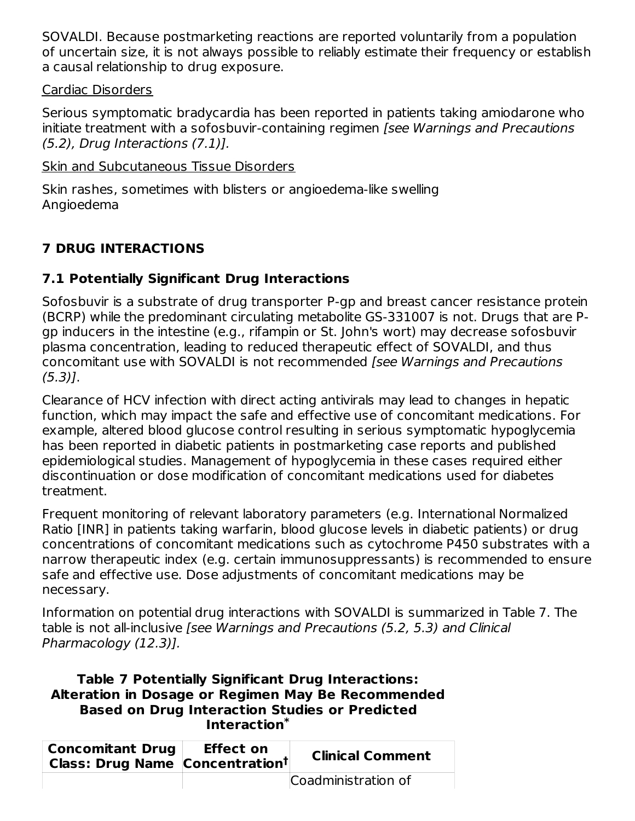SOVALDI. Because postmarketing reactions are reported voluntarily from a population of uncertain size, it is not always possible to reliably estimate their frequency or establish a causal relationship to drug exposure.

### Cardiac Disorders

Serious symptomatic bradycardia has been reported in patients taking amiodarone who initiate treatment with a sofosbuvir-containing regimen [see Warnings and Precautions  $(5.2)$ , Drug Interactions  $(7.1)$ ].

Skin and Subcutaneous Tissue Disorders

Skin rashes, sometimes with blisters or angioedema-like swelling Angioedema

# **7 DRUG INTERACTIONS**

## **7.1 Potentially Significant Drug Interactions**

Sofosbuvir is a substrate of drug transporter P-gp and breast cancer resistance protein (BCRP) while the predominant circulating metabolite GS-331007 is not. Drugs that are Pgp inducers in the intestine (e.g., rifampin or St. John's wort) may decrease sofosbuvir plasma concentration, leading to reduced therapeutic effect of SOVALDI, and thus concomitant use with SOVALDI is not recommended [see Warnings and Precautions (5.3)].

Clearance of HCV infection with direct acting antivirals may lead to changes in hepatic function, which may impact the safe and effective use of concomitant medications. For example, altered blood glucose control resulting in serious symptomatic hypoglycemia has been reported in diabetic patients in postmarketing case reports and published epidemiological studies. Management of hypoglycemia in these cases required either discontinuation or dose modification of concomitant medications used for diabetes treatment.

Frequent monitoring of relevant laboratory parameters (e.g. International Normalized Ratio [INR] in patients taking warfarin, blood glucose levels in diabetic patients) or drug concentrations of concomitant medications such as cytochrome P450 substrates with a narrow therapeutic index (e.g. certain immunosuppressants) is recommended to ensure safe and effective use. Dose adjustments of concomitant medications may be necessary.

Information on potential drug interactions with SOVALDI is summarized in Table 7. The table is not all-inclusive [see Warnings and Precautions (5.2, 5.3) and Clinical Pharmacology (12.3)].

### **Table 7 Potentially Significant Drug Interactions: Alteration in Dosage or Regimen May Be Recommended Based on Drug Interaction Studies or Predicted Interaction \***

| <b>Concomitant Drug</b><br>Class: Drug Name Concentration <sup>t</sup> | <b>Effect on</b> | <b>Clinical Comment</b> |
|------------------------------------------------------------------------|------------------|-------------------------|
|                                                                        |                  | Coadministration of     |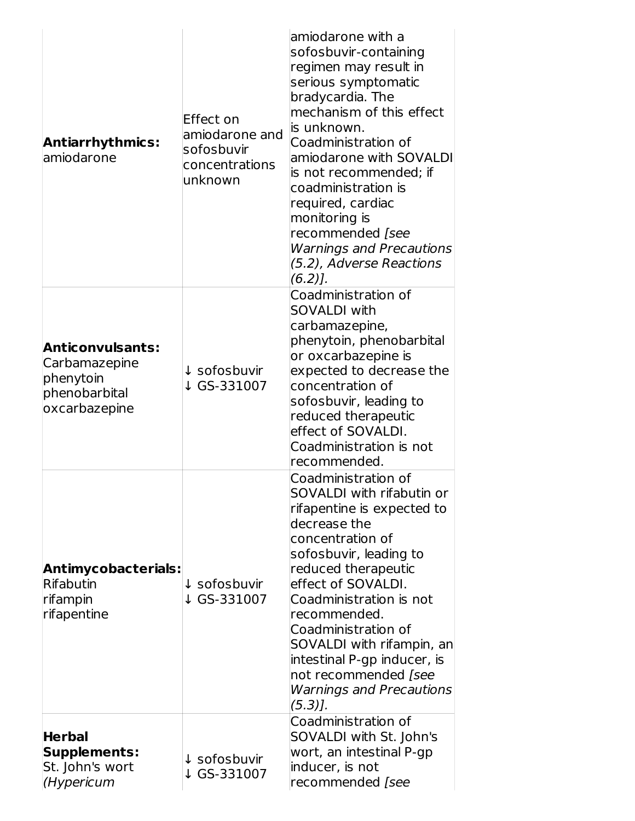| <b>Antiarrhythmics:</b><br>amiodarone                                                   | Effect on<br>amiodarone and<br>sofosbuvir<br>concentrations<br>unknown | amiodarone with a<br>sofosbuvir-containing<br>regimen may result in<br>serious symptomatic<br>bradycardia. The<br>mechanism of this effect<br>is unknown.<br>Coadministration of<br>amiodarone with SOVALDI<br>is not recommended; if<br>coadministration is<br>required, cardiac<br>monitoring is<br>recommended [see<br><b>Warnings and Precautions</b><br>(5.2), Adverse Reactions<br>$(6.2)$ ]. |
|-----------------------------------------------------------------------------------------|------------------------------------------------------------------------|-----------------------------------------------------------------------------------------------------------------------------------------------------------------------------------------------------------------------------------------------------------------------------------------------------------------------------------------------------------------------------------------------------|
| <b>Anticonvulsants:</b><br>Carbamazepine<br>phenytoin<br>phenobarbital<br>oxcarbazepine | ↓ sofosbuvir<br>↓ GS-331007                                            | Coadministration of<br><b>SOVALDI with</b><br>carbamazepine,<br>phenytoin, phenobarbital<br>or oxcarbazepine is<br>expected to decrease the<br>concentration of<br>sofosbuvir, leading to<br>reduced therapeutic<br>effect of SOVALDI.<br>Coadministration is not<br>recommended.                                                                                                                   |
| Antimycobacterials:<br>Rifabutin<br>rifampin<br>rifapentine                             | ↓ sofosbuvir<br>↓ GS-331007                                            | Coadministration of<br>SOVALDI with rifabutin or<br>rifapentine is expected to<br>decrease the<br>concentration of<br>sofosbuvir, leading to<br>reduced therapeutic<br>effect of SOVALDI.<br>Coadministration is not<br>recommended.<br>Coadministration of<br>SOVALDI with rifampin, an<br>intestinal P-gp inducer, is<br>not recommended [see<br><b>Warnings and Precautions</b><br>$(5.3)$ ].    |
| <b>Herbal</b><br>Supplements:<br>St. John's wort<br>(Hypericum                          | ↓ sofosbuvir<br>↓ GS-331007                                            | Coadministration of<br>SOVALDI with St. John's<br>wort, an intestinal P-gp<br>inducer, is not<br>recommended [see                                                                                                                                                                                                                                                                                   |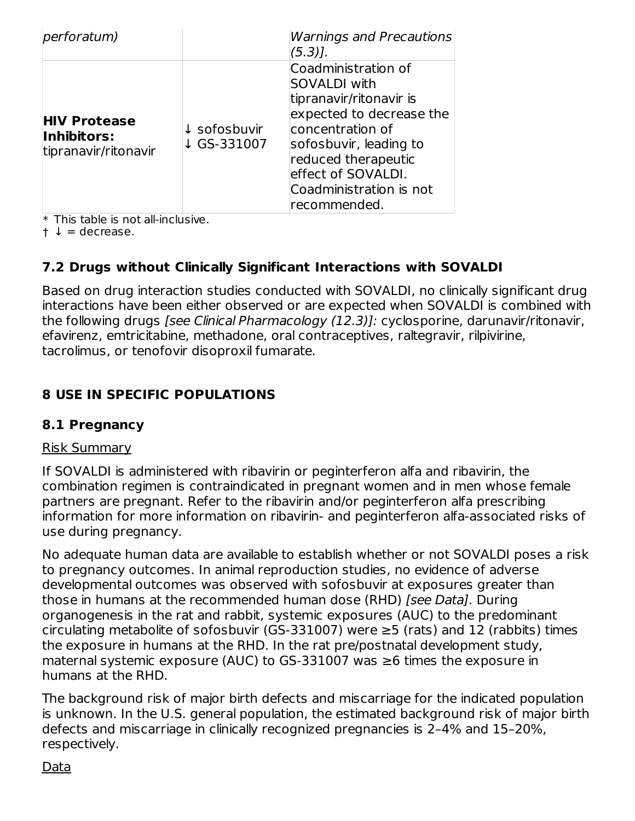| perforatum)                                                |                                        | Warnings and Precautions<br>$(5.3)$ ].                                                                                                                                                                                                  |
|------------------------------------------------------------|----------------------------------------|-----------------------------------------------------------------------------------------------------------------------------------------------------------------------------------------------------------------------------------------|
| <b>HIV Protease</b><br>Inhibitors:<br>tipranavir/ritonavir | $\downarrow$ sofosbuvir<br>↓ GS-331007 | Coadministration of<br><b>SOVALDI</b> with<br>tipranavir/ritonavir is<br>expected to decrease the<br>concentration of<br>sofosbuvir, leading to<br>reduced therapeutic<br>effect of SOVALDI.<br>Coadministration is not<br>recommended. |

 $\ast$  This table is not all-inclusive.

 $\dagger \downarrow$  = decrease.

## **7.2 Drugs without Clinically Significant Interactions with SOVALDI**

Based on drug interaction studies conducted with SOVALDI, no clinically significant drug interactions have been either observed or are expected when SOVALDI is combined with the following drugs [see Clinical Pharmacology (12.3)]: cyclosporine, darunavir/ritonavir, efavirenz, emtricitabine, methadone, oral contraceptives, raltegravir, rilpivirine, tacrolimus, or tenofovir disoproxil fumarate.

## **8 USE IN SPECIFIC POPULATIONS**

### **8.1 Pregnancy**

#### Risk Summary

If SOVALDI is administered with ribavirin or peginterferon alfa and ribavirin, the combination regimen is contraindicated in pregnant women and in men whose female partners are pregnant. Refer to the ribavirin and/or peginterferon alfa prescribing information for more information on ribavirin- and peginterferon alfa-associated risks of use during pregnancy.

No adequate human data are available to establish whether or not SOVALDI poses a risk to pregnancy outcomes. In animal reproduction studies, no evidence of adverse developmental outcomes was observed with sofosbuvir at exposures greater than those in humans at the recommended human dose (RHD) [see Data]. During organogenesis in the rat and rabbit, systemic exposures (AUC) to the predominant circulating metabolite of sofosbuvir (GS-331007) were  $\geq$ 5 (rats) and 12 (rabbits) times the exposure in humans at the RHD. In the rat pre/postnatal development study, maternal systemic exposure (AUC) to GS-331007 was ≥6 times the exposure in humans at the RHD.

The background risk of major birth defects and miscarriage for the indicated population is unknown. In the U.S. general population, the estimated background risk of major birth defects and miscarriage in clinically recognized pregnancies is 2–4% and 15–20%, respectively.

### Data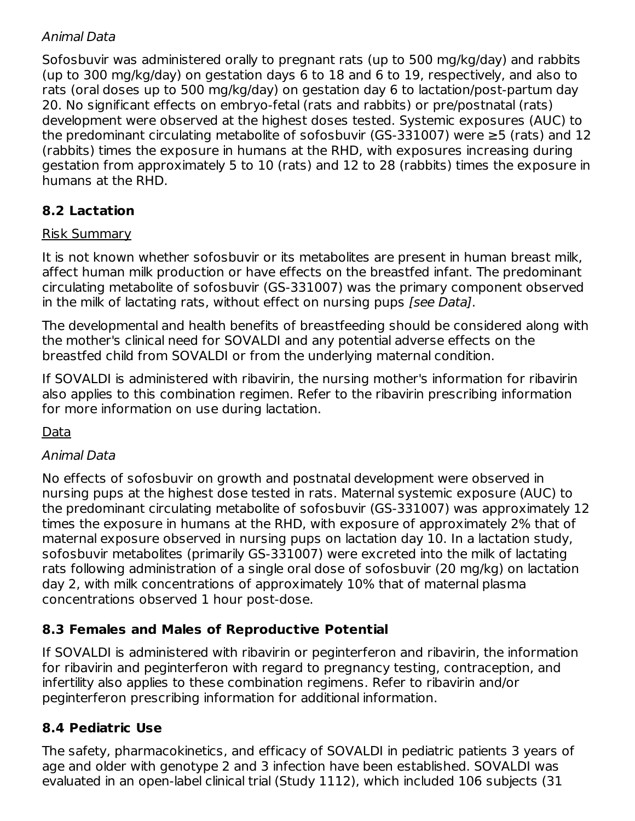## Animal Data

Sofosbuvir was administered orally to pregnant rats (up to 500 mg/kg/day) and rabbits (up to 300 mg/kg/day) on gestation days 6 to 18 and 6 to 19, respectively, and also to rats (oral doses up to 500 mg/kg/day) on gestation day 6 to lactation/post-partum day 20. No significant effects on embryo-fetal (rats and rabbits) or pre/postnatal (rats) development were observed at the highest doses tested. Systemic exposures (AUC) to the predominant circulating metabolite of sofosbuvir (GS-331007) were ≥5 (rats) and 12 (rabbits) times the exposure in humans at the RHD, with exposures increasing during gestation from approximately 5 to 10 (rats) and 12 to 28 (rabbits) times the exposure in humans at the RHD.

# **8.2 Lactation**

## Risk Summary

It is not known whether sofosbuvir or its metabolites are present in human breast milk, affect human milk production or have effects on the breastfed infant. The predominant circulating metabolite of sofosbuvir (GS-331007) was the primary component observed in the milk of lactating rats, without effect on nursing pups [see Data].

The developmental and health benefits of breastfeeding should be considered along with the mother's clinical need for SOVALDI and any potential adverse effects on the breastfed child from SOVALDI or from the underlying maternal condition.

If SOVALDI is administered with ribavirin, the nursing mother's information for ribavirin also applies to this combination regimen. Refer to the ribavirin prescribing information for more information on use during lactation.

Data

## Animal Data

No effects of sofosbuvir on growth and postnatal development were observed in nursing pups at the highest dose tested in rats. Maternal systemic exposure (AUC) to the predominant circulating metabolite of sofosbuvir (GS-331007) was approximately 12 times the exposure in humans at the RHD, with exposure of approximately 2% that of maternal exposure observed in nursing pups on lactation day 10. In a lactation study, sofosbuvir metabolites (primarily GS-331007) were excreted into the milk of lactating rats following administration of a single oral dose of sofosbuvir (20 mg/kg) on lactation day 2, with milk concentrations of approximately 10% that of maternal plasma concentrations observed 1 hour post-dose.

## **8.3 Females and Males of Reproductive Potential**

If SOVALDI is administered with ribavirin or peginterferon and ribavirin, the information for ribavirin and peginterferon with regard to pregnancy testing, contraception, and infertility also applies to these combination regimens. Refer to ribavirin and/or peginterferon prescribing information for additional information.

## **8.4 Pediatric Use**

The safety, pharmacokinetics, and efficacy of SOVALDI in pediatric patients 3 years of age and older with genotype 2 and 3 infection have been established. SOVALDI was evaluated in an open-label clinical trial (Study 1112), which included 106 subjects (31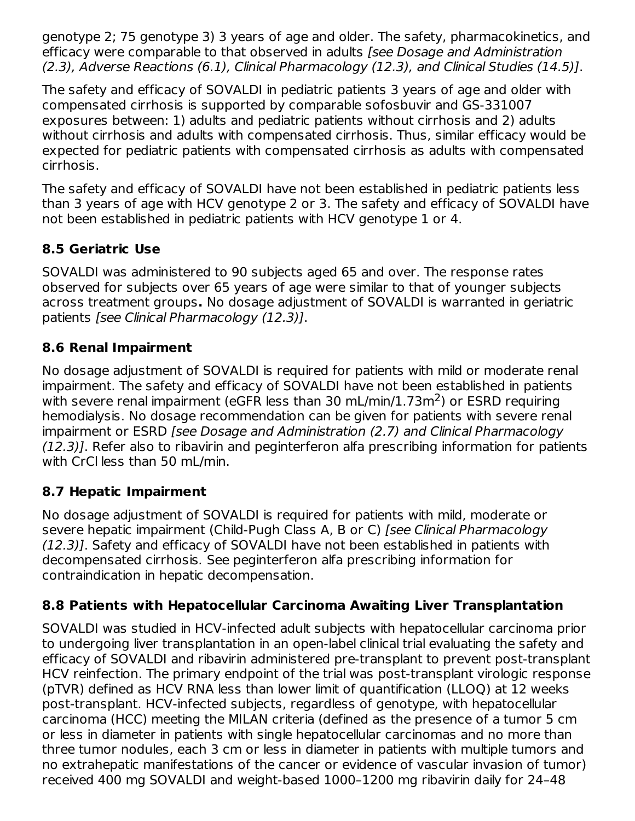genotype 2; 75 genotype 3) 3 years of age and older. The safety, pharmacokinetics, and efficacy were comparable to that observed in adults *[see Dosage and Administration* (2.3), Adverse Reactions (6.1), Clinical Pharmacology (12.3), and Clinical Studies (14.5)].

The safety and efficacy of SOVALDI in pediatric patients 3 years of age and older with compensated cirrhosis is supported by comparable sofosbuvir and GS-331007 exposures between: 1) adults and pediatric patients without cirrhosis and 2) adults without cirrhosis and adults with compensated cirrhosis. Thus, similar efficacy would be expected for pediatric patients with compensated cirrhosis as adults with compensated cirrhosis.

The safety and efficacy of SOVALDI have not been established in pediatric patients less than 3 years of age with HCV genotype 2 or 3. The safety and efficacy of SOVALDI have not been established in pediatric patients with HCV genotype 1 or 4.

## **8.5 Geriatric Use**

SOVALDI was administered to 90 subjects aged 65 and over. The response rates observed for subjects over 65 years of age were similar to that of younger subjects across treatment groups**.** No dosage adjustment of SOVALDI is warranted in geriatric patients [see Clinical Pharmacology (12.3)].

### **8.6 Renal Impairment**

No dosage adjustment of SOVALDI is required for patients with mild or moderate renal impairment. The safety and efficacy of SOVALDI have not been established in patients with severe renal impairment (eGFR less than 30 mL/min/1.73m<sup>2</sup>) or ESRD requiring hemodialysis. No dosage recommendation can be given for patients with severe renal impairment or ESRD [see Dosage and Administration (2.7) and Clinical Pharmacology (12.3)]. Refer also to ribavirin and peginterferon alfa prescribing information for patients with CrCl less than 50 mL/min.

## **8.7 Hepatic Impairment**

No dosage adjustment of SOVALDI is required for patients with mild, moderate or severe hepatic impairment (Child-Pugh Class A, B or C) [see Clinical Pharmacology (12.3)]. Safety and efficacy of SOVALDI have not been established in patients with decompensated cirrhosis. See peginterferon alfa prescribing information for contraindication in hepatic decompensation.

## **8.8 Patients with Hepatocellular Carcinoma Awaiting Liver Transplantation**

SOVALDI was studied in HCV-infected adult subjects with hepatocellular carcinoma prior to undergoing liver transplantation in an open-label clinical trial evaluating the safety and efficacy of SOVALDI and ribavirin administered pre-transplant to prevent post-transplant HCV reinfection. The primary endpoint of the trial was post-transplant virologic response (pTVR) defined as HCV RNA less than lower limit of quantification (LLOQ) at 12 weeks post-transplant. HCV-infected subjects, regardless of genotype, with hepatocellular carcinoma (HCC) meeting the MILAN criteria (defined as the presence of a tumor 5 cm or less in diameter in patients with single hepatocellular carcinomas and no more than three tumor nodules, each 3 cm or less in diameter in patients with multiple tumors and no extrahepatic manifestations of the cancer or evidence of vascular invasion of tumor) received 400 mg SOVALDI and weight-based 1000–1200 mg ribavirin daily for 24–48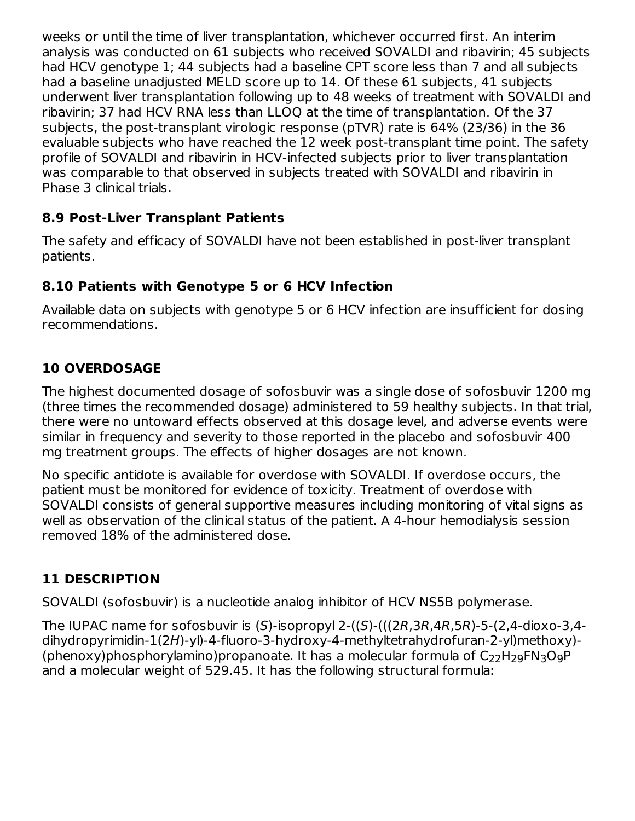weeks or until the time of liver transplantation, whichever occurred first. An interim analysis was conducted on 61 subjects who received SOVALDI and ribavirin; 45 subjects had HCV genotype 1; 44 subjects had a baseline CPT score less than 7 and all subjects had a baseline unadjusted MELD score up to 14. Of these 61 subjects, 41 subjects underwent liver transplantation following up to 48 weeks of treatment with SOVALDI and ribavirin; 37 had HCV RNA less than LLOQ at the time of transplantation. Of the 37 subjects, the post-transplant virologic response (pTVR) rate is 64% (23/36) in the 36 evaluable subjects who have reached the 12 week post-transplant time point. The safety profile of SOVALDI and ribavirin in HCV-infected subjects prior to liver transplantation was comparable to that observed in subjects treated with SOVALDI and ribavirin in Phase 3 clinical trials.

## **8.9 Post-Liver Transplant Patients**

The safety and efficacy of SOVALDI have not been established in post-liver transplant patients.

# **8.10 Patients with Genotype 5 or 6 HCV Infection**

Available data on subjects with genotype 5 or 6 HCV infection are insufficient for dosing recommendations.

## **10 OVERDOSAGE**

The highest documented dosage of sofosbuvir was a single dose of sofosbuvir 1200 mg (three times the recommended dosage) administered to 59 healthy subjects. In that trial, there were no untoward effects observed at this dosage level, and adverse events were similar in frequency and severity to those reported in the placebo and sofosbuvir 400 mg treatment groups. The effects of higher dosages are not known.

No specific antidote is available for overdose with SOVALDI. If overdose occurs, the patient must be monitored for evidence of toxicity. Treatment of overdose with SOVALDI consists of general supportive measures including monitoring of vital signs as well as observation of the clinical status of the patient. A 4-hour hemodialysis session removed 18% of the administered dose.

# **11 DESCRIPTION**

SOVALDI (sofosbuvir) is a nucleotide analog inhibitor of HCV NS5B polymerase.

The IUPAC name for sofosbuvir is (S)-isopropyl 2-((S)-(((2R,3R,4R,5R)-5-(2,4-dioxo-3,4 dihydropyrimidin-1(2H)-yl)-4-fluoro-3-hydroxy-4-methyltetrahydrofuran-2-yl)methoxy)- (phenoxy)phosphorylamino)propanoate. It has a molecular formula of  $\mathsf{C}_{22}\mathsf{H}_{29}\mathsf{FN}_3\mathsf{O}_9\mathsf{P}$ and a molecular weight of 529.45. It has the following structural formula: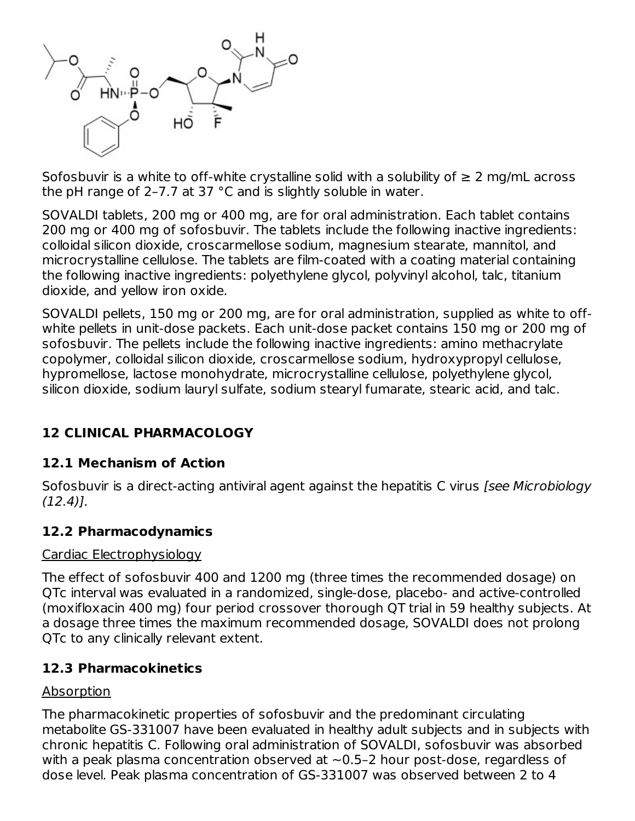

Sofosbuvir is a white to off-white crystalline solid with a solubility of  $\geq 2$  mg/mL across the pH range of 2–7.7 at 37 °C and is slightly soluble in water.

SOVALDI tablets, 200 mg or 400 mg, are for oral administration. Each tablet contains 200 mg or 400 mg of sofosbuvir. The tablets include the following inactive ingredients: colloidal silicon dioxide, croscarmellose sodium, magnesium stearate, mannitol, and microcrystalline cellulose. The tablets are film-coated with a coating material containing the following inactive ingredients: polyethylene glycol, polyvinyl alcohol, talc, titanium dioxide, and yellow iron oxide.

SOVALDI pellets, 150 mg or 200 mg, are for oral administration, supplied as white to offwhite pellets in unit-dose packets. Each unit-dose packet contains 150 mg or 200 mg of sofosbuvir. The pellets include the following inactive ingredients: amino methacrylate copolymer, colloidal silicon dioxide, croscarmellose sodium, hydroxypropyl cellulose, hypromellose, lactose monohydrate, microcrystalline cellulose, polyethylene glycol, silicon dioxide, sodium lauryl sulfate, sodium stearyl fumarate, stearic acid, and talc.

## **12 CLINICAL PHARMACOLOGY**

### **12.1 Mechanism of Action**

Sofosbuvir is a direct-acting antiviral agent against the hepatitis C virus [see Microbiology]  $(12.4)$ .

### **12.2 Pharmacodynamics**

#### Cardiac Electrophysiology

The effect of sofosbuvir 400 and 1200 mg (three times the recommended dosage) on QTc interval was evaluated in a randomized, single-dose, placebo- and active-controlled (moxifloxacin 400 mg) four period crossover thorough QT trial in 59 healthy subjects. At a dosage three times the maximum recommended dosage, SOVALDI does not prolong QTc to any clinically relevant extent.

### **12.3 Pharmacokinetics**

### Absorption

The pharmacokinetic properties of sofosbuvir and the predominant circulating metabolite GS-331007 have been evaluated in healthy adult subjects and in subjects with chronic hepatitis C. Following oral administration of SOVALDI, sofosbuvir was absorbed with a peak plasma concentration observed at  $\sim$  0.5–2 hour post-dose, regardless of dose level. Peak plasma concentration of GS-331007 was observed between 2 to 4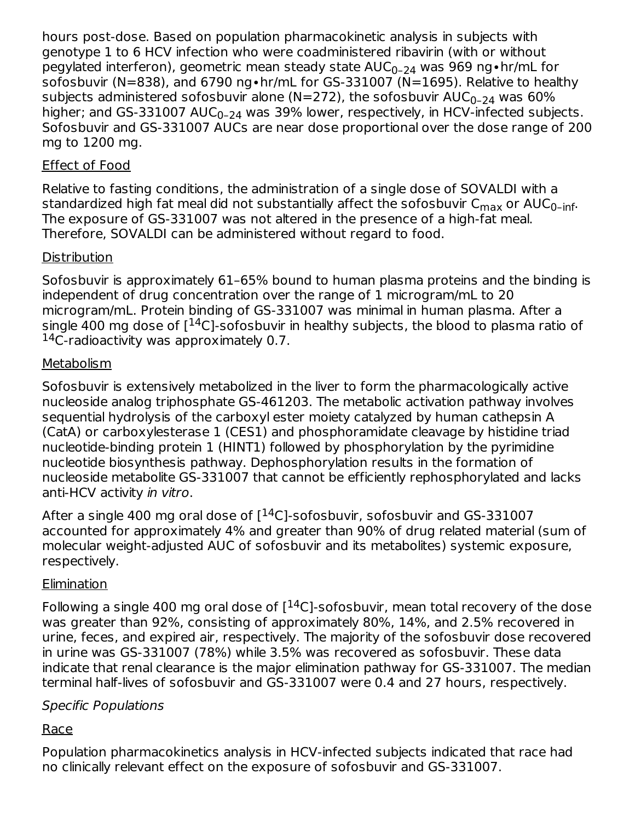hours post-dose. Based on population pharmacokinetic analysis in subjects with genotype 1 to 6 HCV infection who were coadministered ribavirin (with or without pegylated interferon), geometric mean steady state  $\mathsf{AUC}_{0^-24}$  was 969 ng•hr/mL for sofosbuvir (N=838), and 6790 ng∙hr/mL for GS-331007 (N=1695). Relative to healthy subjects administered sofosbuvir alone (N=272), the sofosbuvir AUC $_{\rm 0-24}$  was 60% higher; and GS-331007 AUC $_{\rm 0-24}$  was 39% lower, respectively, in HCV-infected subjects. Sofosbuvir and GS-331007 AUCs are near dose proportional over the dose range of 200 mg to 1200 mg.

## Effect of Food

Relative to fasting conditions, the administration of a single dose of SOVALDI with a standardized high fat meal did not substantially affect the sofosbuvir  $\mathsf{C}_{\mathsf{max}}$  or AUC $_{\mathsf{0\text{-}inf\cdot}}$ The exposure of GS-331007 was not altered in the presence of a high-fat meal. Therefore, SOVALDI can be administered without regard to food.

## **Distribution**

Sofosbuvir is approximately 61–65% bound to human plasma proteins and the binding is independent of drug concentration over the range of 1 microgram/mL to 20 microgram/mL. Protein binding of GS-331007 was minimal in human plasma. After a single 400 mg dose of [ $^{14}$ C]-sofosbuvir in healthy subjects, the blood to plasma ratio of  $14$ C-radioactivity was approximately 0.7.

## Metabolism

Sofosbuvir is extensively metabolized in the liver to form the pharmacologically active nucleoside analog triphosphate GS-461203. The metabolic activation pathway involves sequential hydrolysis of the carboxyl ester moiety catalyzed by human cathepsin A (CatA) or carboxylesterase 1 (CES1) and phosphoramidate cleavage by histidine triad nucleotide-binding protein 1 (HINT1) followed by phosphorylation by the pyrimidine nucleotide biosynthesis pathway. Dephosphorylation results in the formation of nucleoside metabolite GS-331007 that cannot be efficiently rephosphorylated and lacks anti-HCV activity in vitro.

After a single 400 mg oral dose of  $[$ <sup>14</sup>C]-sofosbuvir, sofosbuvir and GS-331007 accounted for approximately 4% and greater than 90% of drug related material (sum of molecular weight-adjusted AUC of sofosbuvir and its metabolites) systemic exposure, respectively.

## **Elimination**

Following a single 400 mg oral dose of  $[^{14}C]$ -sofosbuvir, mean total recovery of the dose was greater than 92%, consisting of approximately 80%, 14%, and 2.5% recovered in urine, feces, and expired air, respectively. The majority of the sofosbuvir dose recovered in urine was GS-331007 (78%) while 3.5% was recovered as sofosbuvir. These data indicate that renal clearance is the major elimination pathway for GS-331007. The median terminal half-lives of sofosbuvir and GS-331007 were 0.4 and 27 hours, respectively.

## Specific Populations

## Race

Population pharmacokinetics analysis in HCV-infected subjects indicated that race had no clinically relevant effect on the exposure of sofosbuvir and GS-331007.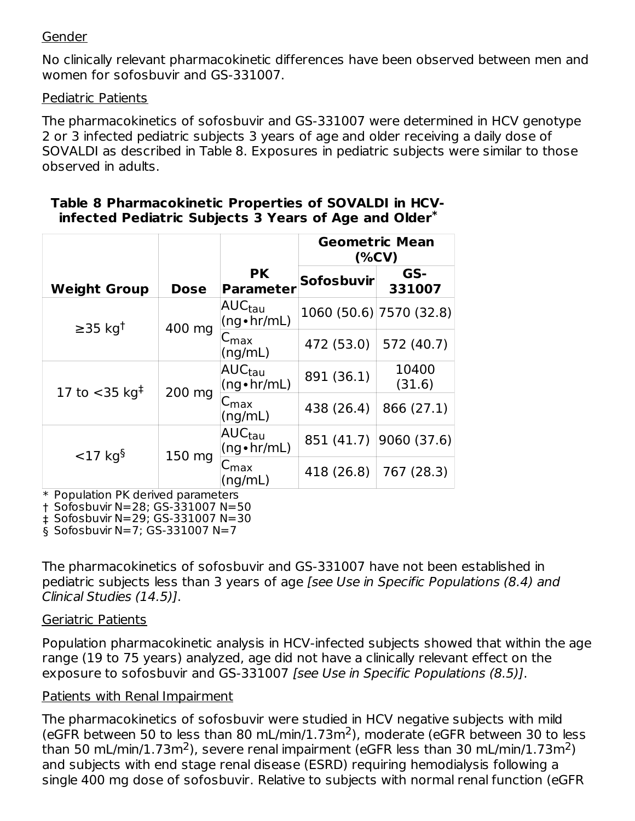#### Gender

No clinically relevant pharmacokinetic differences have been observed between men and women for sofosbuvir and GS-331007.

#### Pediatric Patients

The pharmacokinetics of sofosbuvir and GS-331007 were determined in HCV genotype 2 or 3 infected pediatric subjects 3 years of age and older receiving a daily dose of SOVALDI as described in Table 8. Exposures in pediatric subjects were similar to those observed in adults.

|                                        |             |                                                        |                         | <b>Geometric Mean</b><br>$(\%CV)$ |
|----------------------------------------|-------------|--------------------------------------------------------|-------------------------|-----------------------------------|
| <b>Weight Group</b>                    | <b>Dose</b> | <b>PK</b><br><b>Parameter</b>                          | <b>Sofosbuvir</b>       | GS-<br>331007                     |
| $\geq$ 35 kg <sup>†</sup><br>400 mg    |             | AUC <sub>tau</sub><br>$(ng \cdot hr/mL)$               | 1060 (50.6) 7570 (32.8) |                                   |
|                                        |             | $C_{\text{max}}$<br>(ng/mL)                            | 472 (53.0)              | 572 (40.7)                        |
| 17 to $<$ 35 kg <sup>‡</sup><br>200 mg |             | AUC <sub>tau</sub><br>$(ng \cdot hr/mL)$               | 891 (36.1)              | 10400<br>(31.6)                   |
|                                        |             | $\mathsf{C}_{\textsf{max}}$<br>(ng/mL)                 | 438 (26.4)              | 866 (27.1)                        |
| $<$ 17 kg <sup>§</sup>                 |             | AUC <sub>tau</sub><br>851 (41.7)<br>$(ng \cdot hr/mL)$ |                         | 9060 (37.6)                       |
| 150 mg                                 |             | -max<br>(ng/mL)                                        | 418 (26.8)              | 767 (28.3)                        |

#### **Table 8 Pharmacokinetic Properties of SOVALDI in HCVinfected Pediatric Subjects 3 Years of Age and Older \***

\* Population PK derived parameters

† Sofosbuvir N=28; GS-331007 N=50

‡ Sofosbuvir N=29; GS-331007 N=30

§ Sofosbuvir N=7; GS-331007 N=7

The pharmacokinetics of sofosbuvir and GS-331007 have not been established in pediatric subjects less than 3 years of age [see Use in Specific Populations (8.4) and Clinical Studies (14.5)].

#### Geriatric Patients

Population pharmacokinetic analysis in HCV-infected subjects showed that within the age range (19 to 75 years) analyzed, age did not have a clinically relevant effect on the exposure to sofosbuvir and GS-331007 [see Use in Specific Populations (8.5)].

### Patients with Renal Impairment

The pharmacokinetics of sofosbuvir were studied in HCV negative subjects with mild (eGFR between 50 to less than 80 mL/min/1.73m<sup>2</sup>), moderate (eGFR between 30 to less than 50 mL/min/1.73m<sup>2</sup>), severe renal impairment (eGFR less than 30 mL/min/1.73m<sup>2</sup>) and subjects with end stage renal disease (ESRD) requiring hemodialysis following a single 400 mg dose of sofosbuvir. Relative to subjects with normal renal function (eGFR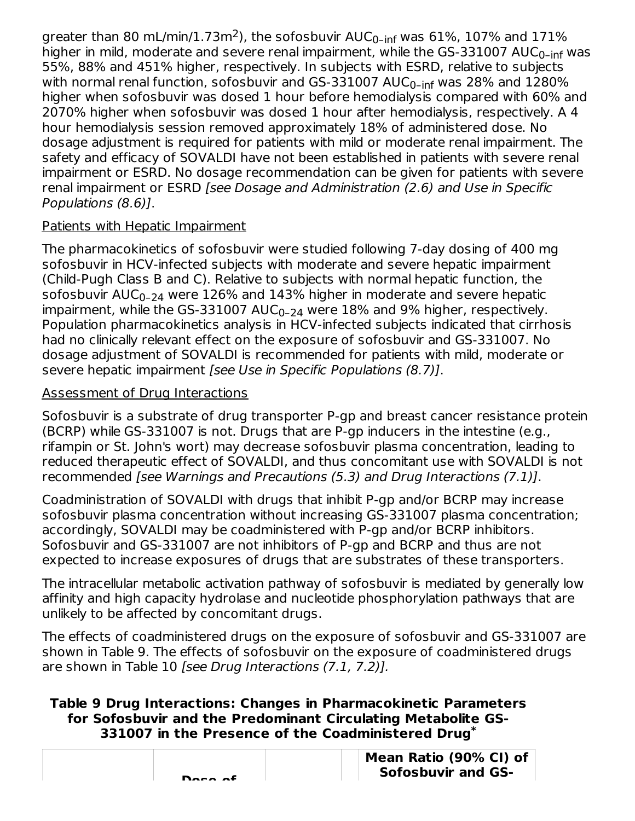greater than 80 mL/min/1.73m<sup>2</sup>), the sofosbuvir AUC<sub>0-inf</sub> was 61%, 107% and 171% higher in mild, moderate and severe renal impairment, while the GS-331007 AUC<sub>0-inf</sub> was 55%, 88% and 451% higher, respectively. In subjects with ESRD, relative to subjects with normal renal function, sofosbuvir and GS-331007 AUC $_{\sf 0{\text{-}}inf}$  was 28% and 1280% higher when sofosbuvir was dosed 1 hour before hemodialysis compared with 60% and 2070% higher when sofosbuvir was dosed 1 hour after hemodialysis, respectively. A 4 hour hemodialysis session removed approximately 18% of administered dose. No dosage adjustment is required for patients with mild or moderate renal impairment. The safety and efficacy of SOVALDI have not been established in patients with severe renal impairment or ESRD. No dosage recommendation can be given for patients with severe renal impairment or ESRD [see Dosage and Administration (2.6) and Use in Specific Populations (8.6)].

## Patients with Hepatic Impairment

The pharmacokinetics of sofosbuvir were studied following 7-day dosing of 400 mg sofosbuvir in HCV-infected subjects with moderate and severe hepatic impairment (Child-Pugh Class B and C). Relative to subjects with normal hepatic function, the sofosbuvir AUC $_{\rm 0-24}$  were  $126\%$  and  $143\%$  higher in moderate and severe hepatic impairment, while the GS-331007 AUC $_{\mathrm{0-24}}$  were 18% and 9% higher, respectively. Population pharmacokinetics analysis in HCV-infected subjects indicated that cirrhosis had no clinically relevant effect on the exposure of sofosbuvir and GS-331007. No dosage adjustment of SOVALDI is recommended for patients with mild, moderate or severe hepatic impairment [see Use in Specific Populations (8.7)].

## Assessment of Drug Interactions

Sofosbuvir is a substrate of drug transporter P-gp and breast cancer resistance protein (BCRP) while GS-331007 is not. Drugs that are P-gp inducers in the intestine (e.g., rifampin or St. John's wort) may decrease sofosbuvir plasma concentration, leading to reduced therapeutic effect of SOVALDI, and thus concomitant use with SOVALDI is not recommended [see Warnings and Precautions (5.3) and Drug Interactions (7.1)].

Coadministration of SOVALDI with drugs that inhibit P-gp and/or BCRP may increase sofosbuvir plasma concentration without increasing GS-331007 plasma concentration; accordingly, SOVALDI may be coadministered with P-gp and/or BCRP inhibitors. Sofosbuvir and GS-331007 are not inhibitors of P-gp and BCRP and thus are not expected to increase exposures of drugs that are substrates of these transporters.

The intracellular metabolic activation pathway of sofosbuvir is mediated by generally low affinity and high capacity hydrolase and nucleotide phosphorylation pathways that are unlikely to be affected by concomitant drugs.

The effects of coadministered drugs on the exposure of sofosbuvir and GS-331007 are shown in Table 9. The effects of sofosbuvir on the exposure of coadministered drugs are shown in Table 10 [see Drug Interactions (7.1, 7.2)].

### **Table 9 Drug Interactions: Changes in Pharmacokinetic Parameters for Sofosbuvir and the Predominant Circulating Metabolite GS-331007 in the Presence of the Coadministered Drug \***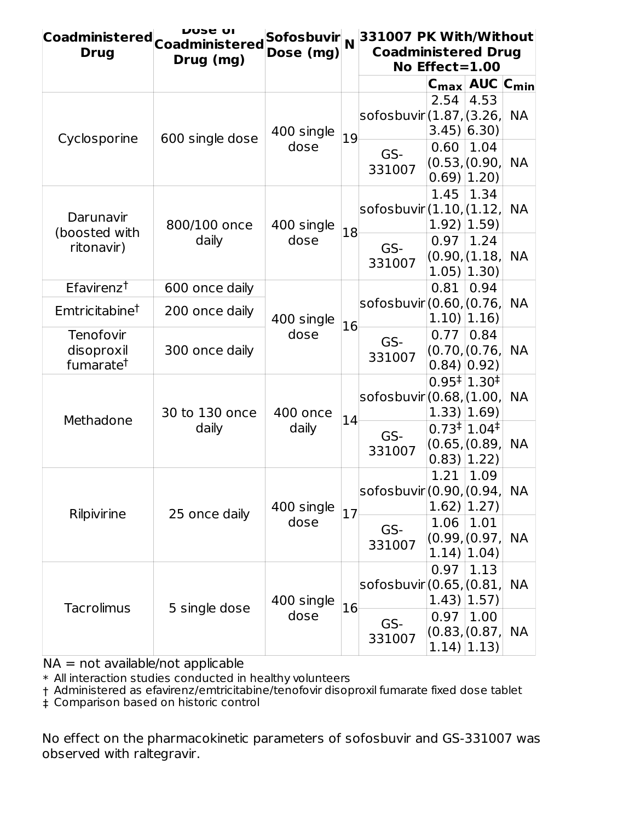| <b>Coadministered</b><br><b>Drug</b>             | <b>DUSE OI</b><br><b>Coadministered</b><br>Drug (mg) | Sofosbuvir N<br>Dose (mg) |            | 331007 PK With/Without<br><b>Coadministered Drug</b> | No Effect= $1.00$                                              |                                          |                                        |           |           |
|--------------------------------------------------|------------------------------------------------------|---------------------------|------------|------------------------------------------------------|----------------------------------------------------------------|------------------------------------------|----------------------------------------|-----------|-----------|
|                                                  |                                                      |                           |            |                                                      | $C_{\text{max}}$ AUC $C_{\text{min}}$                          |                                          |                                        |           |           |
|                                                  |                                                      | 400 single                |            | sofosbuvir (1.87, (3.26,                             | 2.54<br>$3.45$ $(6.30)$                                        | 4.53                                     | <b>NA</b>                              |           |           |
| Cyclosporine                                     | 600 single dose                                      | dose                      | 19         | GS-<br>331007                                        | 0.60<br>(0.53,(0.90,<br>$0.69$   1.20)                         | 1.04                                     | <b>NA</b>                              |           |           |
| Darunavir<br>(boosted with                       | 800/100 once                                         | 400 single                | 18         | sofosbuvir(1.10,(1.12,                               | 1.45<br>1.92)                                                  | 1.34<br>1.59)                            | <b>NA</b>                              |           |           |
| ritonavir)                                       | daily                                                |                           | dose       |                                                      |                                                                |                                          | 0.97<br>(0.90,(1.18,<br>$1.05$   1.30) | 1.24      | <b>NA</b> |
| $E$ favirenz <sup>†</sup>                        | 600 once daily                                       |                           |            |                                                      | 0.81                                                           | 0.94                                     |                                        |           |           |
| Emtricitabine <sup>†</sup>                       | 200 once daily                                       | 400 single                |            | sofosbuvir (0.60, (0.76,                             | $1.10$   1.16)                                                 |                                          | <b>NA</b>                              |           |           |
| Tenofovir<br>disoproxil<br>fumarate <sup>†</sup> | 300 once daily                                       | 16<br>dose                |            |                                                      | GS-<br>331007                                                  | 0.77<br>(0.70, 0.76,<br>$0.84)$ $(0.92)$ | 0.84                                   | <b>NA</b> |           |
| Methadone                                        | 30 to 130 once                                       | 400 once                  | 14         | sofosbuvir (0.68, (1.00,                             | $0.95 \frac{+}{1.30}$<br>$1.33$ ] $1.69$                       |                                          | <b>NA</b>                              |           |           |
|                                                  | daily                                                | daily                     |            | GS-<br>331007                                        | $0.73 \frac{+}{1.04}$<br>(0.65, 0.89, 0.65)<br>$0.83$ ] [1.22] |                                          | <b>NA</b>                              |           |           |
| Rilpivirine                                      | 25 once daily                                        | 400 single                |            | sofosbuvir (0.90, (0.94,                             | 1.21<br>$1.62$ ) $ 1.27$ )                                     | 1.09                                     | <b>NA</b>                              |           |           |
|                                                  |                                                      |                           | 17<br>dose |                                                      | 1.06<br>(0.99, 0.97,<br>$1.14$ ) $ 1.04$ )                     | 1.01                                     | <b>NA</b>                              |           |           |
| <b>Tacrolimus</b>                                | 5 single dose                                        | 400 single                | 16         | sofosbuvir (0.65, (0.81,                             | 0.97<br>$1.43$ ] $ 1.57$                                       | 1.13                                     | <b>NA</b>                              |           |           |
|                                                  |                                                      | dose                      |            | GS-<br>331007                                        | 0.97<br>(0.83, 0.87,<br>$1.14$ $ 1.13$                         | 1.00                                     | <b>NA</b>                              |           |           |

NA = not available/not applicable

\* All interaction studies conducted in healthy volunteers

† Administered as efavirenz/emtricitabine/tenofovir disoproxil fumarate fixed dose tablet

‡ Comparison based on historic control

No effect on the pharmacokinetic parameters of sofosbuvir and GS-331007 was observed with raltegravir.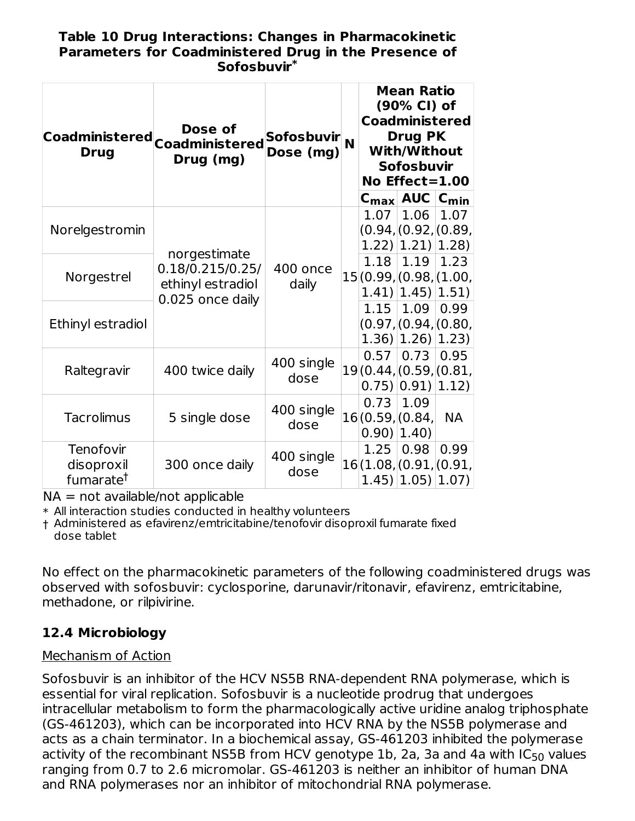#### **Table 10 Drug Interactions: Changes in Pharmacokinetic Parameters for Coadministered Drug in the Presence of Sofosbuvir \***

| Coadministered  <sub>Coadministered</sub><br><b>Drug</b> | Dose of<br>Drug (mg)                                                      | <b>Sofosbuvir</b><br>Dose (mg) | N |                                  | <b>Mean Ratio</b><br>(90% CI) of<br><b>Coadministered</b><br><b>Drug PK</b><br>With/Without<br><b>Sofosbuvir</b><br>No Effect=1.00 |                                       |
|----------------------------------------------------------|---------------------------------------------------------------------------|--------------------------------|---|----------------------------------|------------------------------------------------------------------------------------------------------------------------------------|---------------------------------------|
|                                                          |                                                                           |                                |   |                                  | $C_{\text{max}}$ AUC $C_{\text{min}}$                                                                                              |                                       |
| Norelgestromin                                           | norgestimate<br>0.18/0.215/0.25/<br>ethinyl estradiol<br>0.025 once daily |                                |   | 1.07                             | 1.06<br>(1.22)   1.21   1.28                                                                                                       | 1.07<br>(0.94, (0.92, (0.89,          |
| Norgestrel                                               |                                                                           | 400 once<br>daily              |   | 1.18                             | 1.19<br>$1.41$ ] $ 1.45$ ] $ 1.51$                                                                                                 | 1.23<br>15(0.99, $(0.98, 1.00, 1.00)$ |
| Ethinyl estradiol                                        |                                                                           |                                |   | 1.15                             | 1.09<br>$(1.36)$ $(1.26)$ $(1.23)$                                                                                                 | 0.99<br>(0.97, (0.94, (0.80,          |
| Raltegravir                                              | 400 twice daily                                                           | 400 single<br>dose             |   | 0.57                             | 0.73<br>$0.75$   $0.91$                                                                                                            | 0.95<br>19(0.44,(0.59,(0.81,<br>1.12) |
| <b>Tacrolimus</b>                                        | 5 single dose                                                             | 400 single<br>dose             |   | 0.73<br>16(0.59, (0.84,<br>0.90) | 1.09<br>1.40)                                                                                                                      | <b>NA</b>                             |
| Tenofovir<br>disoproxil<br>fumarate <sup>†</sup>         | 300 once daily                                                            | 400 single<br>dose             |   | 1.25                             | 0.98<br>$1.45$ $ 1.05$ $ 1.07$                                                                                                     | 0.99<br>16(1.08, (0.91, (0.91,        |

 $NA = not available/not applicable$ 

 $\ast$  All interaction studies conducted in healthy volunteers

† Administered as efavirenz/emtricitabine/tenofovir disoproxil fumarate fixed dose tablet

No effect on the pharmacokinetic parameters of the following coadministered drugs was observed with sofosbuvir: cyclosporine, darunavir/ritonavir, efavirenz, emtricitabine, methadone, or rilpivirine.

## **12.4 Microbiology**

## Mechanism of Action

Sofosbuvir is an inhibitor of the HCV NS5B RNA-dependent RNA polymerase, which is essential for viral replication. Sofosbuvir is a nucleotide prodrug that undergoes intracellular metabolism to form the pharmacologically active uridine analog triphosphate (GS-461203), which can be incorporated into HCV RNA by the NS5B polymerase and acts as a chain terminator. In a biochemical assay, GS-461203 inhibited the polymerase activity of the recombinant NS5B from HCV genotype  $1{\sf b}$ , 2a, 3a and 4a with IC $_{50}$  values ranging from 0.7 to 2.6 micromolar. GS-461203 is neither an inhibitor of human DNA and RNA polymerases nor an inhibitor of mitochondrial RNA polymerase.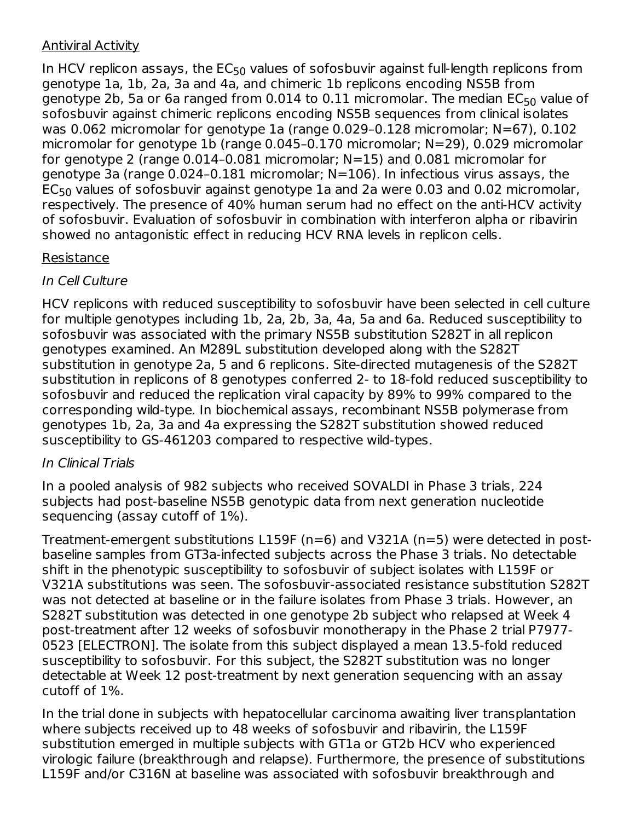## Antiviral Activity

In HCV replicon assays, the  $\mathsf{EC}_{50}$  values of sofosbuvir against full-length replicons from genotype 1a, 1b, 2a, 3a and 4a, and chimeric 1b replicons encoding NS5B from genotype 2b, 5a or 6a ranged from 0.014 to 0.11 micromolar. The median EC $_{50}$  value of sofosbuvir against chimeric replicons encoding NS5B sequences from clinical isolates was 0.062 micromolar for genotype 1a (range 0.029-0.128 micromolar; N=67), 0.102 micromolar for genotype 1b (range 0.045–0.170 micromolar; N=29), 0.029 micromolar for genotype 2 (range 0.014–0.081 micromolar; N=15) and 0.081 micromolar for genotype 3a (range 0.024–0.181 micromolar; N=106). In infectious virus assays, the  $\mathsf{EC}_{50}$  values of sofosbuvir against genotype  $1$ a and  $2$ a were  $0.03$  and  $0.02$  micromolar, respectively. The presence of 40% human serum had no effect on the anti-HCV activity of sofosbuvir. Evaluation of sofosbuvir in combination with interferon alpha or ribavirin showed no antagonistic effect in reducing HCV RNA levels in replicon cells.

## Resistance

## In Cell Culture

HCV replicons with reduced susceptibility to sofosbuvir have been selected in cell culture for multiple genotypes including 1b, 2a, 2b, 3a, 4a, 5a and 6a. Reduced susceptibility to sofosbuvir was associated with the primary NS5B substitution S282T in all replicon genotypes examined. An M289L substitution developed along with the S282T substitution in genotype 2a, 5 and 6 replicons. Site-directed mutagenesis of the S282T substitution in replicons of 8 genotypes conferred 2- to 18-fold reduced susceptibility to sofosbuvir and reduced the replication viral capacity by 89% to 99% compared to the corresponding wild-type. In biochemical assays, recombinant NS5B polymerase from genotypes 1b, 2a, 3a and 4a expressing the S282T substitution showed reduced susceptibility to GS-461203 compared to respective wild-types.

## In Clinical Trials

In a pooled analysis of 982 subjects who received SOVALDI in Phase 3 trials, 224 subjects had post-baseline NS5B genotypic data from next generation nucleotide sequencing (assay cutoff of 1%).

Treatment-emergent substitutions L159F (n=6) and V321A (n=5) were detected in postbaseline samples from GT3a-infected subjects across the Phase 3 trials. No detectable shift in the phenotypic susceptibility to sofosbuvir of subject isolates with L159F or V321A substitutions was seen. The sofosbuvir-associated resistance substitution S282T was not detected at baseline or in the failure isolates from Phase 3 trials. However, an S282T substitution was detected in one genotype 2b subject who relapsed at Week 4 post-treatment after 12 weeks of sofosbuvir monotherapy in the Phase 2 trial P7977- 0523 [ELECTRON]. The isolate from this subject displayed a mean 13.5-fold reduced susceptibility to sofosbuvir. For this subject, the S282T substitution was no longer detectable at Week 12 post-treatment by next generation sequencing with an assay cutoff of 1%.

In the trial done in subjects with hepatocellular carcinoma awaiting liver transplantation where subjects received up to 48 weeks of sofosbuvir and ribavirin, the L159F substitution emerged in multiple subjects with GT1a or GT2b HCV who experienced virologic failure (breakthrough and relapse). Furthermore, the presence of substitutions L159F and/or C316N at baseline was associated with sofosbuvir breakthrough and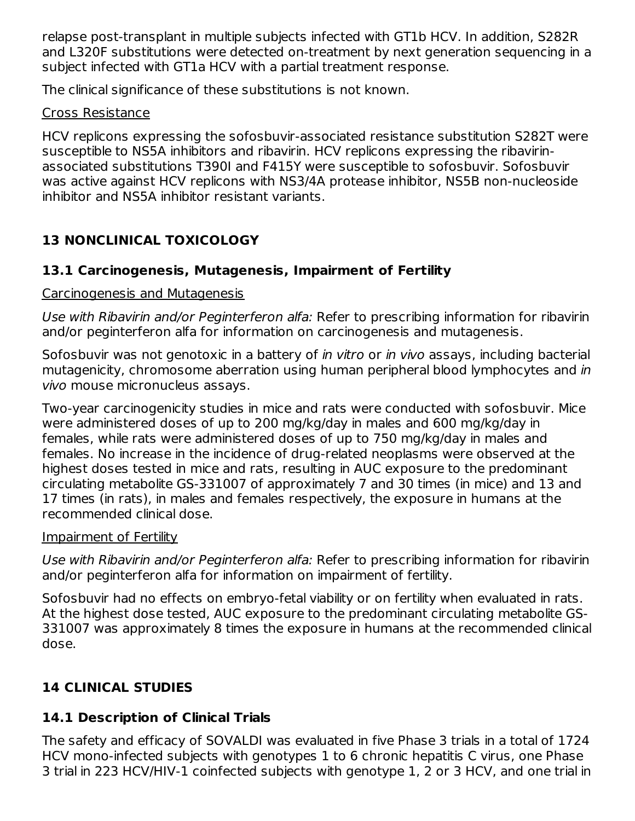relapse post-transplant in multiple subjects infected with GT1b HCV. In addition, S282R and L320F substitutions were detected on-treatment by next generation sequencing in a subject infected with GT1a HCV with a partial treatment response.

The clinical significance of these substitutions is not known.

## Cross Resistance

HCV replicons expressing the sofosbuvir-associated resistance substitution S282T were susceptible to NS5A inhibitors and ribavirin. HCV replicons expressing the ribavirinassociated substitutions T390I and F415Y were susceptible to sofosbuvir. Sofosbuvir was active against HCV replicons with NS3/4A protease inhibitor, NS5B non-nucleoside inhibitor and NS5A inhibitor resistant variants.

# **13 NONCLINICAL TOXICOLOGY**

## **13.1 Carcinogenesis, Mutagenesis, Impairment of Fertility**

## Carcinogenesis and Mutagenesis

Use with Ribavirin and/or Peginterferon alfa: Refer to prescribing information for ribavirin and/or peginterferon alfa for information on carcinogenesis and mutagenesis.

Sofosbuvir was not genotoxic in a battery of *in vitro* or *in vivo* assays, including bacterial mutagenicity, chromosome aberration using human peripheral blood lymphocytes and in vivo mouse micronucleus assays.

Two-year carcinogenicity studies in mice and rats were conducted with sofosbuvir. Mice were administered doses of up to 200 mg/kg/day in males and 600 mg/kg/day in females, while rats were administered doses of up to 750 mg/kg/day in males and females. No increase in the incidence of drug-related neoplasms were observed at the highest doses tested in mice and rats, resulting in AUC exposure to the predominant circulating metabolite GS-331007 of approximately 7 and 30 times (in mice) and 13 and 17 times (in rats), in males and females respectively, the exposure in humans at the recommended clinical dose.

## Impairment of Fertility

Use with Ribavirin and/or Peginterferon alfa: Refer to prescribing information for ribavirin and/or peginterferon alfa for information on impairment of fertility.

Sofosbuvir had no effects on embryo-fetal viability or on fertility when evaluated in rats. At the highest dose tested, AUC exposure to the predominant circulating metabolite GS-331007 was approximately 8 times the exposure in humans at the recommended clinical dose.

# **14 CLINICAL STUDIES**

# **14.1 Description of Clinical Trials**

The safety and efficacy of SOVALDI was evaluated in five Phase 3 trials in a total of 1724 HCV mono-infected subjects with genotypes 1 to 6 chronic hepatitis C virus, one Phase 3 trial in 223 HCV/HIV-1 coinfected subjects with genotype 1, 2 or 3 HCV, and one trial in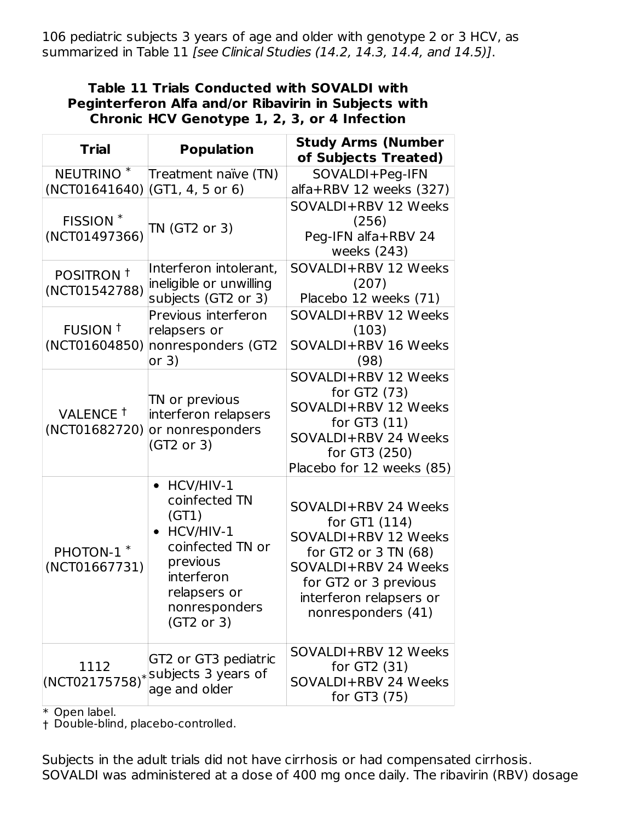106 pediatric subjects 3 years of age and older with genotype 2 or 3 HCV, as summarized in Table 11 [see Clinical Studies (14.2, 14.3, 14.4, and 14.5)].

#### **Table 11 Trials Conducted with SOVALDI with Peginterferon Alfa and/or Ribavirin in Subjects with Chronic HCV Genotype 1, 2, 3, or 4 Infection**

| <b>Trial</b>                           | <b>Population</b>                                                                                                                                            | <b>Study Arms (Number</b><br>of Subjects Treated)                                                                                                                                       |
|----------------------------------------|--------------------------------------------------------------------------------------------------------------------------------------------------------------|-----------------------------------------------------------------------------------------------------------------------------------------------------------------------------------------|
| NEUTRINO <sup>*</sup><br>(NCT01641640) | Treatment naïve (TN)<br>(GT1, 4, 5 or 6)                                                                                                                     | SOVALDI+Peg-IFN<br>alfa+RBV 12 weeks (327)                                                                                                                                              |
| FISSION <sup>*</sup><br>(NCT01497366)  | TN (GT2 or 3)                                                                                                                                                | SOVALDI+RBV 12 Weeks<br>(256)<br>Peg-IFN alfa+RBV 24<br>weeks (243)                                                                                                                     |
| POSITRON <sup>+</sup><br>(NCT01542788) | Interferon intolerant,<br>ineligible or unwilling<br>subjects (GT2 or 3)                                                                                     | SOVALDI+RBV 12 Weeks<br>(207)<br>Placebo 12 weeks (71)                                                                                                                                  |
| FUSION <sup>+</sup><br>(NCT01604850)   | Previous interferon<br>relapsers or<br>nonresponders (GT2<br>or 3)                                                                                           | SOVALDI+RBV 12 Weeks<br>(103)<br>SOVALDI+RBV 16 Weeks<br>(98)                                                                                                                           |
| VALENCE <sup>+</sup><br>(NCT01682720)  | TN or previous<br>interferon relapsers<br>or nonresponders<br>(GT2 or 3)                                                                                     | SOVALDI+RBV 12 Weeks<br>for GT2 (73)<br>SOVALDI+RBV 12 Weeks<br>for GT3 (11)<br>SOVALDI+RBV 24 Weeks<br>for GT3 (250)<br>Placebo for 12 weeks (85)                                      |
| PHOTON-1 <sup>*</sup><br>(NCT01667731) | HCV/HIV-1<br>$\bullet$<br>coinfected TN<br>(GT1)<br>• HCV/HIV-1<br>coinfected TN or<br>previous<br>interferon<br>relapsers or<br>nonresponders<br>(GT2 or 3) | SOVALDI+RBV 24 Weeks<br>for GT1 (114)<br>SOVALDI+RBV 12 Weeks<br>for GT2 or 3 TN (68)<br>SOVALDI+RBV 24 Weeks<br>for GT2 or 3 previous<br>interferon relapsers or<br>nonresponders (41) |
| 1112<br>$(NCT02175758)^*$              | GT2 or GT3 pediatric<br>subjects 3 years of<br>age and older                                                                                                 | SOVALDI+RBV 12 Weeks<br>for GT2 $(31)$<br>SOVALDI+RBV 24 Weeks<br>for GT3 (75)                                                                                                          |

\* Open label.

† Double-blind, placebo-controlled.

Subjects in the adult trials did not have cirrhosis or had compensated cirrhosis. SOVALDI was administered at a dose of 400 mg once daily. The ribavirin (RBV) dosage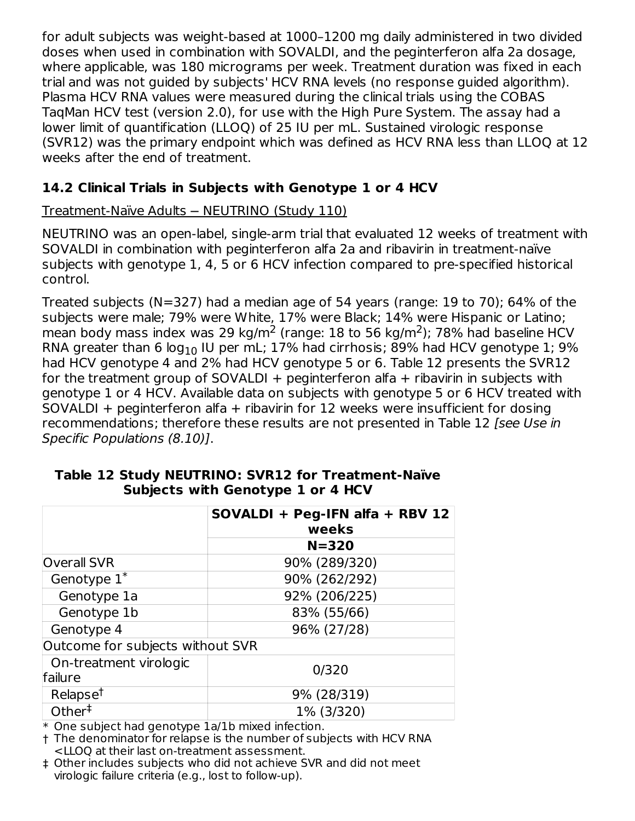for adult subjects was weight-based at 1000–1200 mg daily administered in two divided doses when used in combination with SOVALDI, and the peginterferon alfa 2a dosage, where applicable, was 180 micrograms per week. Treatment duration was fixed in each trial and was not guided by subjects' HCV RNA levels (no response guided algorithm). Plasma HCV RNA values were measured during the clinical trials using the COBAS TaqMan HCV test (version 2.0), for use with the High Pure System. The assay had a lower limit of quantification (LLOQ) of 25 IU per mL. Sustained virologic response (SVR12) was the primary endpoint which was defined as HCV RNA less than LLOQ at 12 weeks after the end of treatment.

## **14.2 Clinical Trials in Subjects with Genotype 1 or 4 HCV**

## Treatment-Naïve Adults ─ NEUTRINO (Study 110)

NEUTRINO was an open-label, single-arm trial that evaluated 12 weeks of treatment with SOVALDI in combination with peginterferon alfa 2a and ribavirin in treatment-naïve subjects with genotype 1, 4, 5 or 6 HCV infection compared to pre-specified historical control.

Treated subjects (N=327) had a median age of 54 years (range: 19 to 70); 64% of the subjects were male; 79% were White, 17% were Black; 14% were Hispanic or Latino; mean body mass index was 29 kg/m<sup>2</sup> (range: 18 to 56 kg/m<sup>2</sup>); 78% had baseline HCV RNA greater than 6 log $_{\rm 10}$  IU per mL; 17% had cirrhosis; 89% had HCV genotype 1; 9% had HCV genotype 4 and 2% had HCV genotype 5 or 6. Table 12 presents the SVR12 for the treatment group of SOVALDI + peginterferon alfa + ribavirin in subjects with genotype 1 or 4 HCV. Available data on subjects with genotype 5 or 6 HCV treated with SOVALDI + peginterferon alfa + ribavirin for 12 weeks were insufficient for dosing recommendations; therefore these results are not presented in Table 12 [see Use in Specific Populations (8.10)].

|                                   | SOVALDI + Peg-IFN alfa + RBV 12<br>weeks |
|-----------------------------------|------------------------------------------|
|                                   | $N = 320$                                |
| <b>Overall SVR</b>                | 90% (289/320)                            |
| Genotype $1^*$                    | 90% (262/292)                            |
| Genotype 1a                       | 92% (206/225)                            |
| Genotype 1b                       | 83% (55/66)                              |
| Genotype 4                        | 96% (27/28)                              |
| Outcome for subjects without SVR  |                                          |
| On-treatment virologic<br>failure | 0/320                                    |
| Relapse <sup>t</sup>              | 9% (28/319)                              |
| Other $†$                         | 1% (3/320)                               |

### **Table 12 Study NEUTRINO: SVR12 for Treatment-Naïve Subjects with Genotype 1 or 4 HCV**

\* One subject had genotype 1a/1b mixed infection.

† The denominator for relapse is the number of subjects with HCV RNA <LLOQ at their last on-treatment assessment.

‡ Other includes subjects who did not achieve SVR and did not meet virologic failure criteria (e.g., lost to follow-up).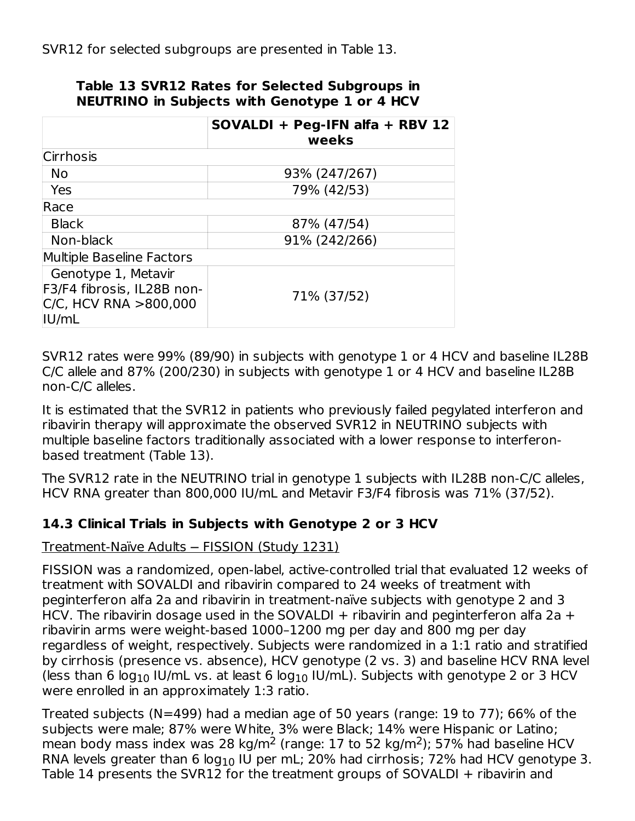|                                                                                        | SOVALDI + Peg-IFN alfa + RBV 12<br>weeks |
|----------------------------------------------------------------------------------------|------------------------------------------|
| <b>Cirrhosis</b>                                                                       |                                          |
| No                                                                                     | 93% (247/267)                            |
| Yes                                                                                    | 79% (42/53)                              |
| Race                                                                                   |                                          |
| <b>Black</b>                                                                           | 87% (47/54)                              |
| Non-black                                                                              | 91% (242/266)                            |
| Multiple Baseline Factors                                                              |                                          |
| Genotype 1, Metavir<br>F3/F4 fibrosis, IL28B non-<br>$C/C$ , HCV RNA >800,000<br>IU/mL | 71% (37/52)                              |

## **Table 13 SVR12 Rates for Selected Subgroups in NEUTRINO in Subjects with Genotype 1 or 4 HCV**

SVR12 rates were 99% (89/90) in subjects with genotype 1 or 4 HCV and baseline IL28B C/C allele and 87% (200/230) in subjects with genotype 1 or 4 HCV and baseline IL28B non-C/C alleles.

It is estimated that the SVR12 in patients who previously failed pegylated interferon and ribavirin therapy will approximate the observed SVR12 in NEUTRINO subjects with multiple baseline factors traditionally associated with a lower response to interferonbased treatment (Table 13).

The SVR12 rate in the NEUTRINO trial in genotype 1 subjects with IL28B non-C/C alleles, HCV RNA greater than 800,000 IU/mL and Metavir F3/F4 fibrosis was 71% (37/52).

## **14.3 Clinical Trials in Subjects with Genotype 2 or 3 HCV**

## Treatment-Naïve Adults ─ FISSION (Study 1231)

FISSION was a randomized, open-label, active-controlled trial that evaluated 12 weeks of treatment with SOVALDI and ribavirin compared to 24 weeks of treatment with peginterferon alfa 2a and ribavirin in treatment-naïve subjects with genotype 2 and 3 HCV. The ribavirin dosage used in the SOVALDI  $+$  ribavirin and peginterferon alfa 2a  $+$ ribavirin arms were weight-based 1000–1200 mg per day and 800 mg per day regardless of weight, respectively. Subjects were randomized in a 1:1 ratio and stratified by cirrhosis (presence vs. absence), HCV genotype (2 vs. 3) and baseline HCV RNA level (less than 6 log $_{10}$  IU/mL vs. at least 6 log $_{10}$  IU/mL). Subjects with genotype 2 or 3 HCV were enrolled in an approximately 1:3 ratio.

Treated subjects (N=499) had a median age of 50 years (range: 19 to 77); 66% of the subjects were male; 87% were White, 3% were Black; 14% were Hispanic or Latino; mean body mass index was 28 kg/m<sup>2</sup> (range: 17 to 52 kg/m<sup>2</sup>); 57% had baseline HCV RNA levels greater than 6 log $_{\rm 10}$  IU per mL; 20% had cirrhosis; 72% had HCV genotype 3. Table 14 presents the SVR12 for the treatment groups of SOVALDI + ribavirin and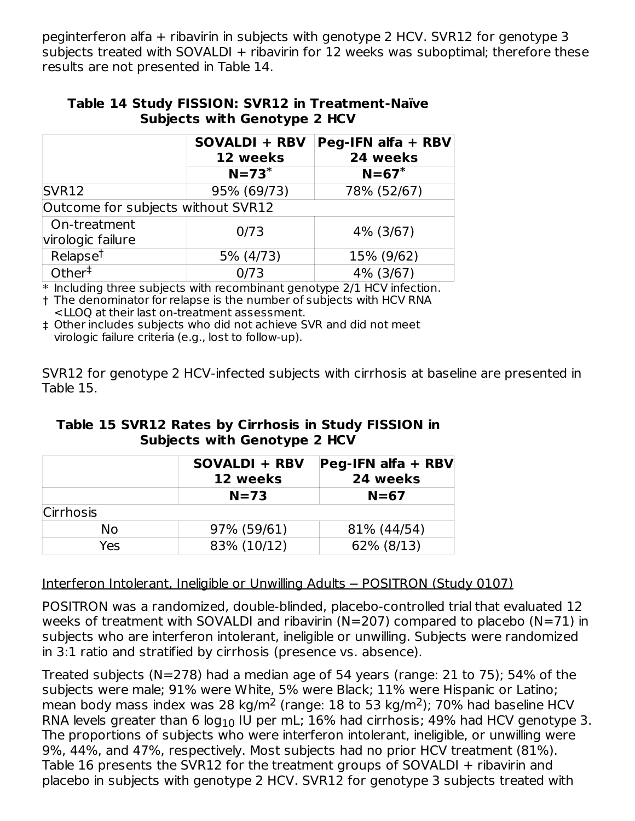peginterferon alfa + ribavirin in subjects with genotype 2 HCV. SVR12 for genotype 3 subjects treated with SOVALDI + ribavirin for 12 weeks was suboptimal; therefore these results are not presented in Table 14.

|                                     | Table 14 Study FISSION: SVR12 in Treatment-Naïve |
|-------------------------------------|--------------------------------------------------|
| <b>Subjects with Genotype 2 HCV</b> |                                                  |

|                                           | <b>SOVALDI + RBV</b><br>12 weeks | Peg-IFN alfa + RBV<br>24 weeks |
|-------------------------------------------|----------------------------------|--------------------------------|
|                                           | $N=73$ <sup>*</sup>              | $N = 67$ <sup>*</sup>          |
| SVR12                                     | 95% (69/73)                      | 78% (52/67)                    |
| Outcome for subjects without SVR12        |                                  |                                |
| On-treatment<br>virologic failure         | 0/73                             | 4% (3/67)                      |
| Relapse <sup>t</sup>                      | 5% (4/73)                        | 15% (9/62)                     |
| Other <sup><math>\frac{1}{1}</math></sup> | 0/73                             | 4% (3/67)                      |

 $\ast$  Including three subjects with recombinant genotype 2/1 HCV infection.

† The denominator for relapse is the number of subjects with HCV RNA <LLOQ at their last on-treatment assessment.

‡ Other includes subjects who did not achieve SVR and did not meet virologic failure criteria (e.g., lost to follow-up).

SVR12 for genotype 2 HCV-infected subjects with cirrhosis at baseline are presented in Table 15.

| Table 15 SVR12 Rates by Cirrhosis in Study FISSION in |
|-------------------------------------------------------|
| <b>Subjects with Genotype 2 HCV</b>                   |

|                  | <b>SOVALDI + RBV</b><br>12 weeks | $\left  \text{Peg-IFN affa} + \text{RBV} \right $<br>24 weeks |  |  |
|------------------|----------------------------------|---------------------------------------------------------------|--|--|
|                  | $N=73$                           | $N=67$                                                        |  |  |
| <b>Cirrhosis</b> |                                  |                                                               |  |  |
| No               | 97% (59/61)                      | 81% (44/54)                                                   |  |  |
| Yes              | 83% (10/12)                      | 62% (8/13)                                                    |  |  |

Interferon Intolerant, Ineligible or Unwilling Adults — POSITRON (Study 0107)

POSITRON was a randomized, double-blinded, placebo-controlled trial that evaluated 12 weeks of treatment with SOVALDI and ribavirin (N=207) compared to placebo (N=71) in subjects who are interferon intolerant, ineligible or unwilling. Subjects were randomized in 3:1 ratio and stratified by cirrhosis (presence vs. absence).

Treated subjects (N=278) had a median age of 54 years (range: 21 to 75); 54% of the subjects were male; 91% were White, 5% were Black; 11% were Hispanic or Latino; mean body mass index was 28 kg/m<sup>2</sup> (range: 18 to 53 kg/m<sup>2</sup>); 70% had baseline HCV RNA levels greater than 6 log $_{\rm 10}$  IU per mL; 16% had cirrhosis; 49% had HCV genotype 3. The proportions of subjects who were interferon intolerant, ineligible, or unwilling were 9%, 44%, and 47%, respectively. Most subjects had no prior HCV treatment (81%). Table 16 presents the SVR12 for the treatment groups of SOVALDI + ribavirin and placebo in subjects with genotype 2 HCV. SVR12 for genotype 3 subjects treated with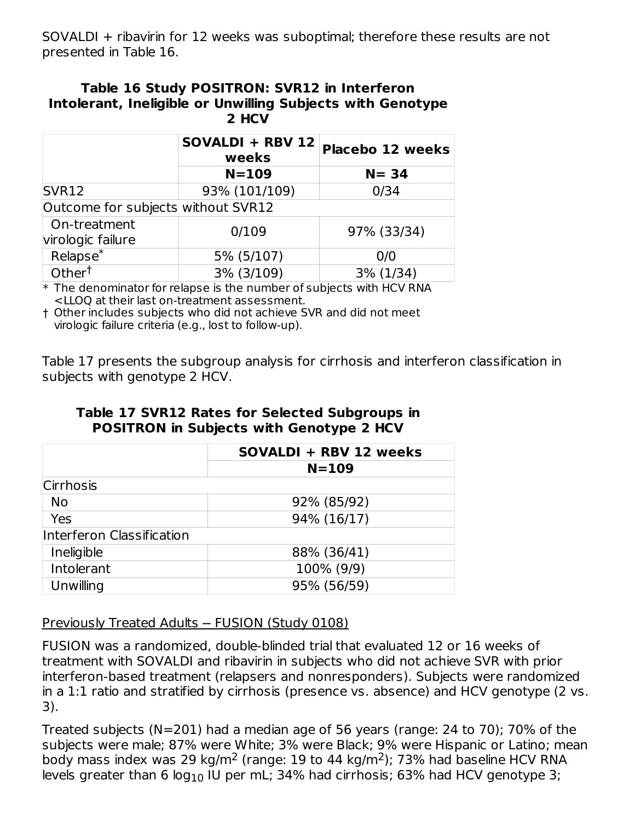SOVALDI + ribavirin for 12 weeks was suboptimal; therefore these results are not presented in Table 16.

#### **Table 16 Study POSITRON: SVR12 in Interferon Intolerant, Ineligible or Unwilling Subjects with Genotype 2 HCV**

|                                            | SOVALDI + RBV 12<br>weeks | <b>Placebo 12 weeks</b> |  |  |
|--------------------------------------------|---------------------------|-------------------------|--|--|
|                                            | $N = 109$                 | $N = 34$                |  |  |
| SVR <sub>12</sub><br>93% (101/109)<br>0/34 |                           |                         |  |  |
| Outcome for subjects without SVR12         |                           |                         |  |  |
| On-treatment<br>virologic failure          | 0/109                     | 97% (33/34)             |  |  |
| Relapse <sup>*</sup>                       | 5% (5/107)                | 0/0                     |  |  |
| Other <sup>†</sup>                         | 3% (3/109)                | 3% (1/34)               |  |  |

 $\ast$  The denominator for relapse is the number of subjects with HCV RNA <LLOQ at their last on-treatment assessment.

† Other includes subjects who did not achieve SVR and did not meet virologic failure criteria (e.g., lost to follow-up).

Table 17 presents the subgroup analysis for cirrhosis and interferon classification in subjects with genotype 2 HCV.

|                           | SOVALDI + RBV 12 weeks<br>$N = 109$ |  |
|---------------------------|-------------------------------------|--|
|                           |                                     |  |
| Cirrhosis                 |                                     |  |
| No                        | 92% (85/92)                         |  |
| Yes                       | 94% (16/17)                         |  |
| Interferon Classification |                                     |  |
| Ineligible                | 88% (36/41)                         |  |
| Intolerant                | 100% (9/9)                          |  |
| Unwilling                 | 95% (56/59)                         |  |

### **Table 17 SVR12 Rates for Selected Subgroups in POSITRON in Subjects with Genotype 2 HCV**

Previously Treated Adults ─ FUSION (Study 0108)

FUSION was a randomized, double-blinded trial that evaluated 12 or 16 weeks of treatment with SOVALDI and ribavirin in subjects who did not achieve SVR with prior interferon-based treatment (relapsers and nonresponders). Subjects were randomized in a 1:1 ratio and stratified by cirrhosis (presence vs. absence) and HCV genotype (2 vs. 3).

Treated subjects (N=201) had a median age of 56 years (range: 24 to 70); 70% of the subjects were male; 87% were White; 3% were Black; 9% were Hispanic or Latino; mean body mass index was 29 kg/m<sup>2</sup> (range: 19 to 44 kg/m<sup>2</sup>); 73% had baseline HCV RNA levels greater than 6 log $_{\rm 10}$  IU per mL; 34% had cirrhosis; 63% had HCV genotype 3;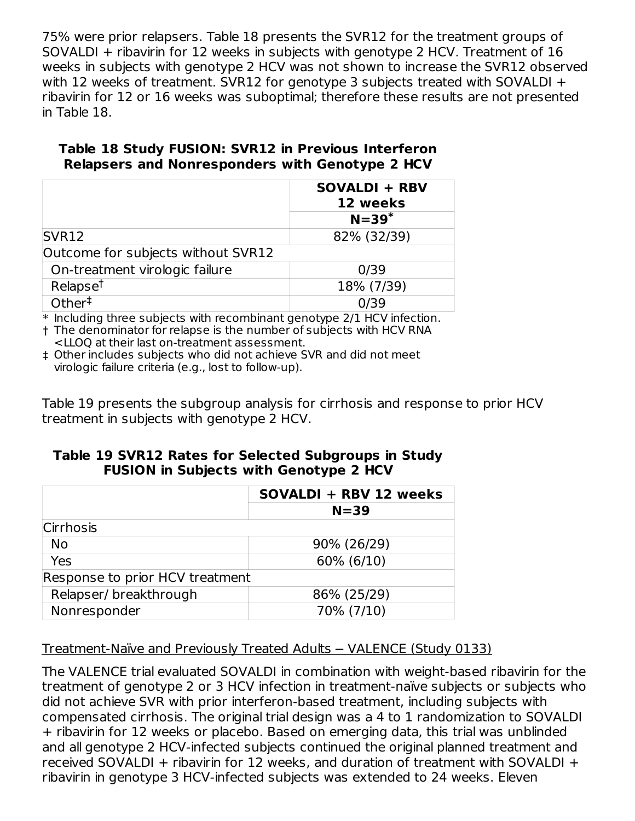75% were prior relapsers. Table 18 presents the SVR12 for the treatment groups of SOVALDI + ribavirin for 12 weeks in subjects with genotype 2 HCV. Treatment of 16 weeks in subjects with genotype 2 HCV was not shown to increase the SVR12 observed with 12 weeks of treatment. SVR12 for genotype 3 subjects treated with SOVALDI + ribavirin for 12 or 16 weeks was suboptimal; therefore these results are not presented in Table 18.

### **Table 18 Study FUSION: SVR12 in Previous Interferon Relapsers and Nonresponders with Genotype 2 HCV**

|                                    | <b>SOVALDI + RBV</b><br>12 weeks |
|------------------------------------|----------------------------------|
|                                    | $N=39$ <sup>*</sup>              |
| SVR <sub>12</sub>                  | 82% (32/39)                      |
| Outcome for subjects without SVR12 |                                  |
| On-treatment virologic failure     | 0/39                             |
| Relapse <sup>t</sup>               | 18% (7/39)                       |
| Other <sup>#</sup>                 | 0/39                             |

\* Including three subjects with recombinant genotype 2/1 HCV infection.

† The denominator for relapse is the number of subjects with HCV RNA <LLOQ at their last on-treatment assessment.

‡ Other includes subjects who did not achieve SVR and did not meet virologic failure criteria (e.g., lost to follow-up).

Table 19 presents the subgroup analysis for cirrhosis and response to prior HCV treatment in subjects with genotype 2 HCV.

### **Table 19 SVR12 Rates for Selected Subgroups in Study FUSION in Subjects with Genotype 2 HCV**

|                                 | SOVALDI + RBV 12 weeks |  |  |
|---------------------------------|------------------------|--|--|
|                                 | $N = 39$               |  |  |
| <b>Cirrhosis</b>                |                        |  |  |
| <b>No</b>                       | 90% (26/29)            |  |  |
| Yes                             | 60% (6/10)             |  |  |
| Response to prior HCV treatment |                        |  |  |
| Relapser/breakthrough           | 86% (25/29)            |  |  |
| Nonresponder                    | 70% (7/10)             |  |  |

## Treatment-Naïve and Previously Treated Adults - VALENCE (Study 0133)

The VALENCE trial evaluated SOVALDI in combination with weight-based ribavirin for the treatment of genotype 2 or 3 HCV infection in treatment-naïve subjects or subjects who did not achieve SVR with prior interferon-based treatment, including subjects with compensated cirrhosis. The original trial design was a 4 to 1 randomization to SOVALDI + ribavirin for 12 weeks or placebo. Based on emerging data, this trial was unblinded and all genotype 2 HCV-infected subjects continued the original planned treatment and received SOVALDI + ribavirin for 12 weeks, and duration of treatment with SOVALDI + ribavirin in genotype 3 HCV-infected subjects was extended to 24 weeks. Eleven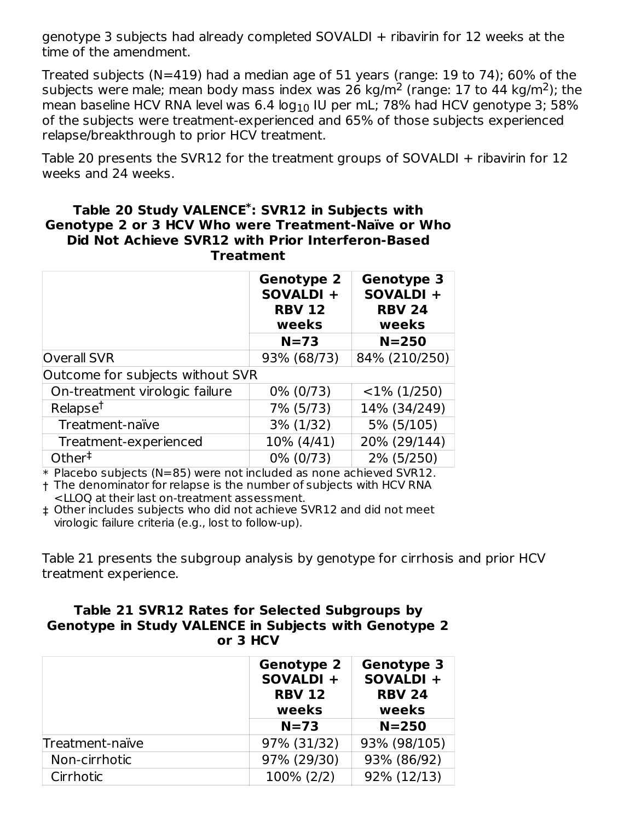genotype 3 subjects had already completed SOVALDI + ribavirin for 12 weeks at the time of the amendment.

Treated subjects (N=419) had a median age of 51 years (range: 19 to 74); 60% of the subjects were male; mean body mass index was 26 kg/m<sup>2</sup> (range: 17 to 44 kg/m<sup>2</sup>); the mean baseline HCV RNA level was 6.4  $\log_{10}$  IU per mL; 78% had HCV genotype 3; 58% of the subjects were treatment-experienced and 65% of those subjects experienced relapse/breakthrough to prior HCV treatment.

Table 20 presents the SVR12 for the treatment groups of SOVALDI + ribavirin for 12 weeks and 24 weeks.

#### **Table 20 Study VALENCE : SVR12 in Subjects with \* Genotype 2 or 3 HCV Who were Treatment-Naïve or Who Did Not Achieve SVR12 with Prior Interferon-Based Treatment**

|                                  | <b>Genotype 2</b><br>SOVALDI +<br><b>RBV 12</b><br>weeks | <b>Genotype 3</b><br>SOVALDI +<br><b>RBV 24</b><br>weeks |
|----------------------------------|----------------------------------------------------------|----------------------------------------------------------|
|                                  | $N=73$                                                   | $N = 250$                                                |
| <b>Overall SVR</b>               | 93% (68/73)                                              | 84% (210/250)                                            |
| Outcome for subjects without SVR |                                                          |                                                          |
| On-treatment virologic failure   | 0% (0/73)                                                | $<$ 1% (1/250)                                           |
| Relapse <sup>t</sup>             | 7% (5/73)                                                | 14% (34/249)                                             |
| Treatment-naïve                  | $3\%$ (1/32)                                             | 5% (5/105)                                               |
| Treatment-experienced            | 10% (4/41)                                               | 20% (29/144)                                             |
| Other <sup>‡</sup>               | 0% (0/73)                                                | 2% (5/250)                                               |

\* Placebo subjects (N=85) were not included as none achieved SVR12.

† The denominator for relapse is the number of subjects with HCV RNA <LLOQ at their last on-treatment assessment.

‡ Other includes subjects who did not achieve SVR12 and did not meet virologic failure criteria (e.g., lost to follow-up).

Table 21 presents the subgroup analysis by genotype for cirrhosis and prior HCV treatment experience.

#### **Table 21 SVR12 Rates for Selected Subgroups by Genotype in Study VALENCE in Subjects with Genotype 2 or 3 HCV**

|                 | <b>Genotype 2</b><br>SOVALDI +<br><b>RBV 12</b><br>weeks | Genotype 3<br>SOVALDI +<br><b>RBV 24</b><br>weeks |
|-----------------|----------------------------------------------------------|---------------------------------------------------|
|                 | $N = 73$                                                 | $N = 250$                                         |
| Treatment-naïve | 97% (31/32)                                              | 93% (98/105)                                      |
| Non-cirrhotic   | 97% (29/30)                                              | 93% (86/92)                                       |
| Cirrhotic       | 100% (2/2)                                               | 92% (12/13)                                       |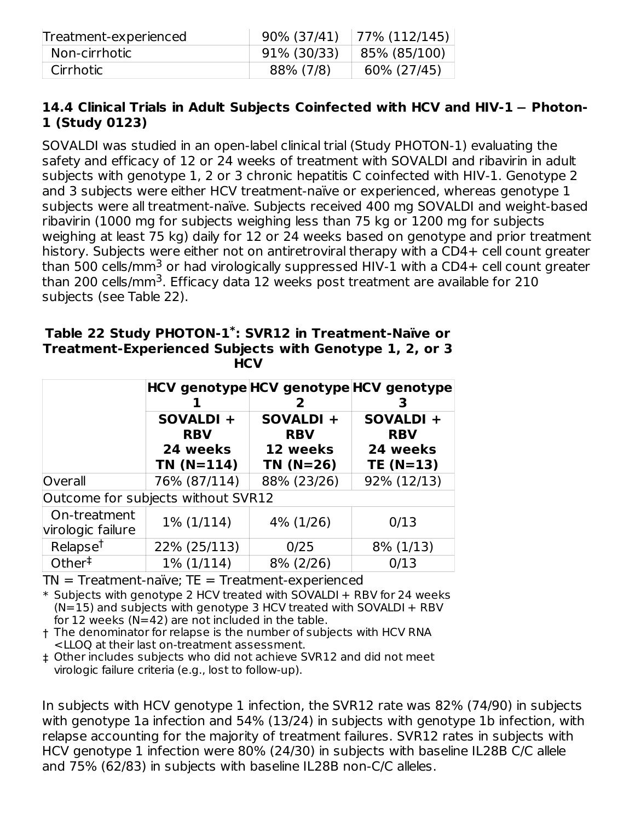| Treatment-experienced |             | $90\% (37/41)$   77% (112/145) |
|-----------------------|-------------|--------------------------------|
| Non-cirrhotic         | 91% (30/33) | 85% (85/100)                   |
| Cirrhotic             | 88% (7/8)   | 60% (27/45)                    |

### **14.4 Clinical Trials in Adult Subjects Coinfected with HCV and HIV-1** ─ **Photon-1 (Study 0123)**

SOVALDI was studied in an open-label clinical trial (Study PHOTON-1) evaluating the safety and efficacy of 12 or 24 weeks of treatment with SOVALDI and ribavirin in adult subjects with genotype 1, 2 or 3 chronic hepatitis C coinfected with HIV-1. Genotype 2 and 3 subjects were either HCV treatment-naïve or experienced, whereas genotype 1 subjects were all treatment-naïve. Subjects received 400 mg SOVALDI and weight-based ribavirin (1000 mg for subjects weighing less than 75 kg or 1200 mg for subjects weighing at least 75 kg) daily for 12 or 24 weeks based on genotype and prior treatment history. Subjects were either not on antiretroviral therapy with a CD4+ cell count greater than 500 cells/mm $^3$  or had virologically suppressed HIV-1 with a CD4+ cell count greater than 200 cells/mm<sup>3</sup>. Efficacy data 12 weeks post treatment are available for 210 subjects (see Table 22).

| Table 22 Study PHOTON-1 <sup>*</sup> : SVR12 in Treatment-Naïve or |
|--------------------------------------------------------------------|
| Treatment-Experienced Subjects with Genotype 1, 2, or 3            |
| <b>HCV</b>                                                         |

|                                   |                                    |                         | HCV genotype HCV genotype HCV genotype<br>3 |  |  |
|-----------------------------------|------------------------------------|-------------------------|---------------------------------------------|--|--|
|                                   | SOVALDI +<br><b>RBV</b>            | SOVALDI +<br><b>RBV</b> | SOVALDI +<br><b>RBV</b>                     |  |  |
|                                   | 24 weeks<br>$TN(N=114)$            | 12 weeks<br>$TN(N=26)$  | 24 weeks<br>$TE(N=13)$                      |  |  |
| Overall                           | 76% (87/114)                       | 88% (23/26)             | 92% (12/13)                                 |  |  |
|                                   | Outcome for subjects without SVR12 |                         |                                             |  |  |
| On-treatment<br>virologic failure | $1\%$ (1/114)                      | 4% (1/26)               | 0/13                                        |  |  |
| Relapse <sup>t</sup>              | 22% (25/113)                       | 0/25                    | $8\%$ (1/13)                                |  |  |
| Other <sup>†</sup>                | 1% (1/114)                         | 8% (2/26)               | 0/13                                        |  |  |

 $TN = Treatment \cdot naïve$ ;  $TE = Treatment \cdot experienced$ 

\* Subjects with genotype 2 HCV treated with SOVALDI + RBV for 24 weeks  $(N=15)$  and subjects with genotype 3 HCV treated with SOVALDI + RBV for 12 weeks ( $N=42$ ) are not included in the table.

† The denominator for relapse is the number of subjects with HCV RNA <LLOQ at their last on-treatment assessment.

‡ Other includes subjects who did not achieve SVR12 and did not meet virologic failure criteria (e.g., lost to follow-up).

In subjects with HCV genotype 1 infection, the SVR12 rate was 82% (74/90) in subjects with genotype 1a infection and 54% (13/24) in subjects with genotype 1b infection, with relapse accounting for the majority of treatment failures. SVR12 rates in subjects with HCV genotype 1 infection were 80% (24/30) in subjects with baseline IL28B C/C allele and 75% (62/83) in subjects with baseline IL28B non-C/C alleles.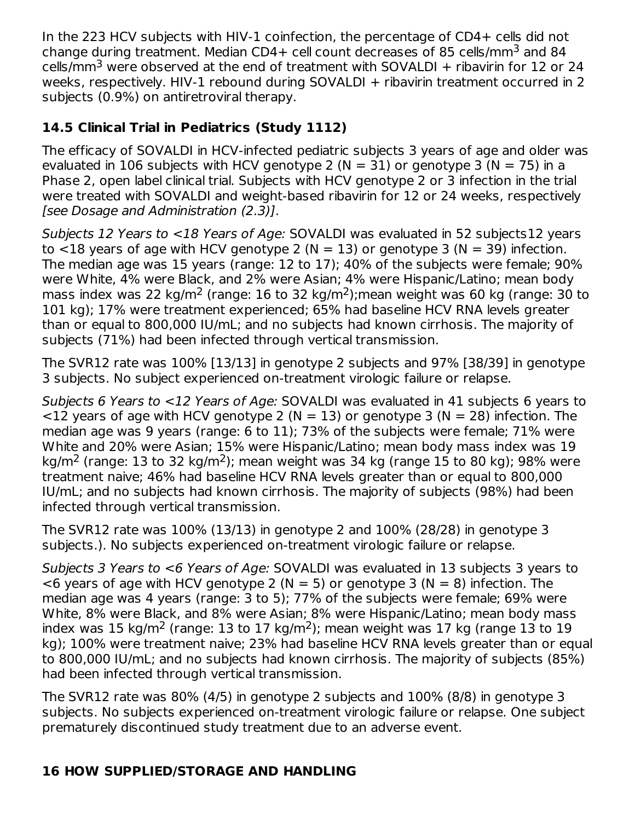In the 223 HCV subjects with HIV-1 coinfection, the percentage of CD4+ cells did not change during treatment. Median CD4+ cell count decreases of 85 cells/mm $^3$  and 84 cells/mm<sup>3</sup> were observed at the end of treatment with SOVALDI  $+$  ribavirin for 12 or 24 weeks, respectively. HIV-1 rebound during SOVALDI + ribavirin treatment occurred in 2 subjects (0.9%) on antiretroviral therapy.

## **14.5 Clinical Trial in Pediatrics (Study 1112)**

The efficacy of SOVALDI in HCV-infected pediatric subjects 3 years of age and older was evaluated in 106 subjects with HCV genotype 2 ( $N = 31$ ) or genotype 3 ( $N = 75$ ) in a Phase 2, open label clinical trial. Subjects with HCV genotype 2 or 3 infection in the trial were treated with SOVALDI and weight-based ribavirin for 12 or 24 weeks, respectively [see Dosage and Administration (2.3)].

Subjects 12 Years to <18 Years of Age: SOVALDI was evaluated in 52 subjects12 years to  $\langle$ 18 years of age with HCV genotype 2 (N = 13) or genotype 3 (N = 39) infection. The median age was 15 years (range: 12 to 17); 40% of the subjects were female; 90% were White, 4% were Black, and 2% were Asian; 4% were Hispanic/Latino; mean body mass index was 22 kg/m<sup>2</sup> (range: 16 to 32 kg/m<sup>2</sup>); mean weight was 60 kg (range: 30 to 101 kg); 17% were treatment experienced; 65% had baseline HCV RNA levels greater than or equal to 800,000 IU/mL; and no subjects had known cirrhosis. The majority of subjects (71%) had been infected through vertical transmission.

The SVR12 rate was 100% [13/13] in genotype 2 subjects and 97% [38/39] in genotype 3 subjects. No subject experienced on-treatment virologic failure or relapse.

Subjects 6 Years to <12 Years of Age: SOVALDI was evaluated in 41 subjects 6 years to  $\langle$  12 years of age with HCV genotype 2 (N = 13) or genotype 3 (N = 28) infection. The median age was 9 years (range: 6 to 11); 73% of the subjects were female; 71% were White and 20% were Asian; 15% were Hispanic/Latino; mean body mass index was 19 kg/m<sup>2</sup> (range: 13 to 32 kg/m<sup>2</sup>); mean weight was 34 kg (range 15 to 80 kg); 98% were treatment naive; 46% had baseline HCV RNA levels greater than or equal to 800,000 IU/mL; and no subjects had known cirrhosis. The majority of subjects (98%) had been infected through vertical transmission.

The SVR12 rate was 100% (13/13) in genotype 2 and 100% (28/28) in genotype 3 subjects.). No subjects experienced on-treatment virologic failure or relapse.

Subjects 3 Years to <6 Years of Age: SOVALDI was evaluated in 13 subjects 3 years to  $<$ 6 years of age with HCV genotype 2 (N = 5) or genotype 3 (N = 8) infection. The median age was 4 years (range: 3 to 5); 77% of the subjects were female; 69% were White, 8% were Black, and 8% were Asian; 8% were Hispanic/Latino; mean body mass index was 15 kg/m<sup>2</sup> (range: 13 to 17 kg/m<sup>2</sup>); mean weight was 17 kg (range 13 to 19 kg); 100% were treatment naive; 23% had baseline HCV RNA levels greater than or equal to 800,000 IU/mL; and no subjects had known cirrhosis. The majority of subjects (85%) had been infected through vertical transmission.

The SVR12 rate was 80% (4/5) in genotype 2 subjects and 100% (8/8) in genotype 3 subjects. No subjects experienced on-treatment virologic failure or relapse. One subject prematurely discontinued study treatment due to an adverse event.

## **16 HOW SUPPLIED/STORAGE AND HANDLING**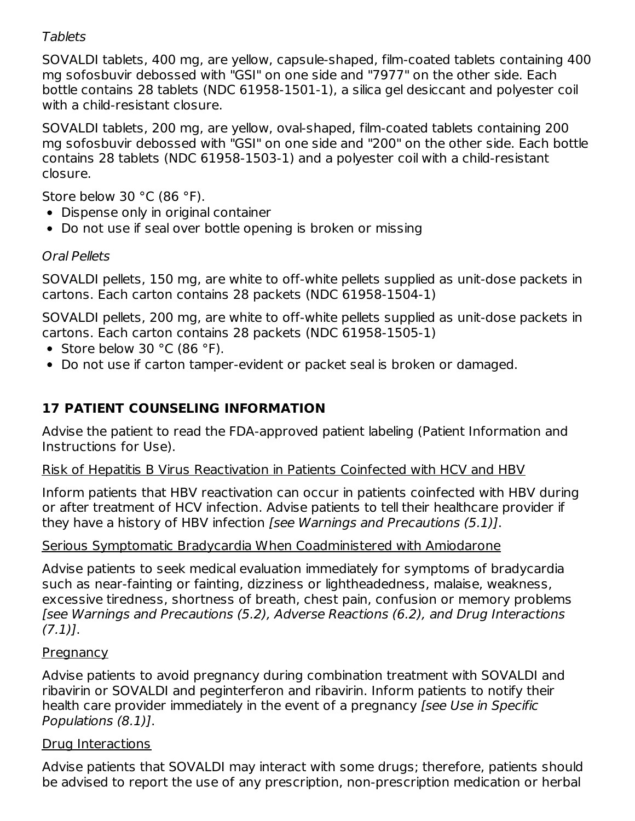### **Tablets**

SOVALDI tablets, 400 mg, are yellow, capsule-shaped, film-coated tablets containing 400 mg sofosbuvir debossed with "GSI" on one side and "7977" on the other side. Each bottle contains 28 tablets (NDC 61958-1501-1), a silica gel desiccant and polyester coil with a child-resistant closure.

SOVALDI tablets, 200 mg, are yellow, oval-shaped, film-coated tablets containing 200 mg sofosbuvir debossed with "GSI" on one side and "200" on the other side. Each bottle contains 28 tablets (NDC 61958-1503-1) and a polyester coil with a child-resistant closure.

Store below 30 °C (86 °F).

- Dispense only in original container
- Do not use if seal over bottle opening is broken or missing

## Oral Pellets

SOVALDI pellets, 150 mg, are white to off-white pellets supplied as unit-dose packets in cartons. Each carton contains 28 packets (NDC 61958-1504-1)

SOVALDI pellets, 200 mg, are white to off-white pellets supplied as unit-dose packets in cartons. Each carton contains 28 packets (NDC 61958-1505-1)

- Store below 30  $^{\circ}$ C (86  $^{\circ}$ F).
- Do not use if carton tamper-evident or packet seal is broken or damaged.

## **17 PATIENT COUNSELING INFORMATION**

Advise the patient to read the FDA-approved patient labeling (Patient Information and Instructions for Use).

## Risk of Hepatitis B Virus Reactivation in Patients Coinfected with HCV and HBV

Inform patients that HBV reactivation can occur in patients coinfected with HBV during or after treatment of HCV infection. Advise patients to tell their healthcare provider if they have a history of HBV infection [see Warnings and Precautions (5.1)].

## Serious Symptomatic Bradycardia When Coadministered with Amiodarone

Advise patients to seek medical evaluation immediately for symptoms of bradycardia such as near-fainting or fainting, dizziness or lightheadedness, malaise, weakness, excessive tiredness, shortness of breath, chest pain, confusion or memory problems [see Warnings and Precautions (5.2), Adverse Reactions (6.2), and Drug Interactions  $(7.1)$ ].

### **Pregnancy**

Advise patients to avoid pregnancy during combination treatment with SOVALDI and ribavirin or SOVALDI and peginterferon and ribavirin. Inform patients to notify their health care provider immediately in the event of a pregnancy [see Use in Specific Populations (8.1)].

## Drug Interactions

Advise patients that SOVALDI may interact with some drugs; therefore, patients should be advised to report the use of any prescription, non-prescription medication or herbal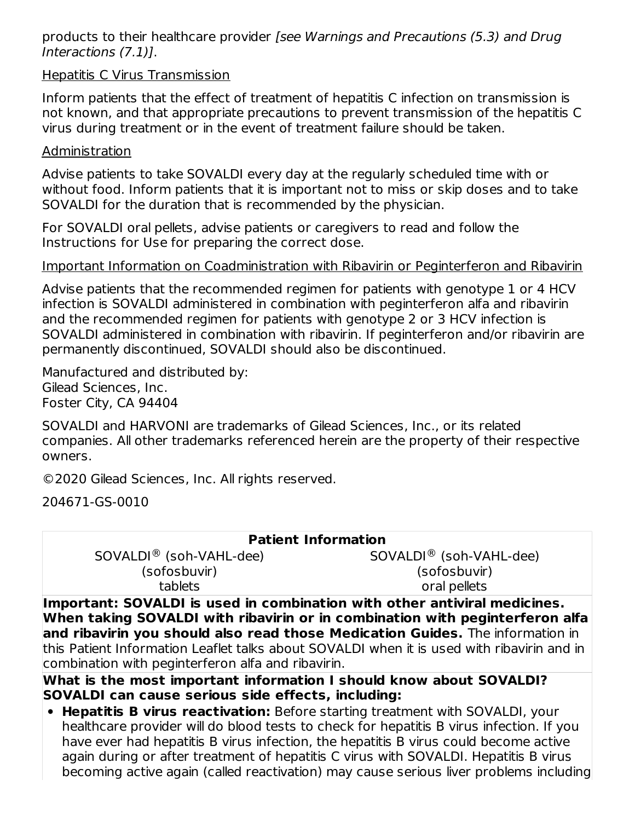products to their healthcare provider [see Warnings and Precautions (5.3) and Drug Interactions (7.1)].

### Hepatitis C Virus Transmission

Inform patients that the effect of treatment of hepatitis C infection on transmission is not known, and that appropriate precautions to prevent transmission of the hepatitis C virus during treatment or in the event of treatment failure should be taken.

### Administration

Advise patients to take SOVALDI every day at the regularly scheduled time with or without food. Inform patients that it is important not to miss or skip doses and to take SOVALDI for the duration that is recommended by the physician.

For SOVALDI oral pellets, advise patients or caregivers to read and follow the Instructions for Use for preparing the correct dose.

### Important Information on Coadministration with Ribavirin or Peginterferon and Ribavirin

Advise patients that the recommended regimen for patients with genotype 1 or 4 HCV infection is SOVALDI administered in combination with peginterferon alfa and ribavirin and the recommended regimen for patients with genotype 2 or 3 HCV infection is SOVALDI administered in combination with ribavirin. If peginterferon and/or ribavirin are permanently discontinued, SOVALDI should also be discontinued.

Manufactured and distributed by: Gilead Sciences, Inc. Foster City, CA 94404

SOVALDI and HARVONI are trademarks of Gilead Sciences, Inc., or its related companies. All other trademarks referenced herein are the property of their respective owners.

©2020 Gilead Sciences, Inc. All rights reserved.

204671-GS-0010

| <b>Patient Information</b>          |                         |
|-------------------------------------|-------------------------|
| SOVALDI <sup>®</sup> (soh-VAHL-dee) | SOVALDI® (soh-VAHL-dee) |
| (sofosbuvir)                        | (sofosbuvir)            |
| tablets                             | oral pellets            |

**Important: SOVALDI is used in combination with other antiviral medicines. When taking SOVALDI with ribavirin or in combination with peginterferon alfa and ribavirin you should also read those Medication Guides.** The information in this Patient Information Leaflet talks about SOVALDI when it is used with ribavirin and in combination with peginterferon alfa and ribavirin.

**What is the most important information I should know about SOVALDI? SOVALDI can cause serious side effects, including:**

**Hepatitis B virus reactivation:** Before starting treatment with SOVALDI, your healthcare provider will do blood tests to check for hepatitis B virus infection. If you have ever had hepatitis B virus infection, the hepatitis B virus could become active again during or after treatment of hepatitis C virus with SOVALDI. Hepatitis B virus becoming active again (called reactivation) may cause serious liver problems including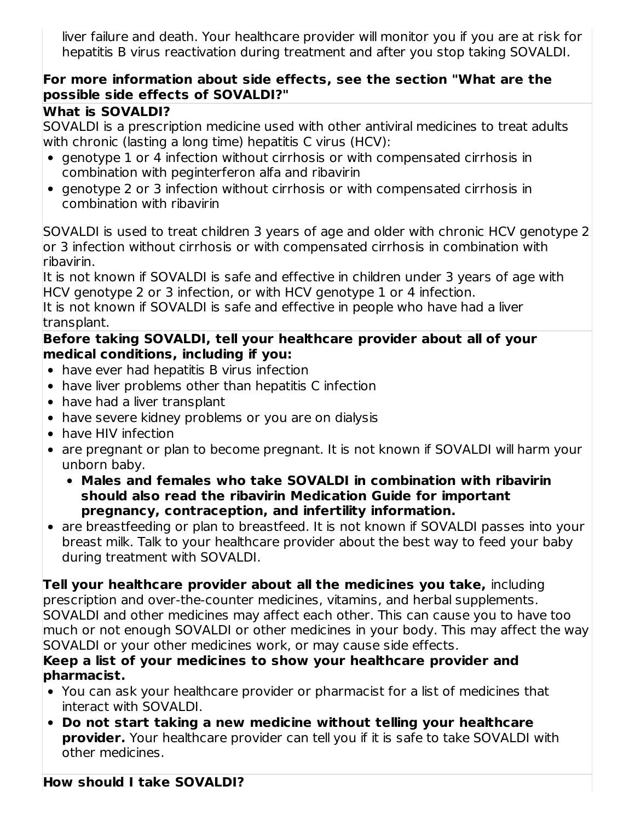liver failure and death. Your healthcare provider will monitor you if you are at risk for hepatitis B virus reactivation during treatment and after you stop taking SOVALDI.

## **For more information about side effects, see the section "What are the possible side effects of SOVALDI?"**

## **What is SOVALDI?**

SOVALDI is a prescription medicine used with other antiviral medicines to treat adults with chronic (lasting a long time) hepatitis C virus (HCV):

- genotype 1 or 4 infection without cirrhosis or with compensated cirrhosis in combination with peginterferon alfa and ribavirin
- genotype 2 or 3 infection without cirrhosis or with compensated cirrhosis in combination with ribavirin

SOVALDI is used to treat children 3 years of age and older with chronic HCV genotype 2 or 3 infection without cirrhosis or with compensated cirrhosis in combination with ribavirin.

It is not known if SOVALDI is safe and effective in children under 3 years of age with HCV genotype 2 or 3 infection, or with HCV genotype 1 or 4 infection.

It is not known if SOVALDI is safe and effective in people who have had a liver transplant.

### **Before taking SOVALDI, tell your healthcare provider about all of your medical conditions, including if you:**

- have ever had hepatitis B virus infection
- have liver problems other than hepatitis C infection
- have had a liver transplant
- have severe kidney problems or you are on dialysis
- have HIV infection
- are pregnant or plan to become pregnant. It is not known if SOVALDI will harm your unborn baby.
	- **Males and females who take SOVALDI in combination with ribavirin should also read the ribavirin Medication Guide for important pregnancy, contraception, and infertility information.**
- are breastfeeding or plan to breastfeed. It is not known if SOVALDI passes into your breast milk. Talk to your healthcare provider about the best way to feed your baby during treatment with SOVALDI.

**Tell your healthcare provider about all the medicines you take,** including prescription and over-the-counter medicines, vitamins, and herbal supplements. SOVALDI and other medicines may affect each other. This can cause you to have too much or not enough SOVALDI or other medicines in your body. This may affect the way SOVALDI or your other medicines work, or may cause side effects.

### **Keep a list of your medicines to show your healthcare provider and pharmacist.**

- You can ask your healthcare provider or pharmacist for a list of medicines that interact with SOVALDI.
- **Do not start taking a new medicine without telling your healthcare provider.** Your healthcare provider can tell you if it is safe to take SOVALDI with other medicines.

## **How should I take SOVALDI?**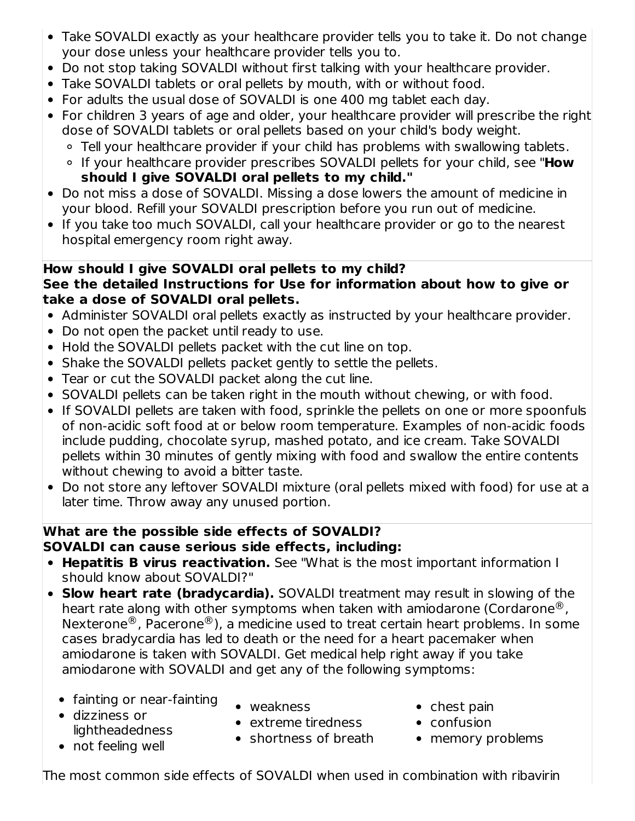- Take SOVALDI exactly as your healthcare provider tells you to take it. Do not change your dose unless your healthcare provider tells you to.
- Do not stop taking SOVALDI without first talking with your healthcare provider.
- Take SOVALDI tablets or oral pellets by mouth, with or without food.
- For adults the usual dose of SOVALDI is one 400 mg tablet each day.
- For children 3 years of age and older, your healthcare provider will prescribe the right dose of SOVALDI tablets or oral pellets based on your child's body weight.
	- Tell your healthcare provider if your child has problems with swallowing tablets.
	- If your healthcare provider prescribes SOVALDI pellets for your child, see "**How should I give SOVALDI oral pellets to my child."**
- Do not miss a dose of SOVALDI. Missing a dose lowers the amount of medicine in your blood. Refill your SOVALDI prescription before you run out of medicine.
- If you take too much SOVALDI, call your healthcare provider or go to the nearest hospital emergency room right away.

## **How should I give SOVALDI oral pellets to my child?**

## **See the detailed Instructions for Use for information about how to give or take a dose of SOVALDI oral pellets.**

- Administer SOVALDI oral pellets exactly as instructed by your healthcare provider.
- Do not open the packet until ready to use.
- Hold the SOVALDI pellets packet with the cut line on top.
- Shake the SOVALDI pellets packet gently to settle the pellets.
- Tear or cut the SOVALDI packet along the cut line.
- SOVALDI pellets can be taken right in the mouth without chewing, or with food.
- If SOVALDI pellets are taken with food, sprinkle the pellets on one or more spoonfuls of non-acidic soft food at or below room temperature. Examples of non-acidic foods include pudding, chocolate syrup, mashed potato, and ice cream. Take SOVALDI pellets within 30 minutes of gently mixing with food and swallow the entire contents without chewing to avoid a bitter taste.
- Do not store any leftover SOVALDI mixture (oral pellets mixed with food) for use at a later time. Throw away any unused portion.

## **What are the possible side effects of SOVALDI? SOVALDI can cause serious side effects, including:**

- **Hepatitis B virus reactivation.** See "What is the most important information I should know about SOVALDI?"
- **Slow heart rate (bradycardia).** SOVALDI treatment may result in slowing of the heart rate along with other symptoms when taken with amiodarone (Cordarone $^{\circledR}$ , Nexterone $^{\circledR}$ , Pacerone $^{\circledR}$ ), a medicine used to treat certain heart problems. In some cases bradycardia has led to death or the need for a heart pacemaker when amiodarone is taken with SOVALDI. Get medical help right away if you take amiodarone with SOVALDI and get any of the following symptoms:
	- fainting or near-fainting dizziness or
- weakness
- $\bullet$  chest pain
- confusion
- memory problems
- not feeling well
- The most common side effects of SOVALDI when used in combination with ribavirin
- 
- lightheadedness • shortness of breath
	- extreme tiredness
-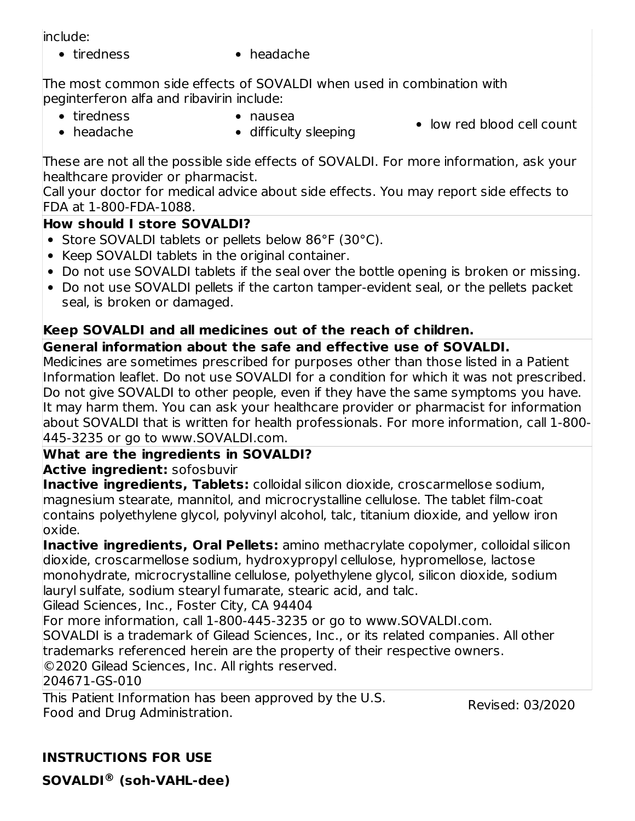include:

- 
- tiredness headache

The most common side effects of SOVALDI when used in combination with peginterferon alfa and ribavirin include:

• tiredness

nausea

• low red blood cell count

headache

• difficulty sleeping

These are not all the possible side effects of SOVALDI. For more information, ask your healthcare provider or pharmacist.

Call your doctor for medical advice about side effects. You may report side effects to FDA at 1-800-FDA-1088.

## **How should I store SOVALDI?**

- Store SOVALDI tablets or pellets below 86°F (30°C).
- Keep SOVALDI tablets in the original container.
- Do not use SOVALDI tablets if the seal over the bottle opening is broken or missing.
- Do not use SOVALDI pellets if the carton tamper-evident seal, or the pellets packet seal, is broken or damaged.

## **Keep SOVALDI and all medicines out of the reach of children.**

## **General information about the safe and effective use of SOVALDI.**

Medicines are sometimes prescribed for purposes other than those listed in a Patient Information leaflet. Do not use SOVALDI for a condition for which it was not prescribed. Do not give SOVALDI to other people, even if they have the same symptoms you have. It may harm them. You can ask your healthcare provider or pharmacist for information about SOVALDI that is written for health professionals. For more information, call 1-800- 445-3235 or go to www.SOVALDI.com.

## **What are the ingredients in SOVALDI?**

## **Active ingredient:** sofosbuvir

**Inactive ingredients, Tablets:** colloidal silicon dioxide, croscarmellose sodium, magnesium stearate, mannitol, and microcrystalline cellulose. The tablet film-coat contains polyethylene glycol, polyvinyl alcohol, talc, titanium dioxide, and yellow iron oxide.

**Inactive ingredients, Oral Pellets:** amino methacrylate copolymer, colloidal silicon dioxide, croscarmellose sodium, hydroxypropyl cellulose, hypromellose, lactose monohydrate, microcrystalline cellulose, polyethylene glycol, silicon dioxide, sodium lauryl sulfate, sodium stearyl fumarate, stearic acid, and talc.

Gilead Sciences, Inc., Foster City, CA 94404

For more information, call 1-800-445-3235 or go to www.SOVALDI.com.

SOVALDI is a trademark of Gilead Sciences, Inc., or its related companies. All other trademarks referenced herein are the property of their respective owners.

©2020 Gilead Sciences, Inc. All rights reserved.

204671-GS-010

This Patient Information has been approved by the U.S. Food and Drug Administration.

Revised: 03/2020

**INSTRUCTIONS FOR USE**

**SOVALDI® (soh-VAHL-dee)**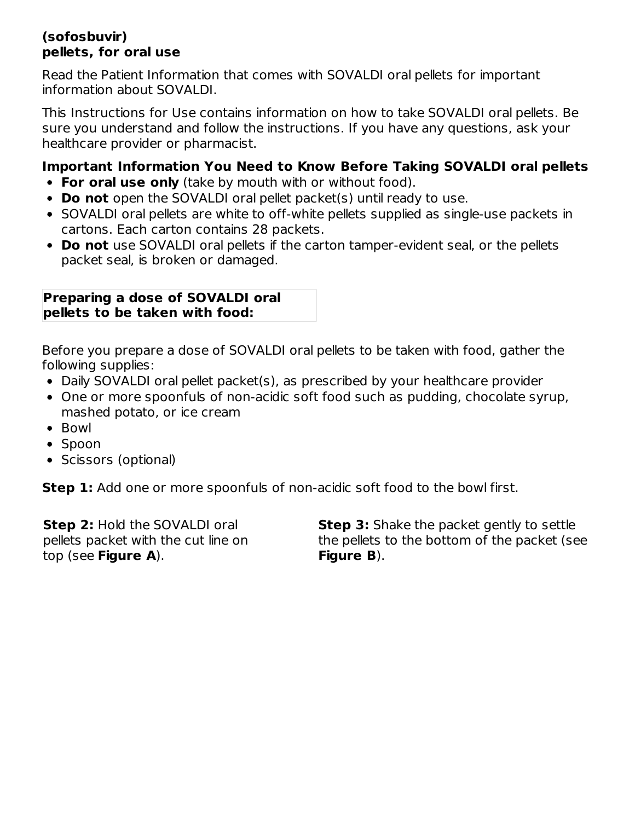### **(sofosbuvir) pellets, for oral use**

Read the Patient Information that comes with SOVALDI oral pellets for important information about SOVALDI.

This Instructions for Use contains information on how to take SOVALDI oral pellets. Be sure you understand and follow the instructions. If you have any questions, ask your healthcare provider or pharmacist.

## **Important Information You Need to Know Before Taking SOVALDI oral pellets**

- **For oral use only** (take by mouth with or without food).
- **Do not** open the SOVALDI oral pellet packet(s) until ready to use.
- SOVALDI oral pellets are white to off-white pellets supplied as single-use packets in cartons. Each carton contains 28 packets.
- **Do not** use SOVALDI oral pellets if the carton tamper-evident seal, or the pellets packet seal, is broken or damaged.

### **Preparing a dose of SOVALDI oral pellets to be taken with food:**

Before you prepare a dose of SOVALDI oral pellets to be taken with food, gather the following supplies:

- Daily SOVALDI oral pellet packet(s), as prescribed by your healthcare provider
- One or more spoonfuls of non-acidic soft food such as pudding, chocolate syrup, mashed potato, or ice cream
- Bowl
- Spoon
- Scissors (optional)

**Step 1:** Add one or more spoonfuls of non-acidic soft food to the bowl first.

**Step 2:** Hold the SOVALDI oral pellets packet with the cut line on top (see **Figure A**).

**Step 3:** Shake the packet gently to settle the pellets to the bottom of the packet (see **Figure B**).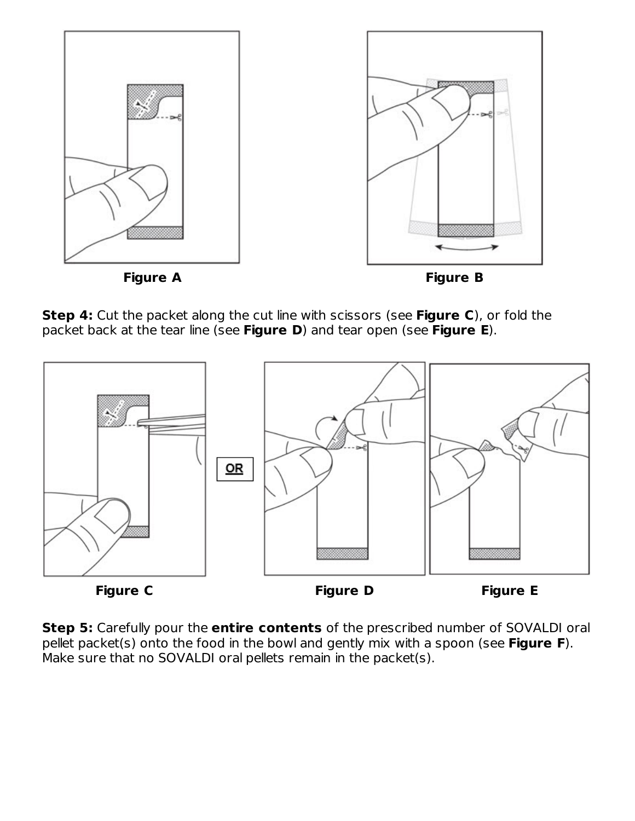

**Step 4:** Cut the packet along the cut line with scissors (see **Figure C**), or fold the packet back at the tear line (see **Figure D**) and tear open (see **Figure E**).



**Step 5:** Carefully pour the **entire contents** of the prescribed number of SOVALDI oral pellet packet(s) onto the food in the bowl and gently mix with a spoon (see **Figure F**). Make sure that no SOVALDI oral pellets remain in the packet(s).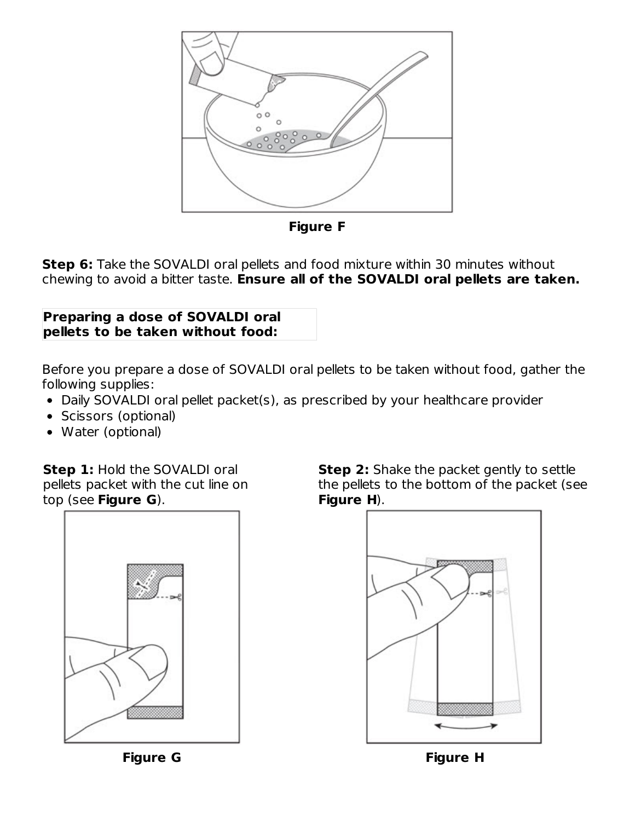

**Figure F**

**Step 6:** Take the SOVALDI oral pellets and food mixture within 30 minutes without chewing to avoid a bitter taste. **Ensure all of the SOVALDI oral pellets are taken.**

### **Preparing a dose of SOVALDI oral pellets to be taken without food:**

Before you prepare a dose of SOVALDI oral pellets to be taken without food, gather the following supplies:

- Daily SOVALDI oral pellet packet(s), as prescribed by your healthcare provider
- Scissors (optional)
- Water (optional)

**Step 1:** Hold the SOVALDI oral pellets packet with the cut line on top (see **Figure G**).



**Step 2:** Shake the packet gently to settle the pellets to the bottom of the packet (see **Figure H**).



**Figure G Figure H**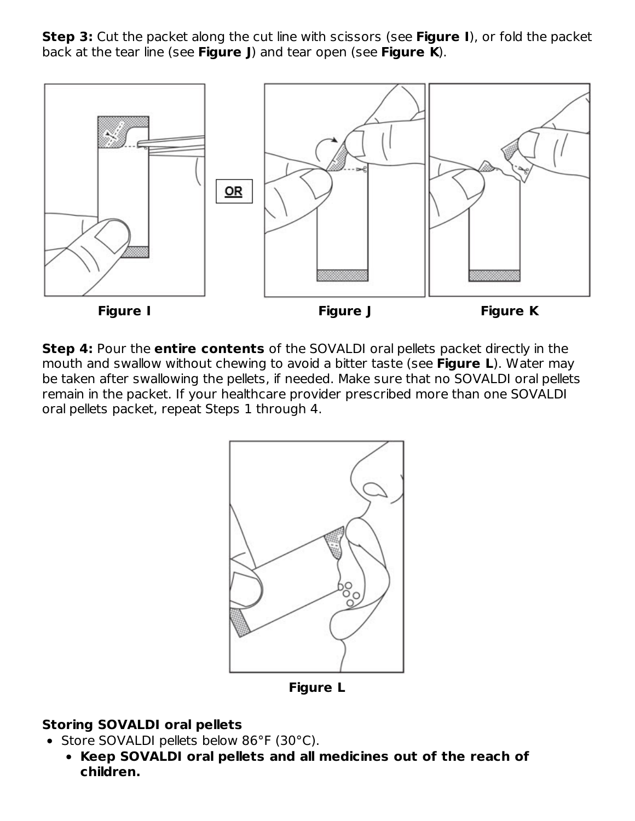**Step 3:** Cut the packet along the cut line with scissors (see **Figure I**), or fold the packet back at the tear line (see **Figure J**) and tear open (see **Figure K**).



**Step 4:** Pour the **entire contents** of the SOVALDI oral pellets packet directly in the mouth and swallow without chewing to avoid a bitter taste (see **Figure L**). Water may be taken after swallowing the pellets, if needed. Make sure that no SOVALDI oral pellets remain in the packet. If your healthcare provider prescribed more than one SOVALDI oral pellets packet, repeat Steps 1 through 4.



**Figure L**

## **Storing SOVALDI oral pellets**

- Store SOVALDI pellets below 86°F (30°C).
	- **Keep SOVALDI oral pellets and all medicines out of the reach of children.**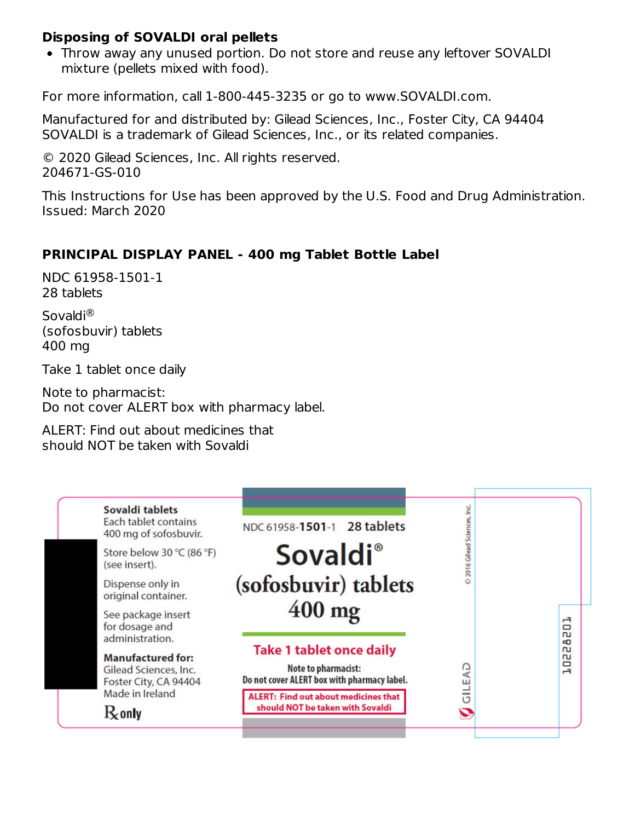#### **Disposing of SOVALDI oral pellets**

Throw away any unused portion. Do not store and reuse any leftover SOVALDI mixture (pellets mixed with food).

For more information, call 1-800-445-3235 or go to www.SOVALDI.com.

Manufactured for and distributed by: Gilead Sciences, Inc., Foster City, CA 94404 SOVALDI is a trademark of Gilead Sciences, Inc., or its related companies.

© 2020 Gilead Sciences, Inc. All rights reserved. 204671-GS-010

This Instructions for Use has been approved by the U.S. Food and Drug Administration. Issued: March 2020

### **PRINCIPAL DISPLAY PANEL - 400 mg Tablet Bottle Label**

NDC 61958-1501-1 28 tablets

Sovaldi ®(sofosbuvir) tablets 400 mg

Take 1 tablet once daily

Note to pharmacist: Do not cover ALERT box with pharmacy label.

ALERT: Find out about medicines that should NOT be taken with Sovaldi

| Sovaldi tablets<br>Each tablet contains<br>400 mg of sofosbuvir.           | NDC 61958-1501-1 28 tablets                                                                           | 2016 Gilead Sciences, Inc. |                        |
|----------------------------------------------------------------------------|-------------------------------------------------------------------------------------------------------|----------------------------|------------------------|
| Store below 30 °C (86 °F)<br>(see insert).                                 | <b>Sovaldi</b> ®                                                                                      |                            |                        |
| Dispense only in<br>original container.                                    | (sofosbuvir) tablets                                                                                  |                            |                        |
| See package insert<br>for dosage and<br>administration.                    | $400$ mg                                                                                              |                            | ᅼ<br>▭<br>'n           |
| <b>Manufactured for:</b><br>Gilead Sciences, Inc.<br>Foster City, CA 94404 | <b>Take 1 tablet once daily</b><br>Note to pharmacist:<br>Do not cover ALERT box with pharmacy label. | C<br>⊄<br>ш                | ø<br>വ<br>ru<br>o<br>H |
| Made in Ireland<br>$R_{\rm o}$ only                                        | <b>ALERT: Find out about medicines that</b><br>should NOT be taken with Sovaldi                       | -                          |                        |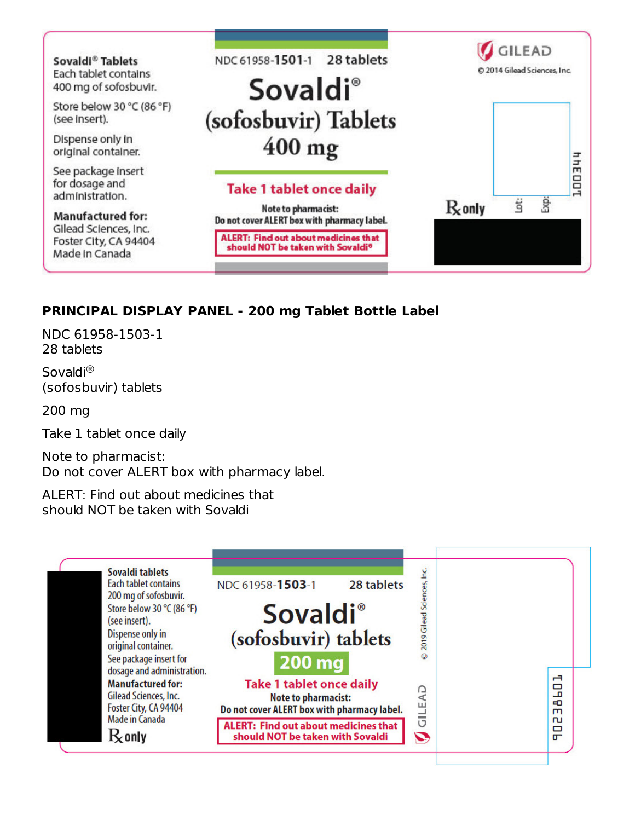

## **PRINCIPAL DISPLAY PANEL - 200 mg Tablet Bottle Label**

NDC 61958-1503-1 28 tablets

Sovaldi ®(sofosbuvir) tablets

200 mg

Take 1 tablet once daily

Note to pharmacist: Do not cover ALERT box with pharmacy label.

ALERT: Find out about medicines that should NOT be taken with Sovaldi

| Sovaldi tablets                                      |                                                                                 |                            |              |
|------------------------------------------------------|---------------------------------------------------------------------------------|----------------------------|--------------|
| <b>Each tablet contains</b>                          | NDC 61958-1503-1<br>28 tablets                                                  |                            |              |
| 200 mg of sofosbuvir.<br>Store below 30 °C (86 °F)   |                                                                                 |                            |              |
| (see insert).                                        | <b>Sovaldi</b> <sup>®</sup>                                                     |                            |              |
| Dispense only in<br>original container.              | (sofosbuvir) tablets                                                            | 2019 Gilead Sciences, Inc. |              |
| See package insert for<br>dosage and administration. | 200 mg                                                                          |                            |              |
| <b>Manufactured for:</b>                             | <b>Take 1 tablet once daily</b>                                                 | GA                         | н<br>59      |
| Gilead Sciences, Inc.<br>Foster City, CA 94404       | <b>Note to pharmacist:</b><br>Do not cover ALERT box with pharmacy label.       | Ш<br><b>COMPANY</b>        | EO.<br>m     |
| Made in Canada<br>$\rm R$ only                       | <b>ALERT: Find out about medicines that</b><br>should NOT be taken with Sovaldi | U<br>D                     | 'n<br>o<br>m |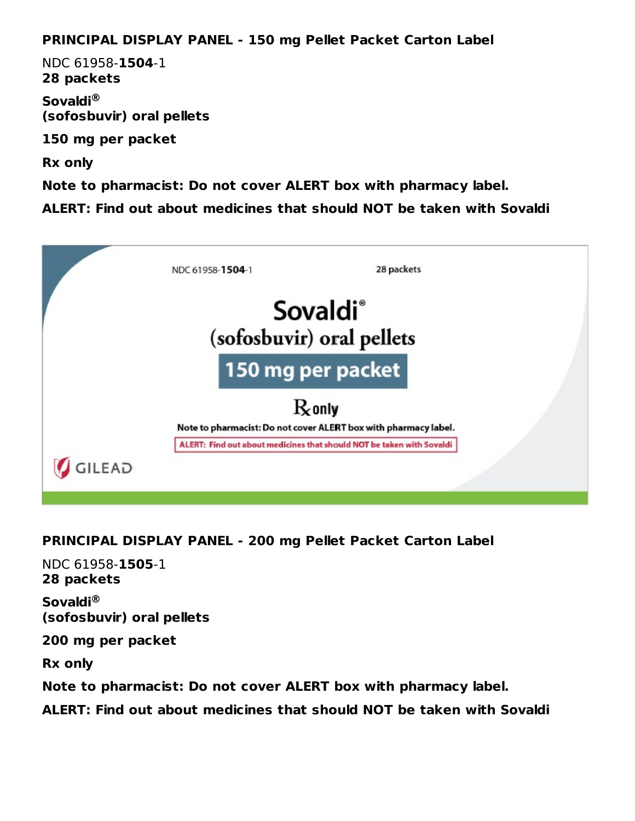### **PRINCIPAL DISPLAY PANEL - 150 mg Pellet Packet Carton Label**

NDC 61958-**1504**-1 **28 packets**

**Sovaldi ® (sofosbuvir) oral pellets**

**150 mg per packet**

**Rx only**

**Note to pharmacist: Do not cover ALERT box with pharmacy label.**

**ALERT: Find out about medicines that should NOT be taken with Sovaldi**



## **PRINCIPAL DISPLAY PANEL - 200 mg Pellet Packet Carton Label**

NDC 61958-**1505**-1 **28 packets**

**Sovaldi ®(sofosbuvir) oral pellets**

**200 mg per packet**

**Rx only**

**Note to pharmacist: Do not cover ALERT box with pharmacy label.**

**ALERT: Find out about medicines that should NOT be taken with Sovaldi**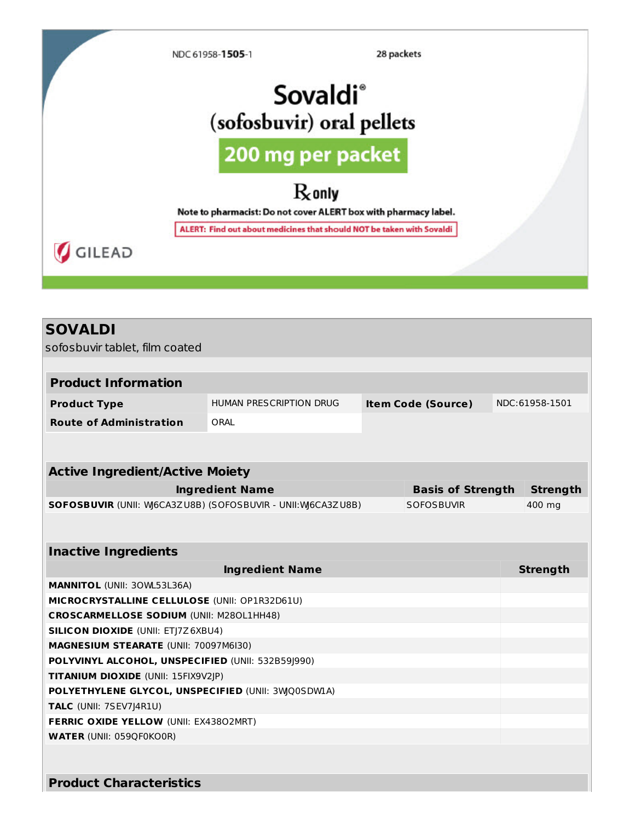

## **SOVALDI**

sofosbuvir tablet, film coated

| <b>Product Information</b>                                         |                         |                 |                          |  |                 |  |  |
|--------------------------------------------------------------------|-------------------------|-----------------|--------------------------|--|-----------------|--|--|
| <b>Product Type</b>                                                | HUMAN PRESCRIPTION DRUG |                 | NDC:61958-1501           |  |                 |  |  |
| <b>Route of Administration</b>                                     | ORAI                    |                 |                          |  |                 |  |  |
|                                                                    |                         |                 |                          |  |                 |  |  |
| <b>Active Ingredient/Active Moiety</b>                             |                         |                 |                          |  |                 |  |  |
|                                                                    |                         |                 |                          |  |                 |  |  |
|                                                                    | <b>Ingredient Name</b>  |                 | <b>Basis of Strength</b> |  | <b>Strength</b> |  |  |
| <b>SOFOSBUVIR (UNII: W6CA3ZU8B) (SOFOSBUVIR - UNII: W6CA3ZU8B)</b> |                         |                 | <b>SOFOSBUVIR</b>        |  | 400 mg          |  |  |
|                                                                    |                         |                 |                          |  |                 |  |  |
| <b>Inactive Ingredients</b>                                        |                         |                 |                          |  |                 |  |  |
|                                                                    |                         | <b>Strength</b> |                          |  |                 |  |  |
| <b>MANNITOL (UNII: 30WL53L36A)</b>                                 |                         |                 |                          |  |                 |  |  |
| MICROCRYSTALLINE CELLULOSE (UNII: OP1R32D61U)                      |                         |                 |                          |  |                 |  |  |
| <b>CROSCARMELLOSE SODIUM (UNII: M280L1HH48)</b>                    |                         |                 |                          |  |                 |  |  |
| <b>SILICON DIOXIDE (UNII: ETJ7Z6XBU4)</b>                          |                         |                 |                          |  |                 |  |  |
| <b>MAGNESIUM STEARATE (UNII: 70097M6I30)</b>                       |                         |                 |                          |  |                 |  |  |
| POLYVINYL ALCOHOL, UNSPECIFIED (UNII: 532B59J990)                  |                         |                 |                          |  |                 |  |  |
| TITANIUM DIOXIDE (UNII: 15FIX9V2JP)                                |                         |                 |                          |  |                 |  |  |
| POLYETHYLENE GLYCOL, UNSPECIFIED (UNII: 3WQ0SDW1A)                 |                         |                 |                          |  |                 |  |  |
| TALC (UNII: 7SEV7J4R1U)                                            |                         |                 |                          |  |                 |  |  |
| FERRIC OXIDE YELLOW (UNII: EX43802MRT)                             |                         |                 |                          |  |                 |  |  |
| <b>WATER (UNII: 059QF0KO0R)</b>                                    |                         |                 |                          |  |                 |  |  |
|                                                                    |                         |                 |                          |  |                 |  |  |
| <b>Product Characteristics</b>                                     |                         |                 |                          |  |                 |  |  |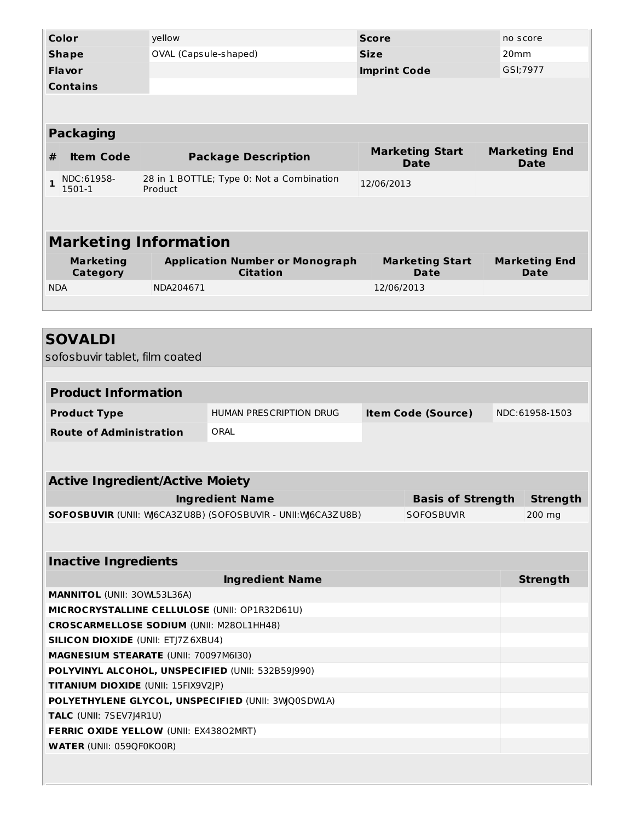| Color                                                                                     |                                                   | yellow                                 |                                                             |             | <b>Score</b>                          |          | no score                            |  |
|-------------------------------------------------------------------------------------------|---------------------------------------------------|----------------------------------------|-------------------------------------------------------------|-------------|---------------------------------------|----------|-------------------------------------|--|
|                                                                                           | <b>Shape</b>                                      | OVAL (Capsule-shaped)                  |                                                             | <b>Size</b> |                                       |          | 20mm                                |  |
|                                                                                           | Flavor                                            |                                        | <b>Imprint Code</b>                                         |             |                                       | GSI;7977 |                                     |  |
|                                                                                           | <b>Contains</b>                                   |                                        |                                                             |             |                                       |          |                                     |  |
|                                                                                           |                                                   |                                        |                                                             |             |                                       |          |                                     |  |
|                                                                                           |                                                   |                                        |                                                             |             |                                       |          |                                     |  |
|                                                                                           | <b>Packaging</b>                                  |                                        |                                                             |             |                                       |          |                                     |  |
| #                                                                                         | <b>Item Code</b>                                  | <b>Package Description</b>             |                                                             |             | <b>Marketing Start</b><br><b>Date</b> |          | <b>Marketing End</b><br><b>Date</b> |  |
| $\mathbf{1}$                                                                              | NDC:61958-<br>1501-1                              | Product                                | 28 in 1 BOTTLE; Type 0: Not a Combination                   | 12/06/2013  |                                       |          |                                     |  |
|                                                                                           |                                                   |                                        |                                                             |             |                                       |          |                                     |  |
|                                                                                           |                                                   |                                        |                                                             |             |                                       |          |                                     |  |
|                                                                                           | <b>Marketing Information</b>                      |                                        |                                                             |             |                                       |          |                                     |  |
|                                                                                           | <b>Marketing</b>                                  |                                        | <b>Application Number or Monograph</b>                      |             | <b>Marketing Start</b>                |          | <b>Marketing End</b>                |  |
|                                                                                           | <b>Category</b>                                   |                                        | <b>Citation</b>                                             |             | Date                                  |          | Date                                |  |
| <b>NDA</b>                                                                                |                                                   | NDA204671                              |                                                             |             | 12/06/2013                            |          |                                     |  |
|                                                                                           |                                                   |                                        |                                                             |             |                                       |          |                                     |  |
|                                                                                           |                                                   |                                        |                                                             |             |                                       |          |                                     |  |
|                                                                                           | <b>SOVALDI</b>                                    |                                        |                                                             |             |                                       |          |                                     |  |
|                                                                                           | sofosbuvir tablet, film coated                    |                                        |                                                             |             |                                       |          |                                     |  |
|                                                                                           |                                                   |                                        |                                                             |             |                                       |          |                                     |  |
|                                                                                           | <b>Product Information</b>                        |                                        |                                                             |             |                                       |          |                                     |  |
|                                                                                           | <b>Product Type</b>                               |                                        | HUMAN PRESCRIPTION DRUG                                     |             | <b>Item Code (Source)</b>             |          | NDC:61958-1503                      |  |
|                                                                                           | <b>Route of Administration</b>                    |                                        | ORAL                                                        |             |                                       |          |                                     |  |
|                                                                                           |                                                   |                                        |                                                             |             |                                       |          |                                     |  |
|                                                                                           |                                                   |                                        |                                                             |             |                                       |          |                                     |  |
|                                                                                           | <b>Active Ingredient/Active Moiety</b>            |                                        |                                                             |             |                                       |          |                                     |  |
|                                                                                           |                                                   |                                        | <b>Ingredient Name</b>                                      |             | <b>Basis of Strength</b>              |          | <b>Strength</b>                     |  |
|                                                                                           |                                                   |                                        | SOFOSBUVIR (UNII: W6CA3ZU8B) (SOFOSBUVIR - UNII: W6CA3ZU8B) |             | <b>SOFOSBUVIR</b>                     |          | 200 mg                              |  |
|                                                                                           |                                                   |                                        |                                                             |             |                                       |          |                                     |  |
|                                                                                           |                                                   |                                        |                                                             |             |                                       |          |                                     |  |
|                                                                                           | <b>Inactive Ingredients</b>                       |                                        |                                                             |             |                                       |          |                                     |  |
| <b>Ingredient Name</b>                                                                    |                                                   |                                        |                                                             |             | <b>Strength</b>                       |          |                                     |  |
| MANNITOL (UNII: 30WL53L36A)                                                               |                                                   |                                        |                                                             |             |                                       |          |                                     |  |
| MICROCRYSTALLINE CELLULOSE (UNII: OP1R32D61U)                                             |                                                   |                                        |                                                             |             |                                       |          |                                     |  |
| <b>CROSCARMELLOSE SODIUM (UNII: M280L1HH48)</b>                                           |                                                   |                                        |                                                             |             |                                       |          |                                     |  |
| <b>SILICON DIOXIDE (UNII: ETJ7Z6XBU4)</b>                                                 |                                                   |                                        |                                                             |             |                                       |          |                                     |  |
|                                                                                           | MAGNESIUM STEARATE (UNII: 70097M6I30)             |                                        |                                                             |             |                                       |          |                                     |  |
|                                                                                           | POLYVINYL ALCOHOL, UNSPECIFIED (UNII: 532B59J990) |                                        |                                                             |             |                                       |          |                                     |  |
| TITANIUM DIOXIDE (UNII: 15FIX9V2JP)<br>POLYETHYLENE GLYCOL, UNSPECIFIED (UNII: 3WQ0SDWLA) |                                                   |                                        |                                                             |             |                                       |          |                                     |  |
|                                                                                           | TALC (UNII: 7SEV7J4R1U)                           |                                        |                                                             |             |                                       |          |                                     |  |
|                                                                                           |                                                   | FERRIC OXIDE YELLOW (UNII: EX43802MRT) |                                                             |             |                                       |          |                                     |  |

**WATER** (UNII: 059QF0KO0R)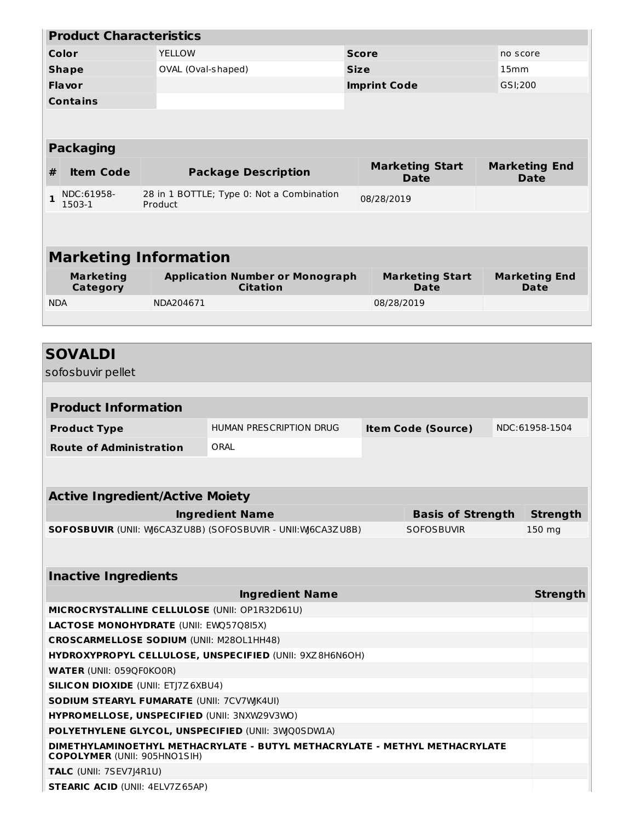|                                                                                                                   | <b>Product Characteristics</b>         |                            |                                                             |             |            |                                       |                                     |                              |  |
|-------------------------------------------------------------------------------------------------------------------|----------------------------------------|----------------------------|-------------------------------------------------------------|-------------|------------|---------------------------------------|-------------------------------------|------------------------------|--|
| <b>YELLOW</b><br>Color                                                                                            |                                        |                            | <b>Score</b>                                                |             |            |                                       | no score                            |                              |  |
|                                                                                                                   | OVAL (Oval-shaped)<br><b>Shape</b>     |                            |                                                             | <b>Size</b> |            |                                       | 15 <sub>mm</sub>                    |                              |  |
|                                                                                                                   | <b>Flavor</b>                          | <b>Imprint Code</b>        |                                                             |             | GSI;200    |                                       |                                     |                              |  |
|                                                                                                                   | <b>Contains</b>                        |                            |                                                             |             |            |                                       |                                     |                              |  |
|                                                                                                                   |                                        |                            |                                                             |             |            |                                       |                                     |                              |  |
|                                                                                                                   | <b>Packaging</b>                       |                            |                                                             |             |            |                                       |                                     |                              |  |
| #                                                                                                                 | <b>Item Code</b>                       | <b>Package Description</b> |                                                             |             |            | <b>Marketing Start</b><br><b>Date</b> | <b>Marketing End</b><br><b>Date</b> |                              |  |
| 1                                                                                                                 | NDC:61958-<br>1503-1                   | Product                    | 28 in 1 BOTTLE; Type 0: Not a Combination                   |             | 08/28/2019 |                                       |                                     |                              |  |
|                                                                                                                   |                                        |                            |                                                             |             |            |                                       |                                     |                              |  |
|                                                                                                                   | <b>Marketing Information</b>           |                            |                                                             |             |            |                                       |                                     |                              |  |
|                                                                                                                   | <b>Marketing</b><br>Category           |                            | <b>Application Number or Monograph</b><br><b>Citation</b>   |             |            | <b>Marketing Start</b><br>Date        |                                     | <b>Marketing End</b><br>Date |  |
| <b>NDA</b>                                                                                                        |                                        | NDA204671                  |                                                             |             | 08/28/2019 |                                       |                                     |                              |  |
|                                                                                                                   |                                        |                            |                                                             |             |            |                                       |                                     |                              |  |
|                                                                                                                   |                                        |                            |                                                             |             |            |                                       |                                     |                              |  |
|                                                                                                                   | <b>SOVALDI</b><br>sofosbuvir pellet    |                            |                                                             |             |            |                                       |                                     |                              |  |
|                                                                                                                   |                                        |                            |                                                             |             |            |                                       |                                     |                              |  |
|                                                                                                                   | <b>Product Information</b>             |                            |                                                             |             |            |                                       |                                     |                              |  |
|                                                                                                                   | <b>Product Type</b>                    |                            | HUMAN PRESCRIPTION DRUG                                     |             |            | <b>Item Code (Source)</b>             |                                     | NDC:61958-1504               |  |
|                                                                                                                   | <b>Route of Administration</b>         |                            | ORAL                                                        |             |            |                                       |                                     |                              |  |
|                                                                                                                   |                                        |                            |                                                             |             |            |                                       |                                     |                              |  |
|                                                                                                                   |                                        |                            |                                                             |             |            |                                       |                                     |                              |  |
|                                                                                                                   | <b>Active Ingredient/Active Moiety</b> |                            |                                                             |             |            |                                       |                                     |                              |  |
|                                                                                                                   |                                        |                            |                                                             |             |            |                                       |                                     |                              |  |
|                                                                                                                   |                                        |                            | <b>Ingredient Name</b>                                      |             |            | <b>Basis of Strength</b>              |                                     | <b>Strength</b>              |  |
|                                                                                                                   |                                        |                            | SOFOSBUVIR (UNII: W6CA3ZU8B) (SOFOSBUVIR - UNII: W6CA3ZU8B) |             |            | SOFOSBUVIR                            |                                     | 150 mg                       |  |
|                                                                                                                   |                                        |                            |                                                             |             |            |                                       |                                     |                              |  |
|                                                                                                                   | <b>Inactive Ingredients</b>            |                            |                                                             |             |            |                                       |                                     |                              |  |
|                                                                                                                   |                                        |                            | <b>Ingredient Name</b>                                      |             |            |                                       |                                     |                              |  |
|                                                                                                                   |                                        |                            | MICROCRYSTALLINE CELLULOSE (UNII: OP1R32D61U)               |             |            |                                       |                                     | <b>Strength</b>              |  |
|                                                                                                                   |                                        |                            |                                                             |             |            |                                       |                                     |                              |  |
| LACTOSE MONOHYDRATE (UNII: EWQ57Q8I5X)<br><b>CROSCARMELLOSE SODIUM (UNII: M280L1HH48)</b>                         |                                        |                            |                                                             |             |            |                                       |                                     |                              |  |
| HYDROXYPROPYL CELLULOSE, UNSPECIFIED (UNII: 9XZ8H6N6OH)                                                           |                                        |                            |                                                             |             |            |                                       |                                     |                              |  |
| <b>WATER (UNII: 059QF0KO0R)</b>                                                                                   |                                        |                            |                                                             |             |            |                                       |                                     |                              |  |
| <b>SILICON DIOXIDE (UNII: ETJ7Z6XBU4)</b>                                                                         |                                        |                            |                                                             |             |            |                                       |                                     |                              |  |
| SODIUM STEARYL FUMARATE (UNII: 7CV7WJK4UI)                                                                        |                                        |                            |                                                             |             |            |                                       |                                     |                              |  |
| HYPROMELLOSE, UNSPECIFIED (UNII: 3NXW29V3WO)                                                                      |                                        |                            |                                                             |             |            |                                       |                                     |                              |  |
| POLYETHYLENE GLYCOL, UNSPECIFIED (UNII: 3WQ0SDWLA)                                                                |                                        |                            |                                                             |             |            |                                       |                                     |                              |  |
| DIMETHYLAMINOETHYL METHACRYLATE - BUTYL METHACRYLATE - METHYL METHACRYLATE<br><b>COPOLYMER (UNII: 905HNO1SIH)</b> |                                        |                            |                                                             |             |            |                                       |                                     |                              |  |
|                                                                                                                   | TALC (UNII: 7SEV7J4R1U)                |                            |                                                             |             |            |                                       |                                     |                              |  |
| <b>STEARIC ACID (UNII: 4ELV7Z65AP)</b>                                                                            |                                        |                            |                                                             |             |            |                                       |                                     |                              |  |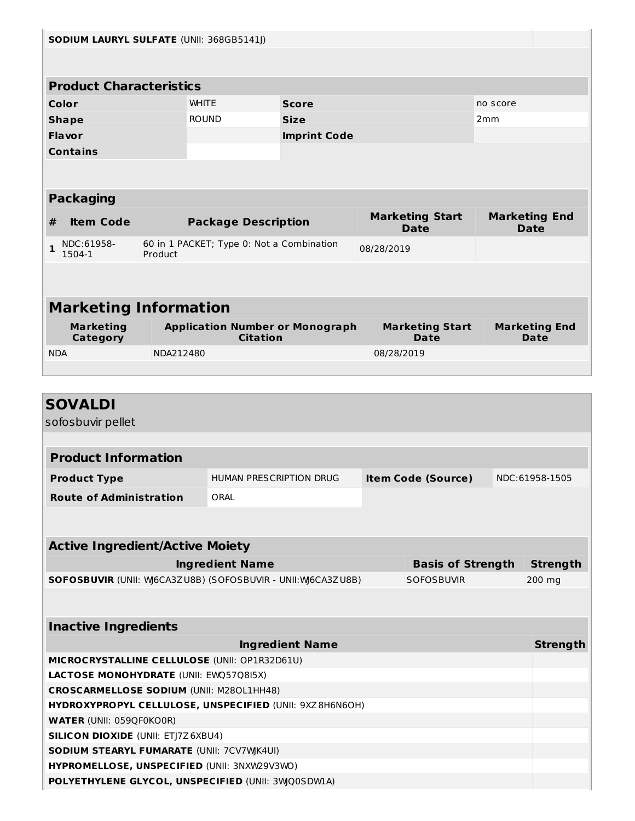| SODIUM LAURYL SULFATE (UNII: 368GB5141J) |                                           |           |                                                             |                        |            |                                       |                 |                                     |
|------------------------------------------|-------------------------------------------|-----------|-------------------------------------------------------------|------------------------|------------|---------------------------------------|-----------------|-------------------------------------|
|                                          |                                           |           |                                                             |                        |            |                                       |                 |                                     |
|                                          | <b>Product Characteristics</b>            |           |                                                             |                        |            |                                       |                 |                                     |
|                                          | Color                                     |           | <b>WHITE</b>                                                | <b>Score</b>           |            |                                       | no score        |                                     |
|                                          | <b>Shape</b>                              |           | <b>ROUND</b>                                                | <b>Size</b>            |            |                                       | 2 <sub>mm</sub> |                                     |
|                                          | Flavor                                    |           |                                                             |                        |            |                                       |                 |                                     |
|                                          |                                           |           |                                                             | <b>Imprint Code</b>    |            |                                       |                 |                                     |
|                                          | <b>Contains</b>                           |           |                                                             |                        |            |                                       |                 |                                     |
|                                          |                                           |           |                                                             |                        |            |                                       |                 |                                     |
|                                          | <b>Packaging</b>                          |           |                                                             |                        |            |                                       |                 |                                     |
| #                                        | <b>Item Code</b>                          |           | <b>Package Description</b>                                  |                        |            | <b>Marketing Start</b><br><b>Date</b> |                 | <b>Marketing End</b><br><b>Date</b> |
| 1                                        | NDC:61958-                                |           | 60 in 1 PACKET; Type 0: Not a Combination                   |                        | 08/28/2019 |                                       |                 |                                     |
|                                          | 1504-1                                    | Product   |                                                             |                        |            |                                       |                 |                                     |
|                                          |                                           |           |                                                             |                        |            |                                       |                 |                                     |
|                                          |                                           |           |                                                             |                        |            |                                       |                 |                                     |
|                                          | <b>Marketing Information</b>              |           |                                                             |                        |            |                                       |                 |                                     |
|                                          | <b>Marketing</b><br>Category              |           | <b>Application Number or Monograph</b><br><b>Citation</b>   |                        |            | <b>Marketing Start</b><br>Date        |                 | <b>Marketing End</b><br>Date        |
| <b>NDA</b>                               |                                           | NDA212480 |                                                             |                        | 08/28/2019 |                                       |                 |                                     |
|                                          |                                           |           |                                                             |                        |            |                                       |                 |                                     |
|                                          |                                           |           |                                                             |                        |            |                                       |                 |                                     |
|                                          |                                           |           |                                                             |                        |            |                                       |                 |                                     |
|                                          | <b>SOVALDI</b>                            |           |                                                             |                        |            |                                       |                 |                                     |
|                                          | sofosbuvir pellet                         |           |                                                             |                        |            |                                       |                 |                                     |
|                                          |                                           |           |                                                             |                        |            |                                       |                 |                                     |
|                                          | <b>Product Information</b>                |           |                                                             |                        |            |                                       |                 |                                     |
|                                          | <b>Product Type</b>                       |           | HUMAN PRESCRIPTION DRUG                                     |                        |            | <b>Item Code (Source)</b>             |                 | NDC:61958-1505                      |
|                                          | <b>Route of Administration</b>            |           | ORAL                                                        |                        |            |                                       |                 |                                     |
|                                          |                                           |           |                                                             |                        |            |                                       |                 |                                     |
|                                          |                                           |           |                                                             |                        |            |                                       |                 |                                     |
|                                          |                                           |           |                                                             |                        |            |                                       |                 |                                     |
|                                          | <b>Active Ingredient/Active Moiety</b>    |           |                                                             |                        |            |                                       |                 |                                     |
|                                          |                                           |           | <b>Ingredient Name</b>                                      |                        |            | <b>Basis of Strength</b>              |                 | <b>Strength</b>                     |
|                                          |                                           |           | SOFOSBUVIR (UNII: W6CA3ZU8B) (SOFOSBUVIR - UNII: W6CA3ZU8B) |                        |            | <b>SOFOSBUVIR</b>                     |                 | 200 mg                              |
|                                          |                                           |           |                                                             |                        |            |                                       |                 |                                     |
|                                          |                                           |           |                                                             |                        |            |                                       |                 |                                     |
|                                          | <b>Inactive Ingredients</b>               |           |                                                             |                        |            |                                       |                 |                                     |
|                                          |                                           |           |                                                             | <b>Ingredient Name</b> |            |                                       |                 | <b>Strength</b>                     |
|                                          |                                           |           | MICROCRYSTALLINE CELLULOSE (UNII: OP1R32D61U)               |                        |            |                                       |                 |                                     |
|                                          | LACTOSE MONOHYDRATE (UNII: EWQ57Q8I5X)    |           |                                                             |                        |            |                                       |                 |                                     |
|                                          |                                           |           | <b>CROSCARMELLOSE SODIUM (UNII: M280L1HH48)</b>             |                        |            |                                       |                 |                                     |
|                                          |                                           |           | HYDROXYPROPYL CELLULOSE, UNSPECIFIED (UNII: 9XZ8H6N6OH)     |                        |            |                                       |                 |                                     |
|                                          | <b>WATER (UNII: 059QF0KO0R)</b>           |           |                                                             |                        |            |                                       |                 |                                     |
|                                          | <b>SILICON DIOXIDE (UNII: ETJ7Z6XBU4)</b> |           |                                                             |                        |            |                                       |                 |                                     |
|                                          |                                           |           | SODIUM STEARYL FUMARATE (UNII: 7CV7WJK4UI)                  |                        |            |                                       |                 |                                     |
|                                          |                                           |           | HYPROMELLOSE, UNSPECIFIED (UNII: 3NXW29V3WO)                |                        |            |                                       |                 |                                     |
|                                          |                                           |           | POLYETHYLENE GLYCOL, UNSPECIFIED (UNII: 3WQ0SDWIA)          |                        |            |                                       |                 |                                     |
|                                          |                                           |           |                                                             |                        |            |                                       |                 |                                     |